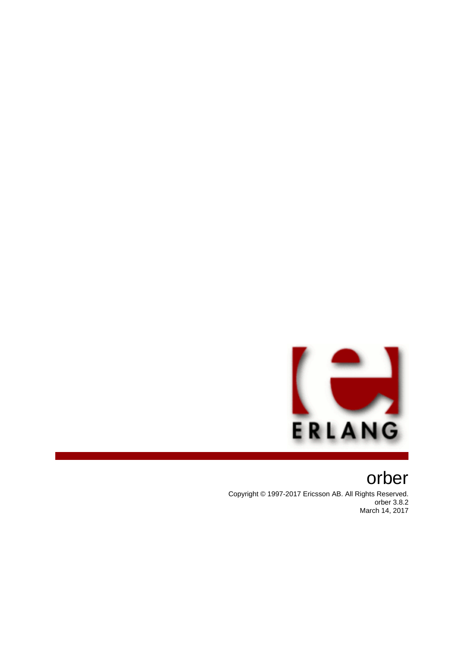

orber Copyright © 1997-2017 Ericsson AB. All Rights Reserved. orber 3.8.2 March 14, 2017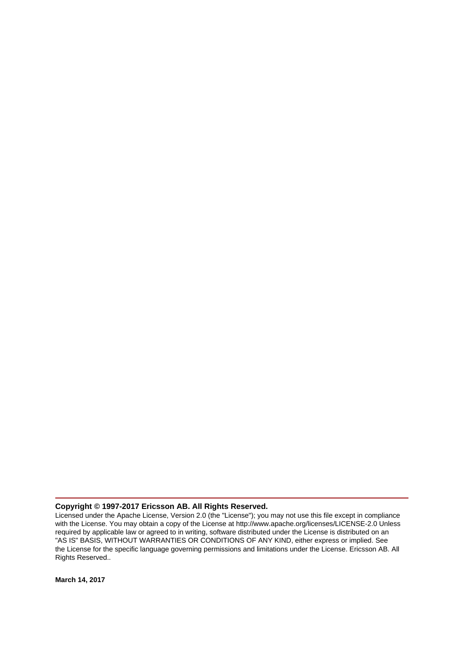#### **Copyright © 1997-2017 Ericsson AB. All Rights Reserved.**

Licensed under the Apache License, Version 2.0 (the "License"); you may not use this file except in compliance with the License. You may obtain a copy of the License at http://www.apache.org/licenses/LICENSE-2.0 Unless required by applicable law or agreed to in writing, software distributed under the License is distributed on an "AS IS" BASIS, WITHOUT WARRANTIES OR CONDITIONS OF ANY KIND, either express or implied. See the License for the specific language governing permissions and limitations under the License. Ericsson AB. All Rights Reserved..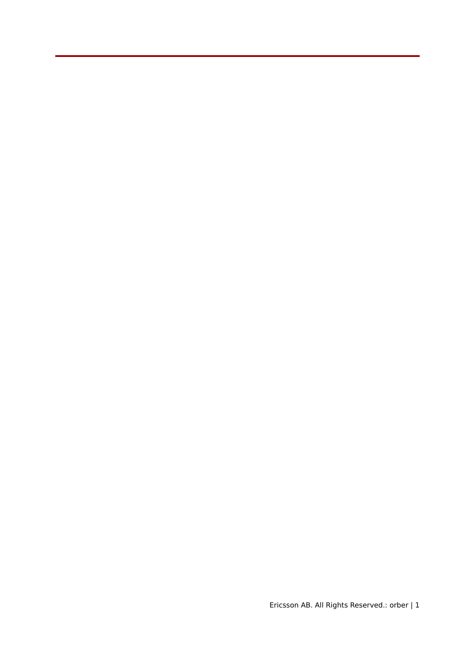Ericsson AB. All Rights Reserved.: orber | 1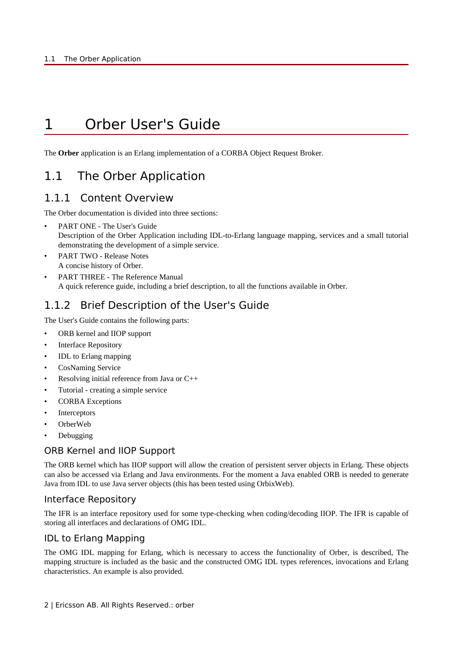# 1 Orber User's Guide

The **Orber** application is an Erlang implementation of a CORBA Object Request Broker.

# 1.1 The Orber Application

# 1.1.1 Content Overview

The Orber documentation is divided into three sections:

- PART ONE The User's Guide Description of the Orber Application including IDL-to-Erlang language mapping, services and a small tutorial demonstrating the development of a simple service.
- PART TWO Release Notes A concise history of Orber.
- PART THREE The Reference Manual A quick reference guide, including a brief description, to all the functions available in Orber.

# 1.1.2 Brief Description of the User's Guide

The User's Guide contains the following parts:

- ORB kernel and IIOP support
- **Interface Repository**
- IDL to Erlang mapping
- CosNaming Service
- Resolving initial reference from Java or  $C_{++}$
- Tutorial creating a simple service
- CORBA Exceptions
- **Interceptors**
- OrberWeb
- **Debugging**

# ORB Kernel and IIOP Support

The ORB kernel which has IIOP support will allow the creation of persistent server objects in Erlang. These objects can also be accessed via Erlang and Java environments. For the moment a Java enabled ORB is needed to generate Java from IDL to use Java server objects (this has been tested using OrbixWeb).

## Interface Repository

The IFR is an interface repository used for some type-checking when coding/decoding IIOP. The IFR is capable of storing all interfaces and declarations of OMG IDL.

# IDL to Erlang Mapping

The OMG IDL mapping for Erlang, which is necessary to access the functionality of Orber, is described, The mapping structure is included as the basic and the constructed OMG IDL types references, invocations and Erlang characteristics. An example is also provided.

2 | Ericsson AB. All Rights Reserved.: orber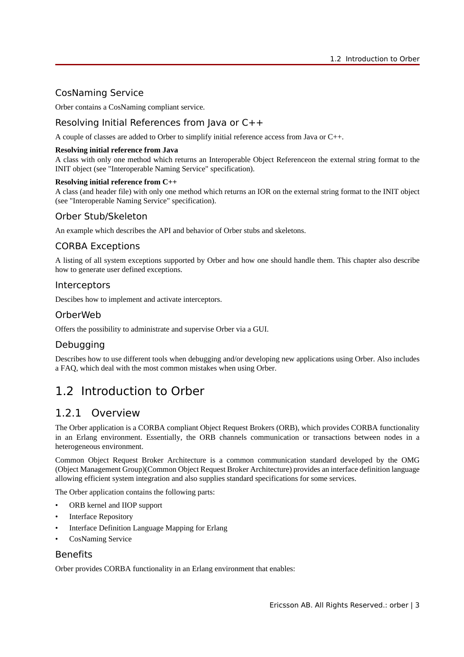# CosNaming Service

Orber contains a CosNaming compliant service.

# Resolving Initial References from Java or C++

A couple of classes are added to Orber to simplify initial reference access from Java or C++.

### **Resolving initial reference from Java**

A class with only one method which returns an Interoperable Object Referenceon the external string format to the INIT object (see "Interoperable Naming Service" specification).

#### **Resolving initial reference from C++**

A class (and header file) with only one method which returns an IOR on the external string format to the INIT object (see "Interoperable Naming Service" specification).

## Orber Stub/Skeleton

An example which describes the API and behavior of Orber stubs and skeletons.

## CORBA Exceptions

A listing of all system exceptions supported by Orber and how one should handle them. This chapter also describe how to generate user defined exceptions.

### Interceptors

Descibes how to implement and activate interceptors.

### OrberWeb

Offers the possibility to administrate and supervise Orber via a GUI.

# Debugging

Describes how to use different tools when debugging and/or developing new applications using Orber. Also includes a FAQ, which deal with the most common mistakes when using Orber.

# 1.2 Introduction to Orber

# 1.2.1 Overview

The Orber application is a CORBA compliant Object Request Brokers (ORB), which provides CORBA functionality in an Erlang environment. Essentially, the ORB channels communication or transactions between nodes in a heterogeneous environment.

Common Object Request Broker Architecture is a common communication standard developed by the OMG (Object Management Group)(Common Object Request Broker Architecture) provides an interface definition language allowing efficient system integration and also supplies standard specifications for some services.

The Orber application contains the following parts:

- ORB kernel and IIOP support
- **Interface Repository**
- Interface Definition Language Mapping for Erlang
- CosNaming Service

## Benefits

Orber provides CORBA functionality in an Erlang environment that enables: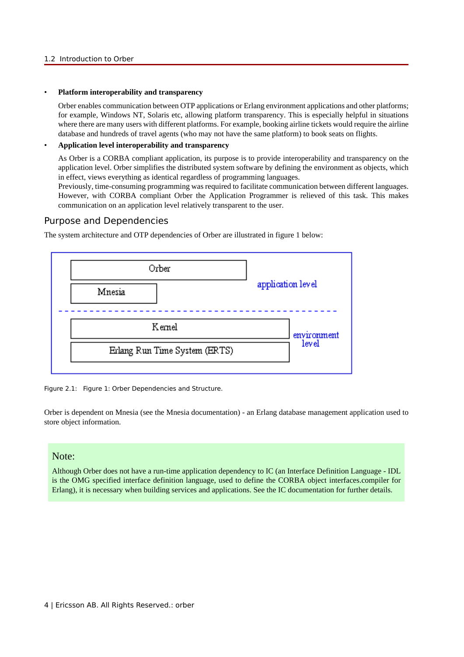#### • **Platform interoperability and transparency**

Orber enables communication between OTP applications or Erlang environment applications and other platforms; for example, Windows NT, Solaris etc, allowing platform transparency. This is especially helpful in situations where there are many users with different platforms. For example, booking airline tickets would require the airline database and hundreds of travel agents (who may not have the same platform) to book seats on flights.

#### • **Application level interoperability and transparency**

As Orber is a CORBA compliant application, its purpose is to provide interoperability and transparency on the application level. Orber simplifies the distributed system software by defining the environment as objects, which in effect, views everything as identical regardless of programming languages.

Previously, time-consuming programming was required to facilitate communication between different languages. However, with CORBA compliant Orber the Application Programmer is relieved of this task. This makes communication on an application level relatively transparent to the user.

### Purpose and Dependencies

The system architecture and OTP dependencies of Orber are illustrated in figure 1 below:



Figure 2.1: Figure 1: Orber Dependencies and Structure.

Orber is dependent on Mnesia (see the Mnesia documentation) - an Erlang database management application used to store object information.

### Note:

Although Orber does not have a run-time application dependency to IC (an Interface Definition Language - IDL is the OMG specified interface definition language, used to define the CORBA object interfaces.compiler for Erlang), it is necessary when building services and applications. See the IC documentation for further details.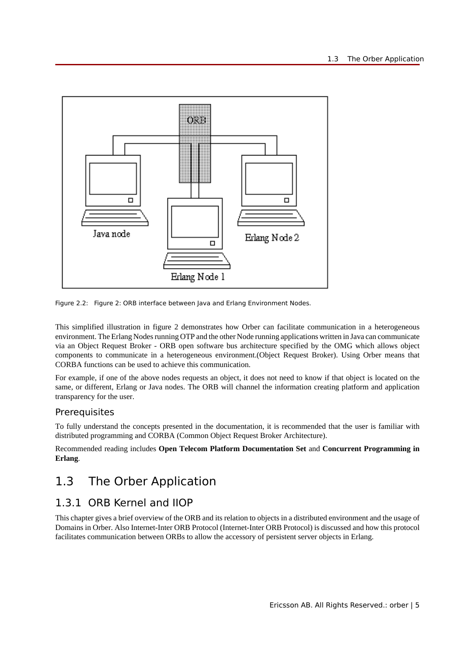

Figure 2.2: Figure 2: ORB interface between Java and Erlang Environment Nodes.

This simplified illustration in figure 2 demonstrates how Orber can facilitate communication in a heterogeneous environment. The Erlang Nodes running OTP and the other Node running applications written in Java can communicate via an Object Request Broker - ORB open software bus architecture specified by the OMG which allows object components to communicate in a heterogeneous environment.(Object Request Broker). Using Orber means that CORBA functions can be used to achieve this communication.

For example, if one of the above nodes requests an object, it does not need to know if that object is located on the same, or different, Erlang or Java nodes. The ORB will channel the information creating platform and application transparency for the user.

## **Prerequisites**

To fully understand the concepts presented in the documentation, it is recommended that the user is familiar with distributed programming and CORBA (Common Object Request Broker Architecture).

Recommended reading includes **Open Telecom Platform Documentation Set** and **Concurrent Programming in Erlang**.

# 1.3 The Orber Application

# 1.3.1 ORB Kernel and IIOP

This chapter gives a brief overview of the ORB and its relation to objects in a distributed environment and the usage of Domains in Orber. Also Internet-Inter ORB Protocol (Internet-Inter ORB Protocol) is discussed and how this protocol facilitates communication between ORBs to allow the accessory of persistent server objects in Erlang.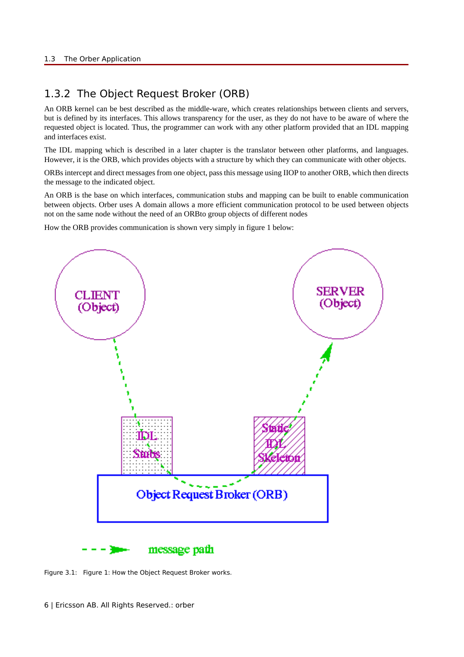# 1.3.2 The Object Request Broker (ORB)

An ORB kernel can be best described as the middle-ware, which creates relationships between clients and servers, but is defined by its interfaces. This allows transparency for the user, as they do not have to be aware of where the requested object is located. Thus, the programmer can work with any other platform provided that an IDL mapping and interfaces exist.

The IDL mapping which is described in a later chapter is the translator between other platforms, and languages. However, it is the ORB, which provides objects with a structure by which they can communicate with other objects.

ORBs intercept and direct messages from one object, pass this message using IIOP to another ORB, which then directs the message to the indicated object.

An ORB is the base on which interfaces, communication stubs and mapping can be built to enable communication between objects. Orber uses A domain allows a more efficient communication protocol to be used between objects not on the same node without the need of an ORBto group objects of different nodes

How the ORB provides communication is shown very simply in figure 1 below:



Figure 3.1: Figure 1: How the Object Request Broker works.

6 | Ericsson AB. All Rights Reserved.: orber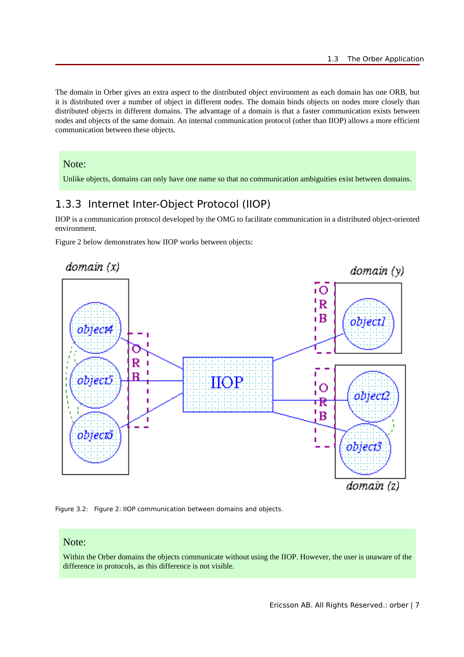The domain in Orber gives an extra aspect to the distributed object environment as each domain has one ORB, but it is distributed over a number of object in different nodes. The domain binds objects on nodes more closely than distributed objects in different domains. The advantage of a domain is that a faster communication exists between nodes and objects of the same domain. An internal communication protocol (other than IIOP) allows a more efficient communication between these objects.

### Note:

Unlike objects, domains can only have one name so that no communication ambiguities exist between domains.

# 1.3.3 Internet Inter-Object Protocol (IIOP)

IIOP is a communication protocol developed by the OMG to facilitate communication in a distributed object-oriented environment.

Figure 2 below demonstrates how IIOP works between objects:





### Note:

Within the Orber domains the objects communicate without using the IIOP. However, the user is unaware of the difference in protocols, as this difference is not visible.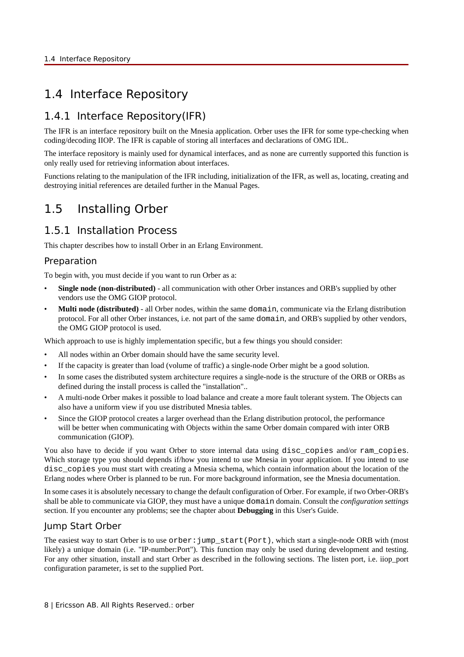# 1.4 Interface Repository

# 1.4.1 Interface Repository(IFR)

The IFR is an interface repository built on the Mnesia application. Orber uses the IFR for some type-checking when coding/decoding IIOP. The IFR is capable of storing all interfaces and declarations of OMG IDL.

The interface repository is mainly used for dynamical interfaces, and as none are currently supported this function is only really used for retrieving information about interfaces.

Functions relating to the manipulation of the IFR including, initialization of the IFR, as well as, locating, creating and destroying initial references are detailed further in the Manual Pages.

# 1.5 Installing Orber

# 1.5.1 Installation Process

This chapter describes how to install Orber in an Erlang Environment.

# Preparation

To begin with, you must decide if you want to run Orber as a:

- **Single node (non-distributed)** all communication with other Orber instances and ORB's supplied by other vendors use the OMG GIOP protocol.
- **Multi node (distributed)** all Orber nodes, within the same domain, communicate via the Erlang distribution protocol. For all other Orber instances, i.e. not part of the same domain, and ORB's supplied by other vendors, the OMG GIOP protocol is used.

Which approach to use is highly implementation specific, but a few things you should consider:

- All nodes within an Orber domain should have the same security level.
- If the capacity is greater than load (volume of traffic) a single-node Orber might be a good solution.
- In some cases the distributed system architecture requires a single-node is the structure of the ORB or ORBs as defined during the install process is called the "installation"..
- A multi-node Orber makes it possible to load balance and create a more fault tolerant system. The Objects can also have a uniform view if you use distributed Mnesia tables.
- Since the GIOP protocol creates a larger overhead than the Erlang distribution protocol, the performance will be better when communicating with Objects within the same Orber domain compared with inter ORB communication (GIOP).

You also have to decide if you want Orber to store internal data using disc\_copies and/or ram\_copies. Which storage type you should depends if/how you intend to use Mnesia in your application. If you intend to use disc copies you must start with creating a Mnesia schema, which contain information about the location of the Erlang nodes where Orber is planned to be run. For more background information, see the Mnesia documentation.

In some cases it is absolutely necessary to change the default configuration of Orber. For example, if two Orber-ORB's shall be able to communicate via GIOP, they must have a unique domain domain. Consult the *configuration settings* section. If you encounter any problems; see the chapter about **Debugging** in this User's Guide.

# Jump Start Orber

The easiest way to start Orber is to use orber: jump\_start(Port), which start a single-node ORB with (most likely) a unique domain (i.e. "IP-number:Port"). This function may only be used during development and testing. For any other situation, install and start Orber as described in the following sections. The listen port, i.e. iiop\_port configuration parameter, is set to the supplied Port.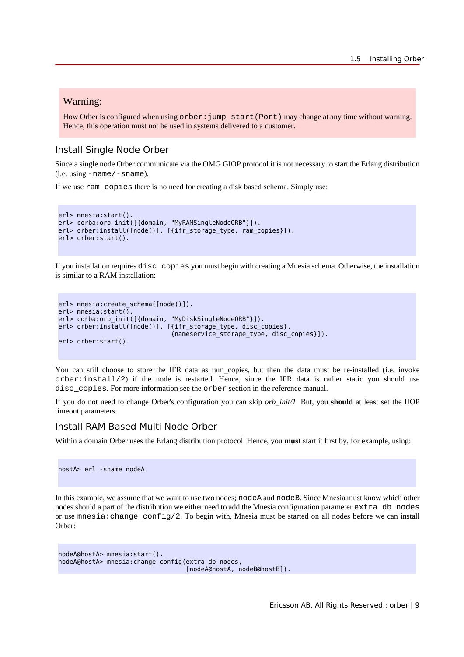### Warning:

How Orber is configured when using orber: jump\_start(Port) may change at any time without warning. Hence, this operation must not be used in systems delivered to a customer.

### Install Single Node Orber

Since a single node Orber communicate via the OMG GIOP protocol it is not necessary to start the Erlang distribution (i.e. using -name/-sname).

If we use ram\_copies there is no need for creating a disk based schema. Simply use:

```
erl> mnesia:start().
erl> corba:orb init([{domain, "MyRAMSingleNodeORB"}]).
erl> orber:install([node()], [{ifr_storage_type, ram_copies}]).
erl> orber:start().
```
If you installation requires disc\_copies you must begin with creating a Mnesia schema. Otherwise, the installation is similar to a RAM installation:

```
erl> mnesia: create schema([node()]).
erl> mnesia:start().
erl> corba:orb_init([{domain, "MyDiskSingleNodeORB"}]).
erl> orber:install([node()], [{ifr_storage_type, disc_copies},
                                {nameservice_storage_type, disc_copies}]).
erl> orber:start().
```
You can still choose to store the IFR data as ram\_copies, but then the data must be re-installed (i.e. invoke  $orber: install/2)$  if the node is restarted. Hence, since the IFR data is rather static you should use disc\_copies. For more information see the orber section in the reference manual.

If you do not need to change Orber's configuration you can skip *orb\_init/1*. But, you **should** at least set the IIOP timeout parameters.

# Install RAM Based Multi Node Orber

Within a domain Orber uses the Erlang distribution protocol. Hence, you **must** start it first by, for example, using:

hostA> erl -sname nodeA

In this example, we assume that we want to use two nodes; nodeA and nodeB. Since Mnesia must know which other nodes should a part of the distribution we either need to add the Mnesia configuration parameter extra\_db\_nodes or use mnesia:change\_config/2. To begin with, Mnesia must be started on all nodes before we can install Orber:

```
nodeA@hostA> mnesia:start().
nodeA@hostA> mnesia: change config(extra db nodes,
                                    [nodeA@hostA, nodeB@hostB]).
```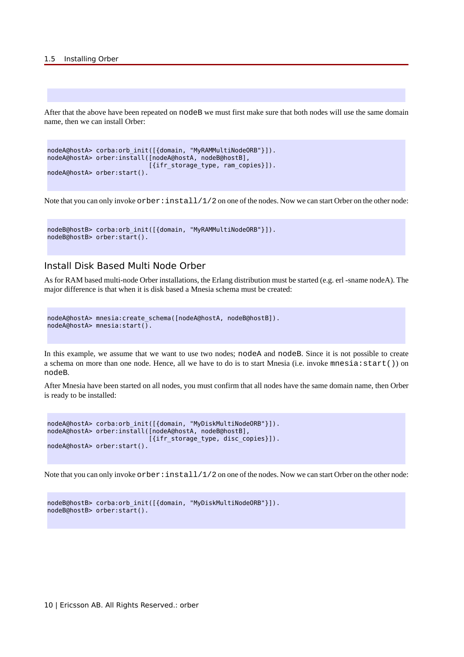After that the above have been repeated on nodeB we must first make sure that both nodes will use the same domain name, then we can install Orber:

```
nodeA@hostA> corba:orb_init([{domain, "MyRAMMultiNodeORB"}]).
nodeA@hostA> orber:install([nodeA@hostA, nodeB@hostB],
                            [{ifr_storage_type, ram_copies}]).
nodeA@hostA> orber:start().
```
Note that you can only invoke  $\text{other:}$  install/1/2 on one of the nodes. Now we can start Orber on the other node:

```
nodeB@hostB> corba:orb init([{domain, "MyRAMMultiNodeORB"}]).
nodeB@hostB> orber:start().
```
## Install Disk Based Multi Node Orber

As for RAM based multi-node Orber installations, the Erlang distribution must be started (e.g. erl -sname nodeA). The major difference is that when it is disk based a Mnesia schema must be created:

```
nodeA@hostA> mnesia:create_schema([nodeA@hostA, nodeB@hostB]).
nodeA@hostA> mnesia:start().
```
In this example, we assume that we want to use two nodes; nodeA and nodeB. Since it is not possible to create a schema on more than one node. Hence, all we have to do is to start Mnesia (i.e. invoke mnesia:start()) on nodeB.

After Mnesia have been started on all nodes, you must confirm that all nodes have the same domain name, then Orber is ready to be installed:

```
nodeA@hostA> corba:orb_init([{domain, "MyDiskMultiNodeORB"}]).
nodeA@hostA> orber:install([nodeA@hostA, nodeB@hostB],
                            [{ifr_storage_type, disc_copies}]).
nodeA@hostA> orber:start().
```
Note that you can only invoke orber: install/1/2 on one of the nodes. Now we can start Orber on the other node:

```
nodeB@hostB> corba:orb_init([{domain, "MyDiskMultiNodeORB"}]).
nodeB@hostB> orber:start().
```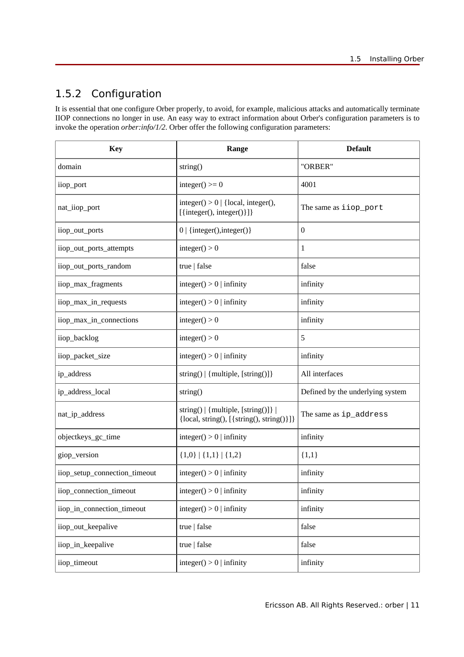# 1.5.2 Configuration

It is essential that one configure Orber properly, to avoid, for example, malicious attacks and automatically terminate IIOP connections no longer in use. An easy way to extract information about Orber's configuration parameters is to invoke the operation *orber:info/1/2*. Orber offer the following configuration parameters:

| <b>Key</b>                    | Range                                                                                | <b>Default</b>                   |  |
|-------------------------------|--------------------------------------------------------------------------------------|----------------------------------|--|
| domain                        | string()                                                                             | "ORBER"                          |  |
| iiop_port                     | $integer() >= 0$                                                                     | 4001                             |  |
| nat_iiop_port                 | $integer() > 0$   {local, integer(),<br>$[$ {integer(), integer()}]}                 | The same as iiop_port            |  |
| iiop_out_ports                | $0  $ {integer(),integer()}                                                          | $\boldsymbol{0}$                 |  |
| iiop_out_ports_attempts       | integer() > 0                                                                        | 1                                |  |
| iiop_out_ports_random         | true   false                                                                         | false                            |  |
| iiop_max_fragments            | $integer() > 0$   infinity                                                           | infinity                         |  |
| iiop_max_in_requests          | $integer() > 0$   infinity                                                           | infinity                         |  |
| iiop_max_in_connections       | integer() > 0                                                                        | infinity                         |  |
| iiop_backlog                  | integer() > 0                                                                        | 5                                |  |
| iiop_packet_size              | $integer() > 0$   infinity                                                           | infinity                         |  |
| ip_address                    | string() $\{$ {multiple, $[string()]\}$                                              | All interfaces                   |  |
| ip_address_local              | string()                                                                             | Defined by the underlying system |  |
| nat_ip_address                | string() $\{$ [multiple, $[string()]\}$<br>{local, string(), [{string(), string()}]} | The same as ip_address           |  |
| objectkeys_gc_time            | $integer() > 0$   infinity                                                           | infinity                         |  |
| giop_version                  | ${1,0}$   {1,1}   {1,2}                                                              | ${1,1}$                          |  |
| iiop_setup_connection_timeout | $integer() > 0$   infinity                                                           | infinity                         |  |
| iiop_connection_timeout       | $integer() > 0$   infinity                                                           | infinity                         |  |
| iiop_in_connection_timeout    | $integer() > 0$   infinity                                                           | infinity                         |  |
| iiop_out_keepalive            | true   false                                                                         | false                            |  |
| iiop_in_keepalive             | true   false                                                                         | false                            |  |
| iiop_timeout                  | $integer() > 0$   infinity                                                           | infinity                         |  |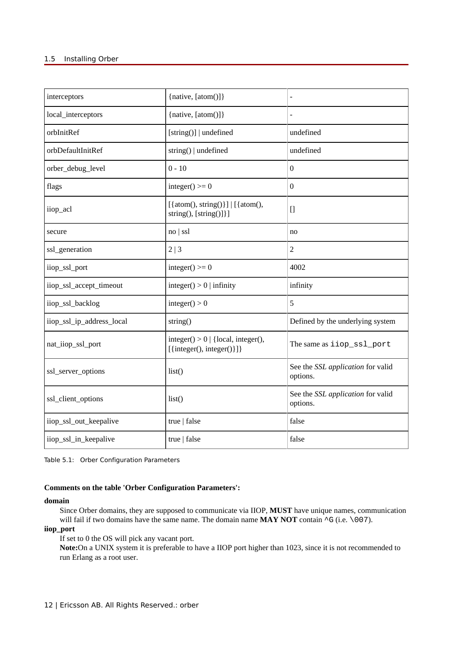#### 1.5 Installing Orber

| interceptors              | { $native, [atom()]\}$                                             |                                               |  |
|---------------------------|--------------------------------------------------------------------|-----------------------------------------------|--|
| local_interceptors        | {native, [atom()]}                                                 |                                               |  |
| orbInitRef                | $[string()]$   undefined                                           | undefined                                     |  |
| orbDefaultInitRef         | string()   undefined                                               | undefined                                     |  |
| orber_debug_level         | $0 - 10$                                                           | $\mathbf{0}$                                  |  |
| flags                     | $integer() >= 0$                                                   | $\mathbf{0}$                                  |  |
| iiop_acl                  | $[$ {atom(), string()}] $ $ [{atom(),<br>string(), [string()]}]    | $\begin{bmatrix} 1 \end{bmatrix}$             |  |
| secure                    | $no$   ssl                                                         | no                                            |  |
| ssl_generation            | 2 3                                                                | $\overline{2}$                                |  |
| iiop_ssl_port             | $integer() >= 0$                                                   | 4002                                          |  |
| iiop_ssl_accept_timeout   | $integer() > 0$   infinity                                         | infinity                                      |  |
| iiop_ssl_backlog          | integer() > 0                                                      | 5                                             |  |
| iiop_ssl_ip_address_local | string()                                                           | Defined by the underlying system              |  |
| nat_iiop_ssl_port         | $integer() > 0$ {local, integer(),<br>$[$ {integer(), integer()}]} | The same as iiop_ssl_port                     |  |
| ssl_server_options        | list()                                                             | See the SSL application for valid<br>options. |  |
| ssl_client_options        | list()                                                             | See the SSL application for valid<br>options. |  |
| iiop_ssl_out_keepalive    | true   false                                                       | false                                         |  |
| iiop_ssl_in_keepalive     | true   false                                                       | false                                         |  |

Table 5.1: Orber Configuration Parameters

#### **Comments on the table 'Orber Configuration Parameters':**

#### **domain**

Since Orber domains, they are supposed to communicate via IIOP, **MUST** have unique names, communication will fail if two domains have the same name. The domain name **MAY NOT** contain ^G (i.e. \007).

**iiop\_port**

If set to 0 the OS will pick any vacant port.

**Note:**On a UNIX system it is preferable to have a IIOP port higher than 1023, since it is not recommended to run Erlang as a root user.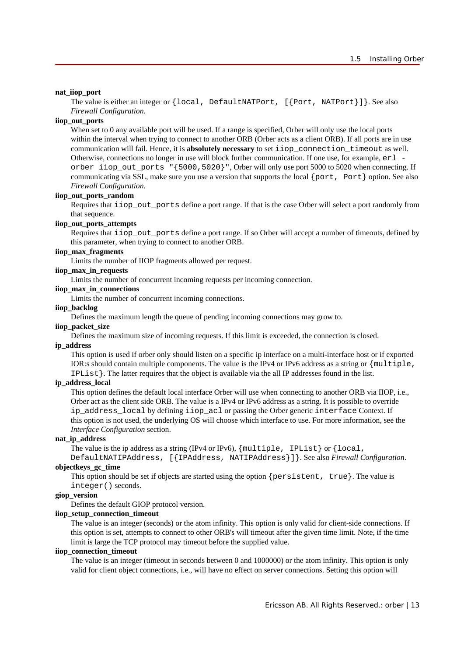#### **nat\_iiop\_port**

The value is either an integer or {local, DefaultNATPort, [{Port, NATPort}]}. See also *Firewall Configuration*.

#### **iiop\_out\_ports**

When set to 0 any available port will be used. If a range is specified, Orber will only use the local ports within the interval when trying to connect to another ORB (Orber acts as a client ORB). If all ports are in use communication will fail. Hence, it is **absolutely necessary** to set iiop\_connection\_timeout as well. Otherwise, connections no longer in use will block further communication. If one use, for example,  $er1$ orber iiop\_out\_ports "{5000,5020}", Orber will only use port 5000 to 5020 when connecting. If communicating via SSL, make sure you use a version that supports the local  $\{\text{port}, \text{Port}\}$  option. See also *Firewall Configuration*.

#### **iiop\_out\_ports\_random**

Requires that iiop\_out\_ports define a port range. If that is the case Orber will select a port randomly from that sequence.

#### **iiop\_out\_ports\_attempts**

Requires that iiop\_out\_ports define a port range. If so Orber will accept a number of timeouts, defined by this parameter, when trying to connect to another ORB.

#### **iiop\_max\_fragments**

Limits the number of IIOP fragments allowed per request.

#### **iiop\_max\_in\_requests**

Limits the number of concurrent incoming requests per incoming connection.

#### **iiop\_max\_in\_connections**

Limits the number of concurrent incoming connections.

#### **iiop\_backlog**

Defines the maximum length the queue of pending incoming connections may grow to.

#### **iiop\_packet\_size**

Defines the maximum size of incoming requests. If this limit is exceeded, the connection is closed.

#### **ip\_address**

This option is used if orber only should listen on a specific ip interface on a multi-interface host or if exported IOR:s should contain multiple components. The value is the IPv4 or IPv6 address as a string or  ${\{\text{multiple},\} }$ IPList}. The latter requires that the object is available via the all IP addresses found in the list.

#### **ip\_address\_local**

This option defines the default local interface Orber will use when connecting to another ORB via IIOP, i.e., Orber act as the client side ORB. The value is a IPv4 or IPv6 address as a string. It is possible to override ip\_address\_local by defining iiop\_acl or passing the Orber generic interface Context. If this option is not used, the underlying OS will choose which interface to use. For more information, see the *Interface Configuration* section.

#### **nat\_ip\_address**

The value is the ip address as a string (IPv4 or IPv6),  $\{\text{multiple}, \text{IPList}\}\$  or  $\{\text{local}, \text{IPList}\}\$ 

DefaultNATIPAddress, [{IPAddress, NATIPAddress}]}. See also *Firewall Configuration*. **objectkeys\_gc\_time**

This option should be set if objects are started using the option {persistent, true}. The value is integer() seconds.

#### **giop\_version**

Defines the default GIOP protocol version.

#### **iiop\_setup\_connection\_timeout**

The value is an integer (seconds) or the atom infinity. This option is only valid for client-side connections. If this option is set, attempts to connect to other ORB's will timeout after the given time limit. Note, if the time limit is large the TCP protocol may timeout before the supplied value.

#### **iiop\_connection\_timeout**

The value is an integer (timeout in seconds between 0 and 1000000) or the atom infinity. This option is only valid for client object connections, i.e., will have no effect on server connections. Setting this option will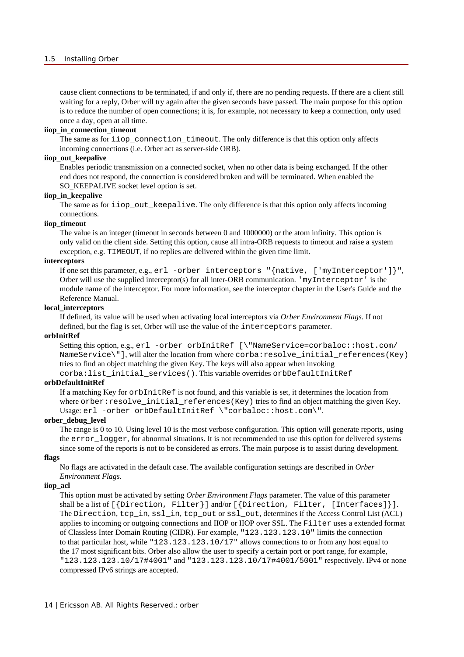cause client connections to be terminated, if and only if, there are no pending requests. If there are a client still waiting for a reply, Orber will try again after the given seconds have passed. The main purpose for this option is to reduce the number of open connections; it is, for example, not necessary to keep a connection, only used once a day, open at all time.

#### **iiop\_in\_connection\_timeout**

The same as for iiop\_connection\_timeout. The only difference is that this option only affects incoming connections (i.e. Orber act as server-side ORB).

#### **iiop\_out\_keepalive**

Enables periodic transmission on a connected socket, when no other data is being exchanged. If the other end does not respond, the connection is considered broken and will be terminated. When enabled the SO\_KEEPALIVE socket level option is set.

#### **iiop\_in\_keepalive**

The same as for iiop out keepalive. The only difference is that this option only affects incoming connections.

#### **iiop\_timeout**

The value is an integer (timeout in seconds between 0 and 1000000) or the atom infinity. This option is only valid on the client side. Setting this option, cause all intra-ORB requests to timeout and raise a system exception, e.g. TIMEOUT, if no replies are delivered within the given time limit.

#### **interceptors**

If one set this parameter, e.g., erl -orber interceptors "{native, ['myInterceptor']}", Orber will use the supplied interceptor(s) for all inter-ORB communication. ' $myInterceptor$ ' is the module name of the interceptor. For more information, see the interceptor chapter in the User's Guide and the Reference Manual.

#### **local\_interceptors**

If defined, its value will be used when activating local interceptors via *Orber Environment Flags*. If not defined, but the flag is set, Orber will use the value of the interceptors parameter.

#### **orbInitRef**

Setting this option, e.g., erl -orber orbInitRef [\"NameService=corbaloc::host.com/ NameService\"], will alter the location from where corba: resolve initial references(Key) tries to find an object matching the given Key. The keys will also appear when invoking corba:list\_initial\_services(). This variable overrides orbDefaultInitRef

#### **orbDefaultInitRef**

If a matching Key for orbInitRef is not found, and this variable is set, it determines the location from where orber: resolve\_initial\_references(Key) tries to find an object matching the given Key. Usage: erl -orber orbDefaultInitRef \"corbaloc::host.com\".

#### **orber\_debug\_level**

The range is 0 to 10. Using level 10 is the most verbose configuration. This option will generate reports, using the error\_logger, for abnormal situations. It is not recommended to use this option for delivered systems since some of the reports is not to be considered as errors. The main purpose is to assist during development.

#### **flags**

No flags are activated in the default case. The available configuration settings are described in *Orber Environment Flags*.

#### **iiop\_acl**

This option must be activated by setting *Orber Environment Flags* parameter. The value of this parameter shall be a list of  $[\{\text{Direction}, \text{Filter}\}]$  and/or  $[\{\text{Direction}, \text{Filter}, \text{Interfaces}\}].$ The Direction, tcp\_in, ssl\_in, tcp\_out or ssl\_out, determines if the Access Control List (ACL) applies to incoming or outgoing connections and IIOP or IIOP over SSL. The Filter uses a extended format of Classless Inter Domain Routing (CIDR). For example, "123.123.123.10" limits the connection to that particular host, while "123.123.123.10/17" allows connections to or from any host equal to the 17 most significant bits. Orber also allow the user to specify a certain port or port range, for example, "123.123.123.10/17#4001" and "123.123.123.10/17#4001/5001" respectively. IPv4 or none compressed IPv6 strings are accepted.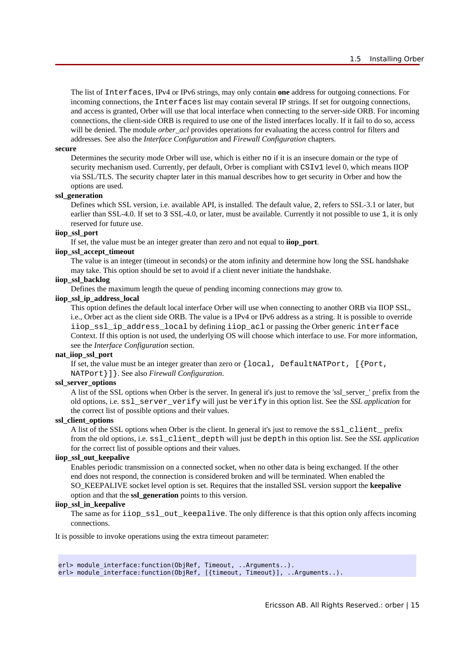The list of Interfaces, IPv4 or IPv6 strings, may only contain **one** address for outgoing connections. For incoming connections, the Interfaces list may contain several IP strings. If set for outgoing connections, and access is granted, Orber will use that local interface when connecting to the server-side ORB. For incoming connections, the client-side ORB is required to use one of the listed interfaces locally. If it fail to do so, access will be denied. The module *orber acl* provides operations for evaluating the access control for filters and addresses. See also the *Interface Configuration* and *Firewall Configuration* chapters.

#### **secure**

Determines the security mode Orber will use, which is either no if it is an insecure domain or the type of security mechanism used. Currently, per default, Orber is compliant with CSIv1 level 0, which means IIOP via SSL/TLS. The security chapter later in this manual describes how to get security in Orber and how the options are used.

#### **ssl\_generation**

Defines which SSL version, i.e. available API, is installed. The default value, 2, refers to SSL-3.1 or later, but earlier than SSL-4.0. If set to 3 SSL-4.0, or later, must be available. Currently it not possible to use 1, it is only reserved for future use.

#### **iiop\_ssl\_port**

If set, the value must be an integer greater than zero and not equal to **iiop\_port**.

#### **iiop\_ssl\_accept\_timeout**

The value is an integer (timeout in seconds) or the atom infinity and determine how long the SSL handshake may take. This option should be set to avoid if a client never initiate the handshake.

#### **iiop\_ssl\_backlog**

Defines the maximum length the queue of pending incoming connections may grow to.

#### **iiop\_ssl\_ip\_address\_local**

This option defines the default local interface Orber will use when connecting to another ORB via IIOP SSL, i.e., Orber act as the client side ORB. The value is a IPv4 or IPv6 address as a string. It is possible to override iiop\_ssl\_ip\_address\_local by defining iiop\_acl or passing the Orber generic interface Context. If this option is not used, the underlying OS will choose which interface to use. For more information, see the *Interface Configuration* section.

#### **nat\_iiop\_ssl\_port**

If set, the value must be an integer greater than zero or {local, DefaultNATPort, [{Port, NATPort}]}. See also *Firewall Configuration*.

#### **ssl\_server\_options**

A list of the SSL options when Orber is the server. In general it's just to remove the 'ssl\_server\_' prefix from the old options, i.e. ssl\_server\_verify will just be verify in this option list. See the *SSL application* for the correct list of possible options and their values.

#### **ssl\_client\_options**

A list of the SSL options when Orber is the client. In general it's just to remove the ssl\_client\_ prefix from the old options, i.e. ssl\_client\_depth will just be depth in this option list. See the *SSL application* for the correct list of possible options and their values.

#### **iiop\_ssl\_out\_keepalive**

Enables periodic transmission on a connected socket, when no other data is being exchanged. If the other end does not respond, the connection is considered broken and will be terminated. When enabled the SO\_KEEPALIVE socket level option is set. Requires that the installed SSL version support the **keepalive** option and that the **ssl\_generation** points to this version.

#### **iiop\_ssl\_in\_keepalive**

The same as for iiop\_ssl\_out\_keepalive. The only difference is that this option only affects incoming connections.

It is possible to invoke operations using the extra timeout parameter:

```
erl> module_interface:function(ObjRef, Timeout, ..Arguments..).
erl> module_interface:function(ObjRef, [{timeout, Timeout}], ..Arguments..).
```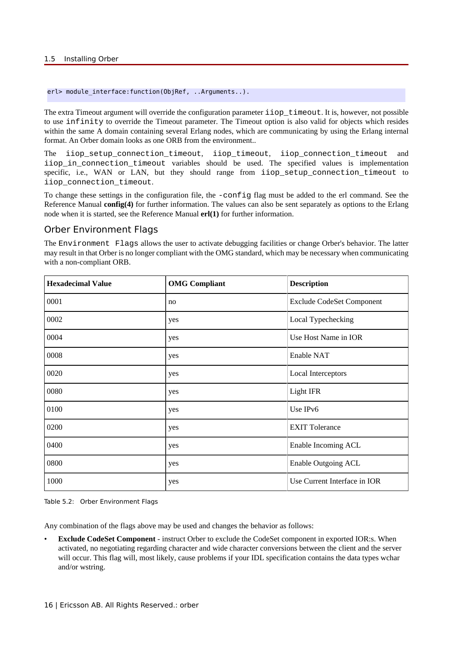#### erl> module interface:function(ObjRef, ..Arguments..).

The extra Timeout argument will override the configuration parameter iiop\_timeout. It is, however, not possible to use infinity to override the Timeout parameter. The Timeout option is also valid for objects which resides within the same A domain containing several Erlang nodes, which are communicating by using the Erlang internal format. An Orber domain looks as one ORB from the environment..

The iiop\_setup\_connection\_timeout, iiop\_timeout, iiop\_connection\_timeout and iiop\_in\_connection\_timeout variables should be used. The specified values is implementation specific, i.e., WAN or LAN, but they should range from iiop\_setup\_connection\_timeout to iiop\_connection\_timeout.

To change these settings in the configuration file, the -config flag must be added to the erl command. See the Reference Manual **config(4)** for further information. The values can also be sent separately as options to the Erlang node when it is started, see the Reference Manual **erl(1)** for further information.

#### Orber Environment Flags

The Environment Flags allows the user to activate debugging facilities or change Orber's behavior. The latter may result in that Orber is no longer compliant with the OMG standard, which may be necessary when communicating with a non-compliant ORB.

| <b>Hexadecimal Value</b> | <b>OMG</b> Compliant | <b>Description</b>               |
|--------------------------|----------------------|----------------------------------|
| 0001                     | no                   | <b>Exclude CodeSet Component</b> |
| 0002                     | yes                  | Local Typechecking               |
| 0004                     | yes                  | Use Host Name in IOR             |
| 0008                     | yes                  | Enable NAT                       |
| 0020                     | yes                  | <b>Local Interceptors</b>        |
| 0080                     | yes                  | <b>Light IFR</b>                 |
| 0100                     | yes                  | Use IPv6                         |
| 0200                     | yes                  | <b>EXIT Tolerance</b>            |
| 0400                     | yes                  | Enable Incoming ACL              |
| 0800                     | yes                  | Enable Outgoing ACL              |
| 1000                     | yes                  | Use Current Interface in IOR     |

Table 5.2: Orber Environment Flags

Any combination of the flags above may be used and changes the behavior as follows:

• **Exclude CodeSet Component** - instruct Orber to exclude the CodeSet component in exported IOR:s. When activated, no negotiating regarding character and wide character conversions between the client and the server will occur. This flag will, most likely, cause problems if your IDL specification contains the data types wchar and/or wstring.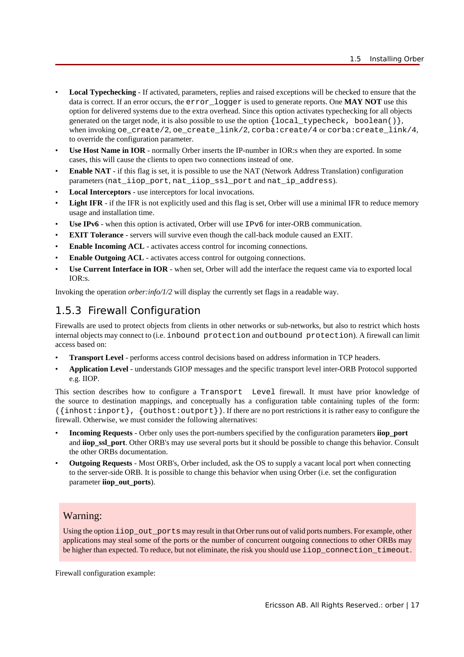- **Local Typechecking** If activated, parameters, replies and raised exceptions will be checked to ensure that the data is correct. If an error occurs, the error\_logger is used to generate reports. One **MAY NOT** use this option for delivered systems due to the extra overhead. Since this option activates typechecking for all objects generated on the target node, it is also possible to use the option  $\{local typecheck, boolean() \}$ , when invoking oe\_create/2, oe\_create\_link/2, corba:create/4 or corba:create\_link/4, to override the configuration parameter.
- **Use Host Name in IOR** normally Orber inserts the IP-number in IOR:s when they are exported. In some cases, this will cause the clients to open two connections instead of one.
- **Enable NAT** if this flag is set, it is possible to use the NAT (Network Address Translation) configuration parameters (nat\_iiop\_port, nat\_iiop\_ssl\_port and nat\_ip\_address).
- **Local Interceptors** use interceptors for local invocations.
- **Light IFR** if the IFR is not explicitly used and this flag is set, Orber will use a minimal IFR to reduce memory usage and installation time.
- Use IPv6 when this option is activated, Orber will use IPv6 for inter-ORB communication.
- **EXIT Tolerance** servers will survive even though the call-back module caused an EXIT.
- **Enable Incoming ACL** activates access control for incoming connections.
- **Enable Outgoing ACL** activates access control for outgoing connections.
- **Use Current Interface in IOR** when set, Orber will add the interface the request came via to exported local  $IOR \cdot s$

Invoking the operation *orber:info/1/2* will display the currently set flags in a readable way.

# 1.5.3 Firewall Configuration

Firewalls are used to protect objects from clients in other networks or sub-networks, but also to restrict which hosts internal objects may connect to (i.e. inbound protection and outbound protection). A firewall can limit access based on:

- **Transport Level** performs access control decisions based on address information in TCP headers.
- **Application Level** understands GIOP messages and the specific transport level inter-ORB Protocol supported e.g. IIOP.

This section describes how to configure a Transport Level firewall. It must have prior knowledge of the source to destination mappings, and conceptually has a configuration table containing tuples of the form:  $(\{\text{inhost:import}\}, \{\text{outhost:output}\})$ . If there are no port restrictions it is rather easy to configure the firewall. Otherwise, we must consider the following alternatives:

- **Incoming Requests** Orber only uses the port-numbers specified by the configuration parameters **iiop\_port** and **iiop\_ssl\_port**. Other ORB's may use several ports but it should be possible to change this behavior. Consult the other ORBs documentation.
- **Outgoing Requests** Most ORB's, Orber included, ask the OS to supply a vacant local port when connecting to the server-side ORB. It is possible to change this behavior when using Orber (i.e. set the configuration parameter **iiop\_out\_ports**).

## Warning:

Using the option iiop\_out\_ports may result in that Orber runs out of valid ports numbers. For example, other applications may steal some of the ports or the number of concurrent outgoing connections to other ORBs may be higher than expected. To reduce, but not eliminate, the risk you should use iiop\_connection\_timeout.

Firewall configuration example: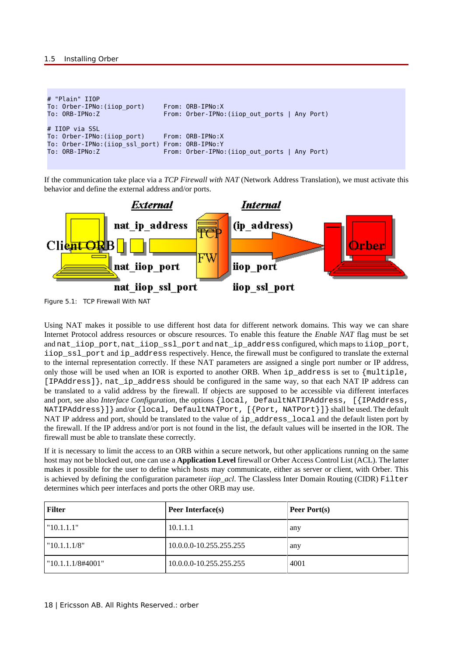```
# "Plain" IIOP
To: Orber-IPNo:(iiop_port) From: ORB-IPNo:X
                                        From: Orber-IPNo: (iiop out ports | Any Port)
# IIOP via SSL
To: Orber-IPNo:(iiop_port)    From: ORB-IPNo:X<br>To: Orber-IPNo:(iiop_ssl_port)    From: ORB-IPNo:Y
To: Orber-IPNo:(iiop_ssl_port)<br>To: ORB-IPNo:Z
                                        From: Orber-IPNo: (iiop_out_ports | Any Port)
```
If the communication take place via a *TCP Firewall with NAT* (Network Address Translation), we must activate this behavior and define the external address and/or ports.



Figure 5.1: TCP Firewall With NAT

Using NAT makes it possible to use different host data for different network domains. This way we can share Internet Protocol address resources or obscure resources. To enable this feature the *Enable NAT* flag must be set and nat iiop port, nat iiop ssl port and nat ip address configured, which maps to iiop port, iiop\_ssl\_port and ip\_address respectively. Hence, the firewall must be configured to translate the external to the internal representation correctly. If these NAT parameters are assigned a single port number or IP address, only those will be used when an IOR is exported to another ORB. When ip address is set to {multiple, [IPAddress], nat ip address should be configured in the same way, so that each NAT IP address can be translated to a valid address by the firewall. If objects are supposed to be accessible via different interfaces and port, see also *Interface Configuration*, the options {local, DefaultNATIPAddress, [{IPAddress, NATIPAddress}]} and/or {local, DefaultNATPort, [{Port, NATPort}]} shall be used. The default NAT IP address and port, should be translated to the value of ip\_address\_local and the default listen port by the firewall. If the IP address and/or port is not found in the list, the default values will be inserted in the IOR. The firewall must be able to translate these correctly.

If it is necessary to limit the access to an ORB within a secure network, but other applications running on the same host may not be blocked out, one can use a **Application Level** firewall or Orber Access Control List (ACL). The latter makes it possible for the user to define which hosts may communicate, either as server or client, with Orber. This is achieved by defining the configuration parameter *iiop\_acl*. The Classless Inter Domain Routing (CIDR) Filter determines which peer interfaces and ports the other ORB may use.

| <b>Filter</b>        | Peer Interface(s)       | <b>Peer Port(s)</b> |
|----------------------|-------------------------|---------------------|
| "10.1.1.1"           | 10.1.1.1                | any                 |
| "10.1.1.1/8"         | 10.0.0.0-10.255.255.255 | any                 |
| $"10.1.1.1/8\#4001"$ | 10.0.0.0-10.255.255.255 | 4001                |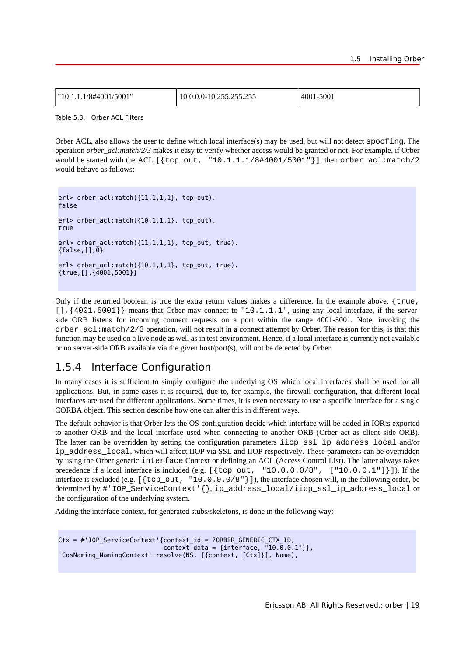| $\frac{1}{8}$ /8#4001/5001"<br>"10 | 7557575<br>-10.255.255.255<br>. U.U.U.U- | 5001 |
|------------------------------------|------------------------------------------|------|
|------------------------------------|------------------------------------------|------|

Table 5.3: Orber ACL Filters

Orber ACL, also allows the user to define which local interface(s) may be used, but will not detect spoofing. The operation *orber* acl:match/2/3 makes it easy to verify whether access would be granted or not. For example, if Orber would be started with the ACL  $[$ {tcp\_out, "10.1.1.1/8#4001/5001"}], then orber\_acl:match/2 would behave as follows:

```
erl> orber_acl:match({11,1,1,1}, tcp_out).
false
erl > order_{act:match}({10,1,1,1}, tcp_{out}).true
erl> orber \text{acl:match}({11,1,1,1},, tcp out, true).
{false,[],0}
erl> orber \text{acl:match}({10,1,1,1}, tcp out, true).
{true,[],{4001,5001}}
```
Only if the returned boolean is true the extra return values makes a difference. In the example above,  $\{true,$  $[$ ,  $[$  4001, 5001}} means that Orber may connect to  $"10.1.1.1"$ , using any local interface, if the serverside ORB listens for incoming connect requests on a port within the range 4001-5001. Note, invoking the orber\_acl:match/2/3 operation, will not result in a connect attempt by Orber. The reason for this, is that this function may be used on a live node as well as in test environment. Hence, if a local interface is currently not available or no server-side ORB available via the given host/port(s), will not be detected by Orber.

# 1.5.4 Interface Configuration

In many cases it is sufficient to simply configure the underlying OS which local interfaces shall be used for all applications. But, in some cases it is required, due to, for example, the firewall configuration, that different local interfaces are used for different applications. Some times, it is even necessary to use a specific interface for a single CORBA object. This section describe how one can alter this in different ways.

The default behavior is that Orber lets the OS configuration decide which interface will be added in IOR:s exported to another ORB and the local interface used when connecting to another ORB (Orber act as client side ORB). The latter can be overridden by setting the configuration parameters iiop\_ssl\_ip\_address\_local and/or ip\_address\_local, which will affect IIOP via SSL and IIOP respectively. These parameters can be overridden by using the Orber generic interface Context or defining an ACL (Access Control List). The latter always takes precedence if a local interface is included (e.g.  $[\{\text{top\_out}, \text{ "10.0.0.0/8", } \text{ ['10.0.0.1"]} \} ]$ ). If the interface is excluded (e.g.  $[\{\text{tcp\_out}, \text{ "10.0.0.0/8"}\}],$ ), the interface chosen will, in the following order, be determined by #'IOP\_ServiceContext'{}, ip\_address\_local/iiop\_ssl\_ip\_address\_local or the configuration of the underlying system.

Adding the interface context, for generated stubs/skeletons, is done in the following way:

```
Ctx = #'IOP_ServiceContext'{context_id = ?ORBER_GENERIC_CTX_ID, 
 context_data = {interface, "10.0.0.1"}},
'CosNaming_NamingContext':resolve(NS, [{context, [Ctx]}], Name),
```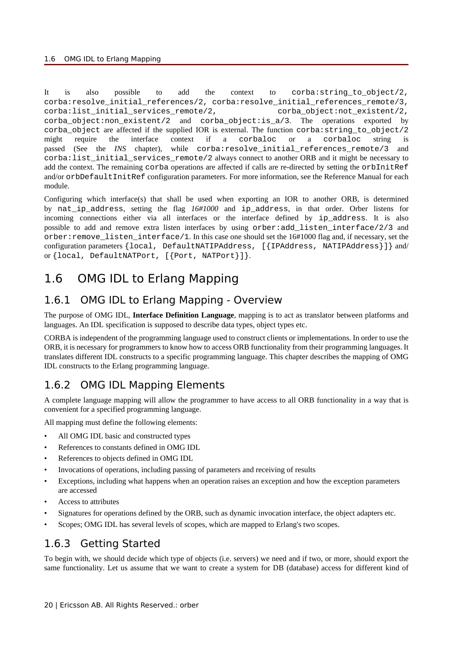It is also possible to add the context to corba: string to object/2, corba: resolve initial references/2, corba: resolve initial references remote/3, corba:list\_initial\_services\_remote/2, corba\_object:not\_existent/2, corba object:non existent/2 and corba object: is  $a/3$ . The operations exported by corba\_object are affected if the supplied IOR is external. The function corba:string\_to\_object/2 might require the interface context if a corbaloc or a corbaloc string is passed (See the *INS* chapter), while corba: resolve\_initial\_references\_remote/3 and corba:list\_initial\_services\_remote/2 always connect to another ORB and it might be necessary to add the context. The remaining corba operations are affected if calls are re-directed by setting the orbInitRef and/or orbDefaultInitRef configuration parameters. For more information, see the Reference Manual for each module.

Configuring which interface(s) that shall be used when exporting an IOR to another ORB, is determined by nat\_ip\_address, setting the flag *16#1000* and ip\_address, in that order. Orber listens for incoming connections either via all interfaces or the interface defined by ip\_address. It is also possible to add and remove extra listen interfaces by using orber: add listen interface/2/3 and orber:remove\_listen\_interface/1. In this case one should set the 16#1000 flag and, if necessary, set the configuration parameters {local, DefaultNATIPAddress, [{IPAddress, NATIPAddress}]} and/ or {local, DefaultNATPort, [{Port, NATPort}]}.

# 1.6 OMG IDL to Erlang Mapping

# 1.6.1 OMG IDL to Erlang Mapping - Overview

The purpose of OMG IDL, **Interface Definition Language**, mapping is to act as translator between platforms and languages. An IDL specification is supposed to describe data types, object types etc.

CORBA is independent of the programming language used to construct clients or implementations. In order to use the ORB, it is necessary for programmers to know how to access ORB functionality from their programming languages. It translates different IDL constructs to a specific programming language. This chapter describes the mapping of OMG IDL constructs to the Erlang programming language.

# 1.6.2 OMG IDL Mapping Elements

A complete language mapping will allow the programmer to have access to all ORB functionality in a way that is convenient for a specified programming language.

All mapping must define the following elements:

- All OMG IDL basic and constructed types
- References to constants defined in OMG IDL
- References to objects defined in OMG IDL
- Invocations of operations, including passing of parameters and receiving of results
- Exceptions, including what happens when an operation raises an exception and how the exception parameters are accessed
- Access to attributes
- Signatures for operations defined by the ORB, such as dynamic invocation interface, the object adapters etc.
- Scopes; OMG IDL has several levels of scopes, which are mapped to Erlang's two scopes.

# 1.6.3 Getting Started

To begin with, we should decide which type of objects (i.e. servers) we need and if two, or more, should export the same functionality. Let us assume that we want to create a system for DB (database) access for different kind of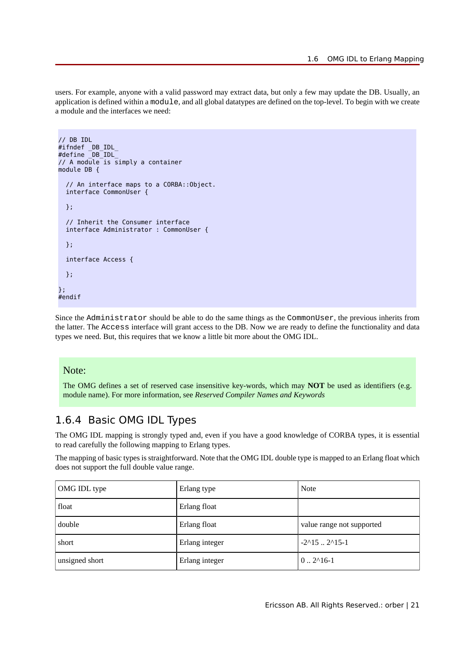users. For example, anyone with a valid password may extract data, but only a few may update the DB. Usually, an application is defined within a module, and all global datatypes are defined on the top-level. To begin with we create a module and the interfaces we need:

```
// DB IDL
#ifndef _DB_IDL_
#define _DB_IDL_
// A module is simply a container
module DB {
   // An interface maps to a CORBA::Object.
   interface CommonUser {
   };
   // Inherit the Consumer interface
   interface Administrator : CommonUser {
   };
   interface Access {
   };
};
#endif
```
Since the Administrator should be able to do the same things as the CommonUser, the previous inherits from the latter. The Access interface will grant access to the DB. Now we are ready to define the functionality and data types we need. But, this requires that we know a little bit more about the OMG IDL.

### Note:

The OMG defines a set of reserved case insensitive key-words, which may **NOT** be used as identifiers (e.g. module name). For more information, see *Reserved Compiler Names and Keywords*

# 1.6.4 Basic OMG IDL Types

The OMG IDL mapping is strongly typed and, even if you have a good knowledge of CORBA types, it is essential to read carefully the following mapping to Erlang types.

The mapping of basic types is straightforward. Note that the OMG IDL double type is mapped to an Erlang float which does not support the full double value range.

| OMG IDL type   | Erlang type    | <b>Note</b>                      |
|----------------|----------------|----------------------------------|
| float          | Erlang float   |                                  |
| double         | Erlang float   | value range not supported        |
| short          | Erlang integer | $-2^{\wedge}15$ $2^{\wedge}15-1$ |
| unsigned short | Erlang integer | $ 02^{\wedge}16-1 $              |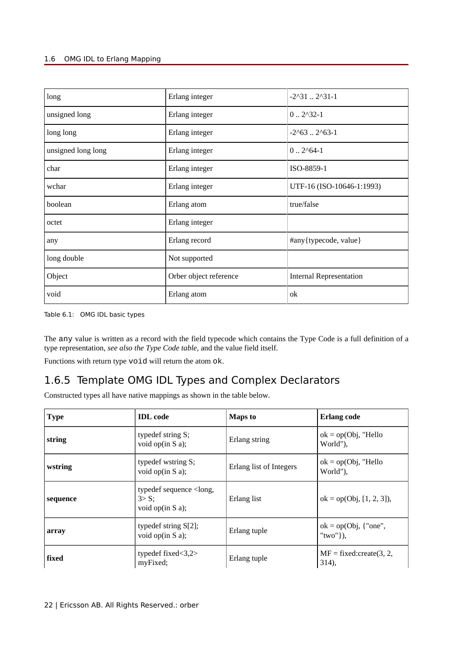### 1.6 OMG IDL to Erlang Mapping

| long               | Erlang integer         | $-2^{31}$ $2^{31-1}$           |  |
|--------------------|------------------------|--------------------------------|--|
| unsigned long      | Erlang integer         | $0.2^{\prime}32-1$             |  |
| long long          | Erlang integer         | $-2^{63}$ 2 <sup>63-1</sup>    |  |
| unsigned long long | Erlang integer         | $0.2^{64-1}$                   |  |
| char               | Erlang integer         | ISO-8859-1                     |  |
| wchar              | Erlang integer         | UTF-16 (ISO-10646-1:1993)      |  |
| boolean            | Erlang atom            | true/false                     |  |
| octet              | Erlang integer         |                                |  |
| any                | Erlang record          | #any{typecode, value}          |  |
| long double        | Not supported          |                                |  |
| Object             | Orber object reference | <b>Internal Representation</b> |  |
| void               | Erlang atom            | ok                             |  |

Table 6.1: OMG IDL basic types

The any value is written as a record with the field typecode which contains the Type Code is a full definition of a type representation, *see also the Type Code table*, and the value field itself.

Functions with return type void will return the atom ok.

# 1.6.5 Template OMG IDL Types and Complex Declarators

Constructed types all have native mappings as shown in the table below.

| <b>Type</b> | <b>IDL</b> code                                                                                | <b>Maps to</b>          | <b>Erlang</b> code                      |
|-------------|------------------------------------------------------------------------------------------------|-------------------------|-----------------------------------------|
| string      | typedef string S;<br>void op $(in S a);$                                                       | Erlang string           | $ok = op(Obj, "Hello$<br>World"),       |
| wstring     | typedef wstring S;<br>void op $(in S a);$                                                      | Erlang list of Integers | $ok = op(Obj, "Hello$<br>World"),       |
| sequence    | typedef sequence <long,<br><math>3 &gt; S</math>:<br/>void op<math>(in S a);</math></long,<br> | Erlang list             | $ok = op(Obj, [1, 2, 3]),$              |
| array       | typedef string S[2];<br>void op $(in S a);$                                                    | Erlang tuple            | $ok = op(Obj, {"one",}$<br>" $two"$ }), |
| fixed       | typedef fixed $<$ 3,2 $>$<br>myFixed;                                                          | Erlang tuple            | $MF = fixed:create(3, 2, )$<br>314,     |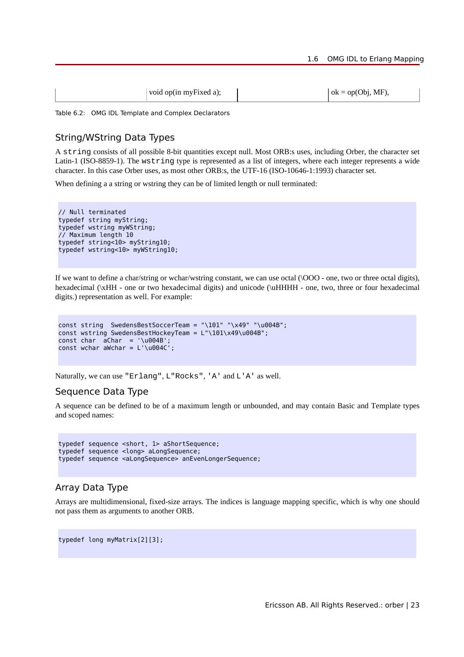| void op(in myFixed a); |  | $\alpha k = op(Obj, MF),$ |
|------------------------|--|---------------------------|
|------------------------|--|---------------------------|

Table 6.2: OMG IDL Template and Complex Declarators

# String/WString Data Types

A string consists of all possible 8-bit quantities except null. Most ORB:s uses, including Orber, the character set Latin-1 (ISO-8859-1). The wstring type is represented as a list of integers, where each integer represents a wide character. In this case Orber uses, as most other ORB:s, the UTF-16 (ISO-10646-1:1993) character set.

When defining a a string or wstring they can be of limited length or null terminated:

// Null terminated typedef string myString; typedef wstring myWString; // Maximum length 10 typedef string<10> myString10; typedef wstring<10> myWString10;

If we want to define a char/string or wchar/wstring constant, we can use octal  $(\Omega$ OOO - one, two or three octal digits), hexadecimal (\xHH - one or two hexadecimal digits) and unicode (\uHHHH - one, two, three or four hexadecimal digits.) representation as well. For example:

```
const string SwedensBestSoccerTeam = "\101" "\x49" "\u004B";
const wstring SwedensBestHockeyTeam = L"\101\x49\u004B";
const char aChar = ' \u004B'const wchar aWchar = L'\u004C';
```
Naturally, we can use "Erlang", L"Rocks", 'A' and L'A' as well.

### Sequence Data Type

A sequence can be defined to be of a maximum length or unbounded, and may contain Basic and Template types and scoped names:

```
typedef sequence <short, 1> aShortSequence;
typedef sequence <long> aLongSequence;
typedef sequence <aLongSequence> anEvenLongerSequence;
```
## Array Data Type

Arrays are multidimensional, fixed-size arrays. The indices is language mapping specific, which is why one should not pass them as arguments to another ORB.

typedef long myMatrix[2][3];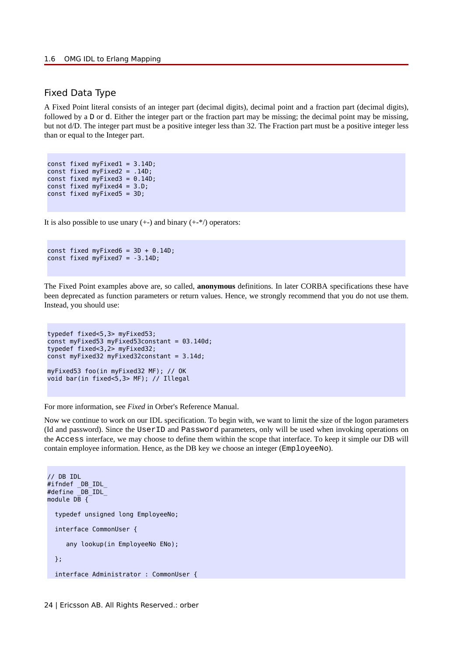## Fixed Data Type

A Fixed Point literal consists of an integer part (decimal digits), decimal point and a fraction part (decimal digits), followed by a D or d. Either the integer part or the fraction part may be missing; the decimal point may be missing, but not d/D. The integer part must be a positive integer less than 32. The Fraction part must be a positive integer less than or equal to the Integer part.

```
const fixed myFixed1 = 3.14D;
const fixed myFixed2 = .14D;
const fixed myFixed3 = 0.14D;
const fixed myFixed4 = 3.D:
const fixed myFixed5 = 3D;
```
It is also possible to use unary  $(+)$  and binary  $(+*)$  operators:

```
const fixed mvFixed6 = 3D + 0.14D;
const fixed myFixed7 = -3.14D;
```
The Fixed Point examples above are, so called, **anonymous** definitions. In later CORBA specifications these have been deprecated as function parameters or return values. Hence, we strongly recommend that you do not use them. Instead, you should use:

```
typedef fixed<5,3> myFixed53;
const myFixed53 myFixed53constant = 03.140d;
typedef fixed<3,2> myFixed32;
const myFixed32 myFixed32constant = 3.14d;
myFixed53 foo(in myFixed32 MF); // OK
void bar(in fixed<5,3> MF); // Illegal
```
For more information, see *Fixed* in Orber's Reference Manual.

Now we continue to work on our IDL specification. To begin with, we want to limit the size of the logon parameters (Id and password). Since the UserID and Password parameters, only will be used when invoking operations on the Access interface, we may choose to define them within the scope that interface. To keep it simple our DB will contain employee information. Hence, as the DB key we choose an integer (EmployeeNo).

```
// DB IDL
#ifndef _DB_IDL_
#define _DB_IDL_
module \overline{DB} {
   typedef unsigned long EmployeeNo;
   interface CommonUser {
      any lookup(in EmployeeNo ENo);
   };
   interface Administrator : CommonUser {
```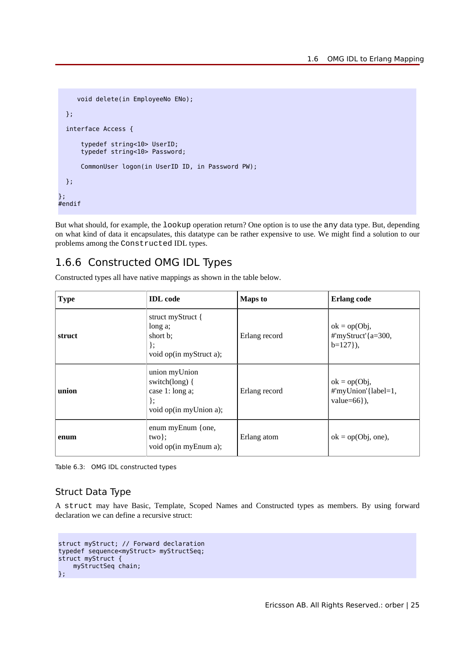```
 void delete(in EmployeeNo ENo);
  };
   interface Access {
       typedef string<10> UserID;
       typedef string<10> Password;
       CommonUser logon(in UserID ID, in Password PW);
  };
};
#endif
```
But what should, for example, the lookup operation return? One option is to use the any data type. But, depending on what kind of data it encapsulates, this datatype can be rather expensive to use. We might find a solution to our problems among the Constructed IDL types.

# 1.6.6 Constructed OMG IDL Types

Constructed types all have native mappings as shown in the table below.

| <b>Type</b> | <b>IDL</b> code                                                                           | <b>Maps to</b> | <b>Erlang</b> code                                       |
|-------------|-------------------------------------------------------------------------------------------|----------------|----------------------------------------------------------|
| struct      | struct myStruct {<br>long a;<br>short b:<br>$\}$ ;<br>void op(in myStruct a);             | Erlang record  | $ok = op(Obj,$<br>#'myStruct'{a=300,<br>$b=127$ }),      |
| union       | union myUnion<br>switch(long) $\{$<br>case 1: long a;<br>$\}$ ;<br>void op(in myUnion a); | Erlang record  | $ok = op(Obj,$<br>#'myUnion'{label=1,<br>value= $66$ }), |
| enum        | enum myEnum {one,<br>$two$ };<br>void op(in myEnum a);                                    | Erlang atom    | $ok = op(Obj, one),$                                     |

Table 6.3: OMG IDL constructed types

## Struct Data Type

A struct may have Basic, Template, Scoped Names and Constructed types as members. By using forward declaration we can define a recursive struct:

```
struct myStruct; // Forward declaration
typedef sequence<myStruct> myStructSeq;
struct myStruct {
     myStructSeq chain;
};
```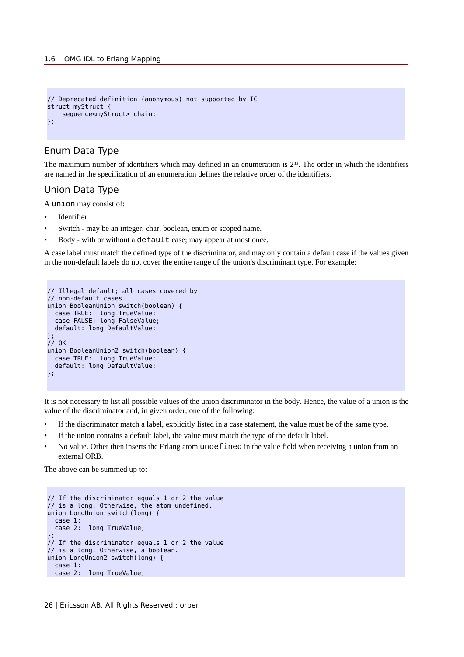```
// Deprecated definition (anonymous) not supported by IC
struct myStruct {
   sequence<myStruct> chain;
};
```
## Enum Data Type

The maximum number of identifiers which may defined in an enumeration is  $2<sup>32</sup>$ . The order in which the identifiers are named in the specification of an enumeration defines the relative order of the identifiers.

#### Union Data Type

A union may consist of:

- **Identifier**
- Switch may be an integer, char, boolean, enum or scoped name.
- Body with or without a default case; may appear at most once.

A case label must match the defined type of the discriminator, and may only contain a default case if the values given in the non-default labels do not cover the entire range of the union's discriminant type. For example:

```
// Illegal default; all cases covered by 
// non-default cases.
union BooleanUnion switch(boolean) {
  case TRUE: long TrueValue;
   case FALSE: long FalseValue;
   default: long DefaultValue; 
};
// OK
union BooleanUnion2 switch(boolean) {
   case TRUE: long TrueValue;
   default: long DefaultValue; 
};
```
It is not necessary to list all possible values of the union discriminator in the body. Hence, the value of a union is the value of the discriminator and, in given order, one of the following:

- If the discriminator match a label, explicitly listed in a case statement, the value must be of the same type.
- If the union contains a default label, the value must match the type of the default label.
- No value. Orber then inserts the Erlang atom undefined in the value field when receiving a union from an external ORB.

The above can be summed up to:

```
// If the discriminator equals 1 or 2 the value 
// is a long. Otherwise, the atom undefined.
union LongUnion switch(long) {
  case 1:
  case 2: long TrueValue;
};
// If the discriminator equals 1 or 2 the value 
// is a long. Otherwise, a boolean.
union LongUnion2 switch(long) {
  case 1:
  case 2: long TrueValue;
```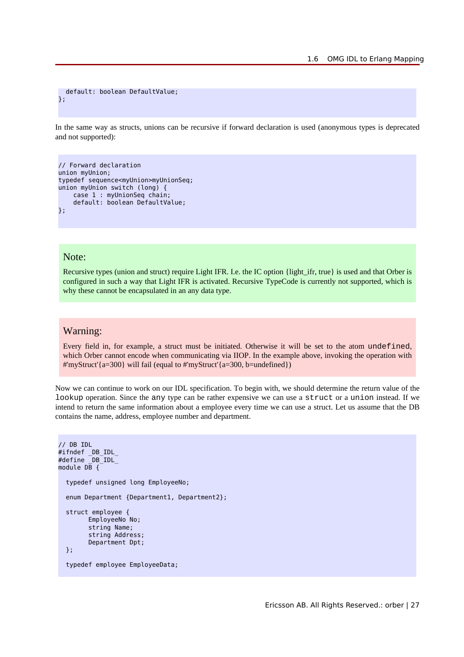```
 default: boolean DefaultValue; 
};
```
In the same way as structs, unions can be recursive if forward declaration is used (anonymous types is deprecated and not supported):

```
// Forward declaration
union myUnion;
typedef sequence<myUnion>myUnionSeq;
union myUnion switch (long) {
     case 1 : myUnionSeq chain;
     default: boolean DefaultValue;
};
```
### Note:

Recursive types (union and struct) require Light IFR. I.e. the IC option {light\_ifr, true} is used and that Orber is configured in such a way that Light IFR is activated. Recursive TypeCode is currently not supported, which is why these cannot be encapsulated in an any data type.

### Warning:

Every field in, for example, a struct must be initiated. Otherwise it will be set to the atom undefined, which Orber cannot encode when communicating via IIOP. In the example above, invoking the operation with #'myStruct'{a=300} will fail (equal to #'myStruct'{a=300, b=undefined})

Now we can continue to work on our IDL specification. To begin with, we should determine the return value of the lookup operation. Since the any type can be rather expensive we can use a struct or a union instead. If we intend to return the same information about a employee every time we can use a struct. Let us assume that the DB contains the name, address, employee number and department.

```
// DB IDL
#ifndef _DB_IDL_
#define _DB_IDL_
module DB {
   typedef unsigned long EmployeeNo;
   enum Department {Department1, Department2};
   struct employee {
         EmployeeNo No;
         string Name; 
         string Address; 
         Department Dpt;
  };
   typedef employee EmployeeData;
```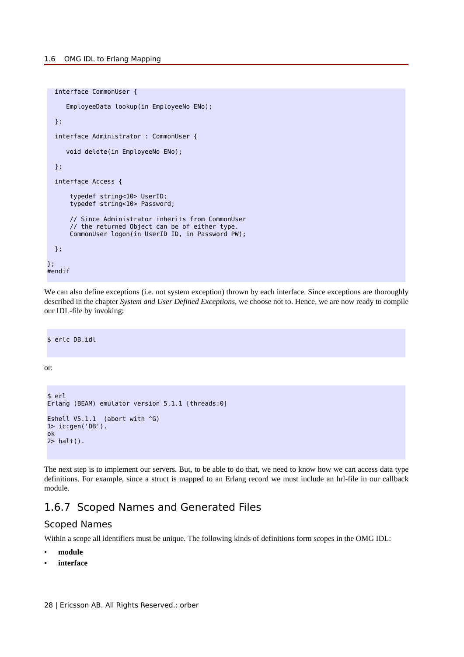```
 interface CommonUser {
      EmployeeData lookup(in EmployeeNo ENo);
   };
   interface Administrator : CommonUser {
      void delete(in EmployeeNo ENo);
   };
   interface Access {
       typedef string<10> UserID;
       typedef string<10> Password;
       // Since Administrator inherits from CommonUser
       // the returned Object can be of either type.
       CommonUser logon(in UserID ID, in Password PW);
   };
};
#endif
```
We can also define exceptions (i.e. not system exception) thrown by each interface. Since exceptions are thoroughly described in the chapter *System and User Defined Exceptions*, we choose not to. Hence, we are now ready to compile our IDL-file by invoking:

\$ erlc DB.idl

or:

```
$ erl
Erlang (BEAM) emulator version 5.1.1 [threads:0]
Eshell V5.1.1 (abort with \hat{G})
1> ic:gen('DB').
ok
2> halt().
```
The next step is to implement our servers. But, to be able to do that, we need to know how we can access data type definitions. For example, since a struct is mapped to an Erlang record we must include an hrl-file in our callback module.

# 1.6.7 Scoped Names and Generated Files

## Scoped Names

Within a scope all identifiers must be unique. The following kinds of definitions form scopes in the OMG IDL:

- **module**
- **interface**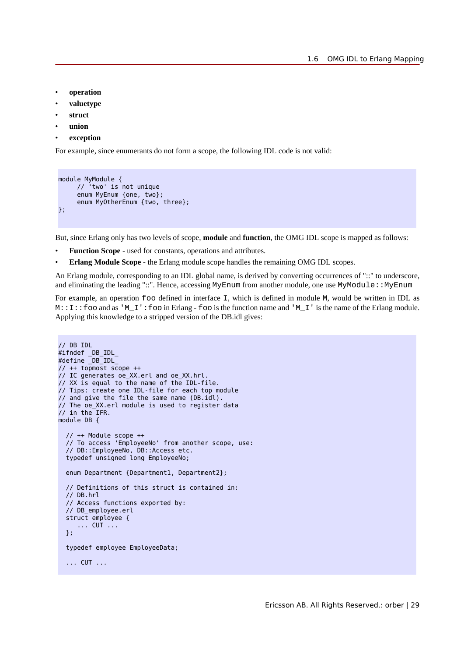- **operation**
- **valuetype**
- **struct**
- **union**
- **exception**

For example, since enumerants do not form a scope, the following IDL code is not valid:

```
module MyModule {
 // 'two' is not unique
      enum MyEnum {one, two};
      enum MyOtherEnum {two, three};
};
```
But, since Erlang only has two levels of scope, **module** and **function**, the OMG IDL scope is mapped as follows:

- **Function Scope** used for constants, operations and attributes.
- **Erlang Module Scope** the Erlang module scope handles the remaining OMG IDL scopes.

An Erlang module, corresponding to an IDL global name, is derived by converting occurrences of "::" to underscore, and eliminating the leading "::". Hence, accessing MyEnum from another module, one use MyModule::MyEnum

For example, an operation foo defined in interface I, which is defined in module M, would be written in IDL as M::I::foo and as 'M\_I':foo in Erlang - foo is the function name and 'M\_I' is the name of the Erlang module. Applying this knowledge to a stripped version of the DB.idl gives:

```
// DB IDL
#ifndef _DB_IDL_
#define _DB_IDL_
// ++ topmost scope ++ 
// IC generates oe_XX.erl and oe_XX.hrl.
// XX is equal to the name of the IDL-file.
// Tips: create one IDL-file for each top module
// and give the file the same name (DB.idl).
// The oe XX.erl module is used to register data
// in the IFR.
module DB {
   // ++ Module scope ++
   // To access 'EmployeeNo' from another scope, use:
   // DB::EmployeeNo, DB::Access etc.
   typedef unsigned long EmployeeNo;
   enum Department {Department1, Department2};
   // Definitions of this struct is contained in:
   // DB.hrl
   // Access functions exported by:
   // DB_employee.erl
   struct employee {
      ... CUT ...
   };
   typedef employee EmployeeData;
   ... CUT ...
```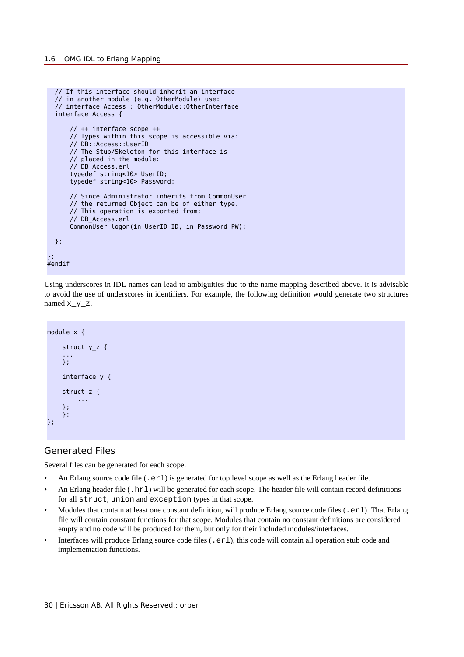```
 // If this interface should inherit an interface
  // in another module (e.g. OtherModule) use:
  // interface Access : OtherModule::OtherInterface
  interface Access {
       // ++ interface scope ++
       // Types within this scope is accessible via:
       // DB::Access::UserID
       // The Stub/Skeleton for this interface is
       // placed in the module:
       // DB_Access.erl
       typedef string<10> UserID;
       typedef string<10> Password;
       // Since Administrator inherits from CommonUser
       // the returned Object can be of either type.
       // This operation is exported from:
       // DB_Access.erl
       CommonUser logon(in UserID ID, in Password PW);
  };
};
#endif
```
Using underscores in IDL names can lead to ambiguities due to the name mapping described above. It is advisable to avoid the use of underscores in identifiers. For example, the following definition would generate two structures named  $x_y_z$ .

```
module x {
    struct y_z {
 ...
 };
     interface y {
     struct z {
 ...
     };
    };
};
```
## Generated Files

Several files can be generated for each scope.

- An Erlang source code file  $(.er1)$  is generated for top level scope as well as the Erlang header file.
- An Erlang header file (.hrl) will be generated for each scope. The header file will contain record definitions for all struct, union and exception types in that scope.
- Modules that contain at least one constant definition, will produce Erlang source code files  $(.er1)$ . That Erlang file will contain constant functions for that scope. Modules that contain no constant definitions are considered empty and no code will be produced for them, but only for their included modules/interfaces.
- Interfaces will produce Erlang source code files (.erl), this code will contain all operation stub code and implementation functions.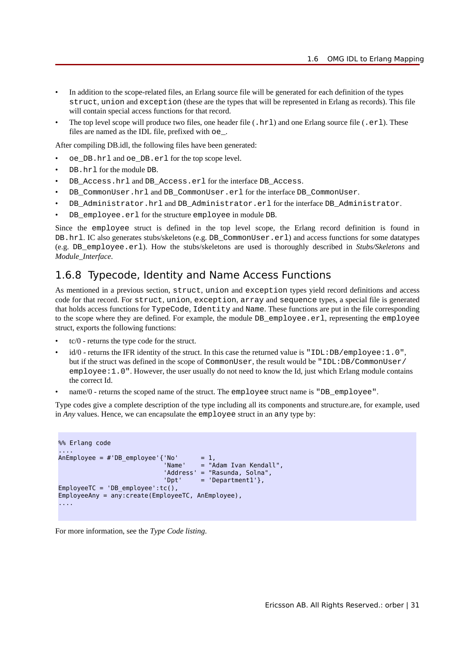- In addition to the scope-related files, an Erlang source file will be generated for each definition of the types struct, union and exception (these are the types that will be represented in Erlang as records). This file will contain special access functions for that record.
- The top level scope will produce two files, one header file  $(.hrl)$  and one Erlang source file  $(.er1)$ . These files are named as the IDL file, prefixed with oe\_.

After compiling DB.idl, the following files have been generated:

- oe\_DB.hrl and oe\_DB.erl for the top scope level.
- DB.hrl for the module DB.
- DB\_Access.hrl and DB\_Access.erl for the interface DB\_Access.
- DB\_CommonUser.hrl and DB\_CommonUser.erl for the interface DB\_CommonUser.
- DB\_Administrator.hrl and DB\_Administrator.erl for the interface DB\_Administrator.
- DB employee.erl for the structure employee in module DB.

Since the employee struct is defined in the top level scope, the Erlang record definition is found in DB.hrl. IC also generates stubs/skeletons (e.g. DB\_CommonUser.erl) and access functions for some datatypes (e.g. DB\_employee.erl). How the stubs/skeletons are used is thoroughly described in *Stubs/Skeletons* and *Module\_Interface*.

# 1.6.8 Typecode, Identity and Name Access Functions

As mentioned in a previous section, struct, union and exception types yield record definitions and access code for that record. For struct, union, exception, array and sequence types, a special file is generated that holds access functions for TypeCode, Identity and Name. These functions are put in the file corresponding to the scope where they are defined. For example, the module DB\_employee.erl, representing the employee struct, exports the following functions:

- $tc/0$  returns the type code for the struct.
- $\dot{d}/0$  returns the IFR identity of the struct. In this case the returned value is "IDL:DB/employee: 1.0", but if the struct was defined in the scope of CommonUser, the result would be "IDL:DB/CommonUser/ employee:1.0". However, the user usually do not need to know the Id, just which Erlang module contains the correct Id.
- name/0 returns the scoped name of the struct. The employee struct name is "DB\_employee".

Type codes give a complete description of the type including all its components and structure.are, for example, used in *Any* values. Hence, we can encapsulate the employee struct in an any type by:

```
%% Erlang code
....
AnEmployee = \#'DB_employee'{'No' = 1,<br>'Name' = "/
                                             = "Adam Ivan Kendall",
                                  'Address' = "Rasunda, Solna",\n'Drt' = 'Denartment1'}.= 'Department1'},
EmployeeTC = 'DB employee':tc(),
EmployeeAny = any:create(EmployeeTC, AnEmployee),
....
```
For more information, see the *Type Code listing*.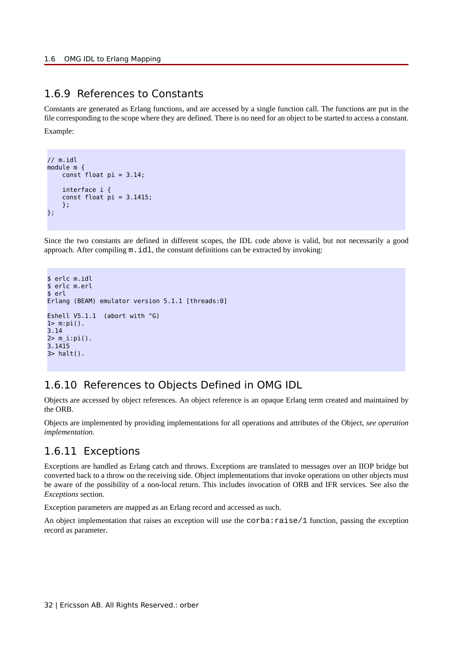# 1.6.9 References to Constants

Constants are generated as Erlang functions, and are accessed by a single function call. The functions are put in the file corresponding to the scope where they are defined. There is no need for an object to be started to access a constant.

Example:

```
// m.idl
module m {
    const float pi = 3.14;
     interface i {
    const float pi = 3.1415;
     };
};
```
Since the two constants are defined in different scopes, the IDL code above is valid, but not necessarily a good approach. After compiling  $m.i d1$ , the constant definitions can be extracted by invoking:

```
$ erlc m.idl
$ erlc m.erl
$ erl
Erlang (BEAM) emulator version 5.1.1 [threads:0]
Eshell V5.1.1 (abort with \hat{C})
1> m:pi().
3.14
2> m i:pi().
3.14\overline{1}53> halt().
```
# 1.6.10 References to Objects Defined in OMG IDL

Objects are accessed by object references. An object reference is an opaque Erlang term created and maintained by the ORB.

Objects are implemented by providing implementations for all operations and attributes of the Object, *see operation implementation*.

# 1.6.11 Exceptions

Exceptions are handled as Erlang catch and throws. Exceptions are translated to messages over an IIOP bridge but converted back to a throw on the receiving side. Object implementations that invoke operations on other objects must be aware of the possibility of a non-local return. This includes invocation of ORB and IFR services. See also the *Exceptions* section.

Exception parameters are mapped as an Erlang record and accessed as such.

An object implementation that raises an exception will use the corba: raise/1 function, passing the exception record as parameter.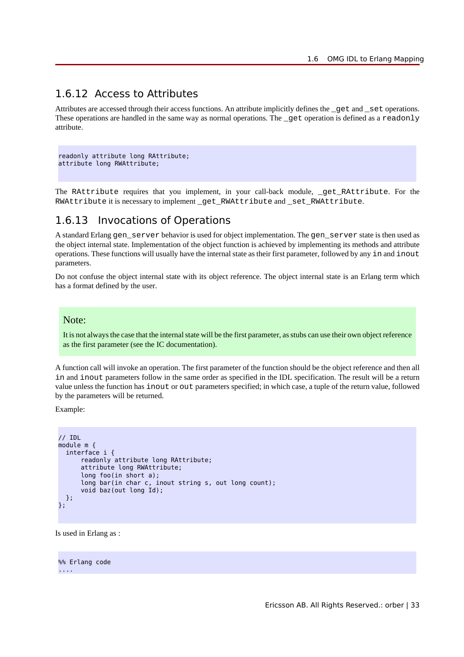# 1.6.12 Access to Attributes

Attributes are accessed through their access functions. An attribute implicitly defines the  $q$ et and set operations. These operations are handled in the same way as normal operations. The  $q$ et operation is defined as a readonly attribute.

```
readonly attribute long RAttribute;
attribute long RWAttribute;
```
The RAttribute requires that you implement, in your call-back module, \_get\_RAttribute. For the RWAttribute it is necessary to implement \_get\_RWAttribute and \_set\_RWAttribute.

# 1.6.13 Invocations of Operations

A standard Erlang gen server behavior is used for object implementation. The gen server state is then used as the object internal state. Implementation of the object function is achieved by implementing its methods and attribute operations. These functions will usually have the internal state as their first parameter, followed by any in and inout parameters.

Do not confuse the object internal state with its object reference. The object internal state is an Erlang term which has a format defined by the user.

### Note:

It is not always the case that the internal state will be the first parameter, as stubs can use their own object reference as the first parameter (see the IC documentation).

A function call will invoke an operation. The first parameter of the function should be the object reference and then all in and inout parameters follow in the same order as specified in the IDL specification. The result will be a return value unless the function has inout or out parameters specified; in which case, a tuple of the return value, followed by the parameters will be returned.

Example:

```
// IDL
module m {
   interface i {
       readonly attribute long RAttribute;
       attribute long RWAttribute;
       long foo(in short a);
       long bar(in char c, inout string s, out long count);
       void baz(out long Id);
  };
};
```
Is used in Erlang as :

%% Erlang code ....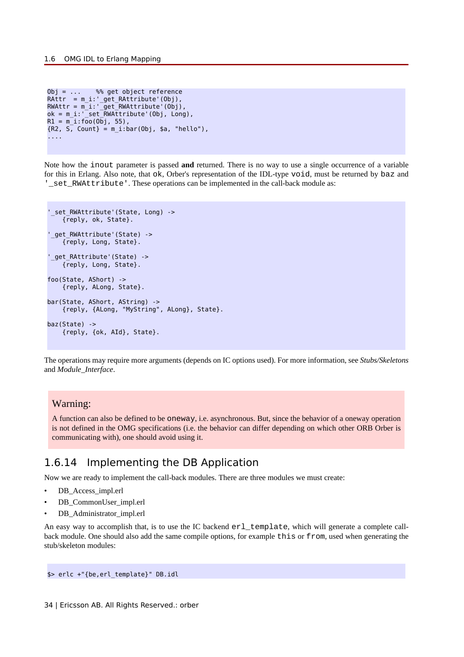```
Obj = ... %% get object reference
RAttr = m_i:'_get_RAttribute'(Obj),
RWAttr = m_i:'_get_RWAttribute'(Obj),
ok = m_i: '_set_RWAttribute'(Obj, Long),
R1 = m_i: foo(0bj, 55),
{R2, 5, Count} = m i:bar(Obj, 4a, "hello"),
....
```
Note how the inout parameter is passed **and** returned. There is no way to use a single occurrence of a variable for this in Erlang. Also note, that ok, Orber's representation of the IDL-type void, must be returned by baz and '\_set\_RWAttribute'. These operations can be implemented in the call-back module as:

```
' set RWAttribute'(State, Long) ->
     {reply, ok, State}.
'_get_RWAttribute'(State) ->
     {reply, Long, State}.
'_get_RAttribute'(State) ->
     {reply, Long, State}.
foo(State, AShort) ->
     {reply, ALong, State}.
bar(State, AShort, AString) ->
     {reply, {ALong, "MyString", ALong}, State}.
baz(State) ->
     {reply, {ok, AId}, State}.
```
The operations may require more arguments (depends on IC options used). For more information, see *Stubs/Skeletons* and *Module\_Interface*.

### Warning:

A function can also be defined to be oneway, i.e. asynchronous. But, since the behavior of a oneway operation is not defined in the OMG specifications (i.e. the behavior can differ depending on which other ORB Orber is communicating with), one should avoid using it.

# 1.6.14 Implementing the DB Application

Now we are ready to implement the call-back modules. There are three modules we must create:

- DB Access impl.erl
- DB\_CommonUser\_impl.erl
- DB\_Administrator\_impl.erl

An easy way to accomplish that, is to use the IC backend  $erl_t$  template, which will generate a complete callback module. One should also add the same compile options, for example this or from, used when generating the stub/skeleton modules:

```
$> erlc +"{be,erl_template}" DB.idl
```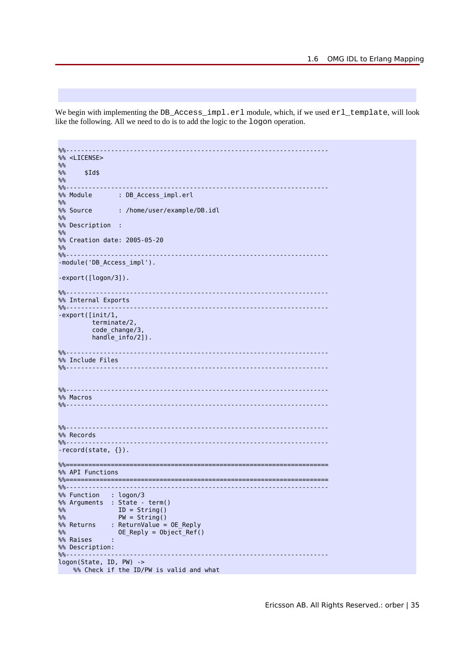We begin with implementing the DB\_Access\_impl.erl module, which, if we used erl\_template, will look like the following. All we need to do is to add the logic to the logon operation.

```
%%----------------------------------------------------------------------
%% <LICENSE>
%% 
       $Id$%%
%%----------------------------------------------------------------------
                : DB_Access_impl.erl
%%<br>%% Source
                : /home/user/example/DB.idl
%% 
%% Description : 
%%% Creation date: 2005-05-20
%<br>%% - -
%%----------------------------------------------------------------------
-module('DB Access impl').
-export([logon/3]).
%%----------------------------------------------------------------------
%% Internal Exports<br>%%-----------------
%%----------------------------------------------------------------------
-export([init/1,
          terminate/2,
           code_change/3,
          handle info/2]).
%%----------------------------------------------------------------------
%% Include Files<br>%%--------------
%%----------------------------------------------------------------------
%%----------------------------------------------------------------------
%% Macros
%%----------------------------------------------------------------------
%%----------------------------------------------------------------------
%% Records
%%----------------------------------------------------------------------
-record(state, {}).
%%======================================================================
%% API Functions
%%======================================================================
%%----------------------------------------------------------------------
%% Function : logon/3
%% Arguments : State - term()
%% ID = String()
%% PW = String()
%% Returns : ReturnValue = OE_Reply
%% OE_Reply = Object_Ref()
%% Raises : 
%% Description:<br>%%-------------
                                                   %%----------------------------------------------------------------------
logon(State, ID, PW) ->
     %% Check if the ID/PW is valid and what
```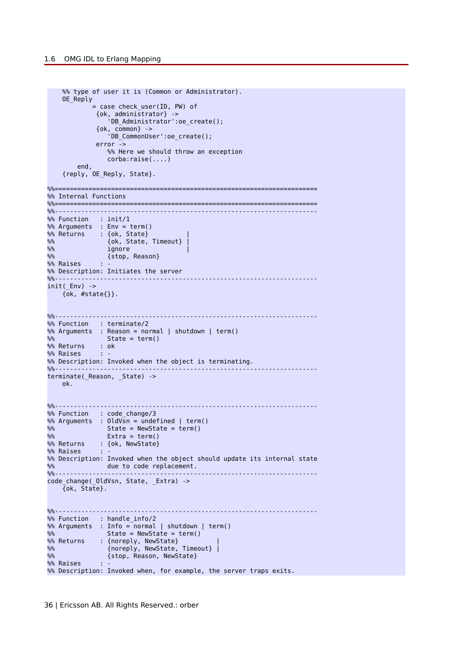```
 %% type of user it is (Common or Administrator).
     OE_Reply
              = case check_user(ID, PW) of
               {ok, administrator} ->
                   'DB_Administrator':oe_create();
              \{ok, common\} ->
                  'DB_CommonUser':oe_create();
               error ->
                 %% Here we should throw an exception
                  corba:raise(....)
         end,
     {reply, OE_Reply, State}.
%%======================================================================
%% Internal Functions
%%======================================================================
%%----------------------------------------------------------------------
%% Function : init/1
%% Arguments : Env = term()
%% Returns : {ok, State} |
%% {ok, State, Timeout} |
%% ignore |
%% {stop, Reason}<br>% Raises : -
%% Raises
%% Description: Initiates the server
%%----------------------------------------------------------------------
init( Env) \rightarrow\{ok, #state\}.
%%----------------------------------------------------------------------
%% Function : terminate/2
%% Arguments : Reason = normal | shutdown | term()<br>%% State = term()
             State = term()<br>: ok
%% Returns
%% Raises : -
%% Description: Invoked when the object is terminating.
%%----------------------------------------------------------------------
terminate(_Reason, _State) ->
     ok.
%%----------------------------------------------------------------------
%% Function : code_change/3
%% Arguments : OldVsn = undefined | term()
%% State = NewState = term()
%% Extra = term()
%% Returns : {ok, NewState}<br>%% Raises : -
%% Raises
%% Description: Invoked when the object should update its internal state
%% due to code replacement.
%%----------------------------------------------------------------------
code_change(_OldVsn, State, _Extra) ->
    \overline{\{ok, State\}}.
%%----------------------------------------------------------------------
%% Function : handle info/2
%% Arguments : Info = normal | shutdown | term()<br>%% State = NewState = term()
%% State = NewState = term()<br>%% Returns : {noreply, NewState}
              : {noreply, NewState}
%% {noreply, NewState, Timeout} |
%% {stop, Reason, NewState}<br>%% Raises : -
%% Raises
%% Description: Invoked when, for example, the server traps exits.
```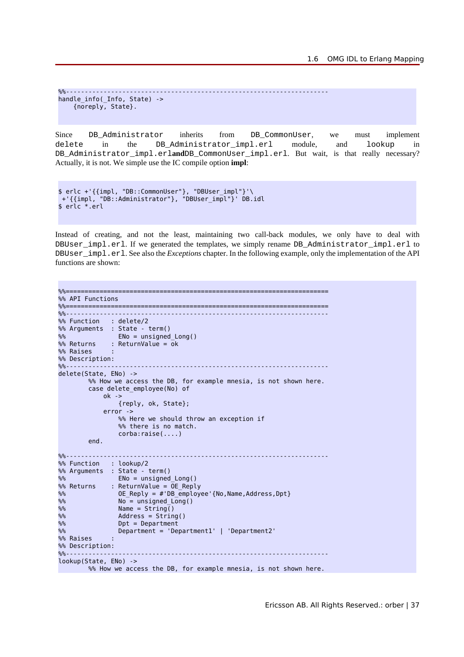```
%%----------------------------------------------------------------------
handle info( Info, State) ->
    {noreply, State}.
```
Since DB\_Administrator inherits from DB\_CommonUser, we must implement delete in the DB\_Administrator\_impl.erl module, and lookup in DB\_Administrator\_impl.erl**and**DB\_CommonUser\_impl.erl. But wait, is that really necessary? Actually, it is not. We simple use the IC compile option **impl**:

```
$ erlc +'{{impl, "DB::CommonUser"}, "DBUser_impl"}'\
 +'{{impl, "DB::Administrator"}, "DBUser_impl"}' DB.idl
$ erlc *.erl
```
Instead of creating, and not the least, maintaining two call-back modules, we only have to deal with DBUser\_impl.erl. If we generated the templates, we simply rename DB\_Administrator\_impl.erl to DBUser\_impl.erl. See also the *Exceptions* chapter. In the following example, only the implementation of the API functions are shown:

```
%%======================================================================
%% API Functions
%=======================
%%----------------------------------------------------------------------
%% Function : delete/2
%% Arguments : State - term()
%% ENo = unsigned_Long()
%% Returns : ReturnValue = ok
%% Raises :
%% Description:<br>%%-------------
%%----------------------------------------------------------------------
delete(State, ENo) ->
        %% How we access the DB, for example mnesia, is not shown here.
        case delete employee(No) of
             ok -> {reply, ok, State};
              error ->
                 %% Here we should throw an exception if
                  %% there is no match.
                  corba:raise(....)
         end.
%%----------------------------------------------------------------------
%% Function : lookup/2
%% Arguments : State - term()
%% ENo = unsigned_Long()
              : ReturnValue = 0E Reply
%% OE\_Reply = #'DB\_employee'{No, Name, Address, Dpt}<br>%% No = unsinned\_long()%% No = unsigned_Long()
% Name = String()<br>% Address = String()%% Address = String()
                 Dpt = Department%% Department = 'Department1' | 'Department2' 
%% Raises
%% Description:<br>%-------------
%%----------------------------------------------------------------------
lookup(State, ENo) ->
        %% How we access the DB, for example mnesia, is not shown here.
```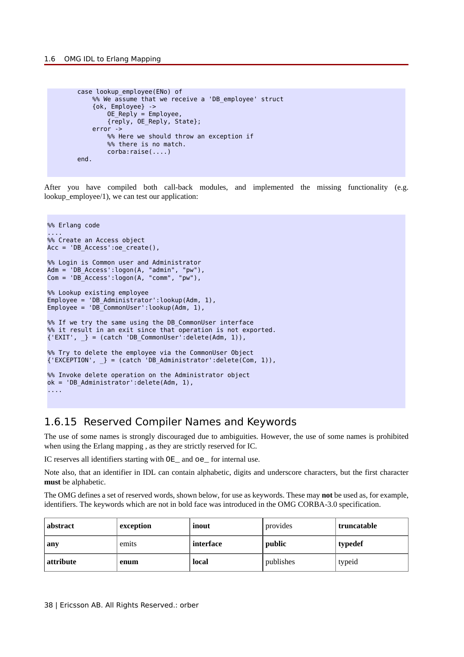```
 case lookup_employee(ENo) of
    %% We assume that we receive a 'DB employee' struct
     {ok, Employee} ->
        OE Reply = Emplope, {reply, OE_Reply, State};
     error ->
         %% Here we should throw an exception if
         %% there is no match.
         corba:raise(....)
 end.
```
After you have compiled both call-back modules, and implemented the missing functionality (e.g. lookup\_employee/1), we can test our application:

```
%% Erlang code
....
%% Create an Access object
Acc = 'DB Access':oe_create(),
%% Login is Common user and Administrator
Adm = 'DB_Access':logon(A, "admin", "pw"),
Com = 'DB_Access':logon(A, "comm", "pw"),
%% Lookup existing employee
Employee = 'DB_Administrator':lookup(Adm, 1),
Employee = 'DB_CommonUser':lookup(Adm, 1),
%% If we try the same using the DB CommonUser interface
%% it result in an exit since that operation is not exported.
{^{\prime}} EXIT', } = (catch 'DB CommonUser':delete(Adm, 1)),%% Try to delete the employee via the CommonUser Object
{'EXCEPTION', _} = (catch 'DB_Administrator':delete(Com, 1)),
%% Invoke delete operation on the Administrator object
ok = 'DB_Administrator':delete(Adm, 1),
....
```
## 1.6.15 Reserved Compiler Names and Keywords

The use of some names is strongly discouraged due to ambiguities. However, the use of some names is prohibited when using the Erlang mapping , as they are strictly reserved for IC.

IC reserves all identifiers starting with OE\_ and oe\_ for internal use.

Note also, that an identifier in IDL can contain alphabetic, digits and underscore characters, but the first character **must** be alphabetic.

The OMG defines a set of reserved words, shown below, for use as keywords. These may **not** be used as, for example, identifiers. The keywords which are not in bold face was introduced in the OMG CORBA-3.0 specification.

| abstract  | exception | inout     | provides  | truncatable |
|-----------|-----------|-----------|-----------|-------------|
| any       | emits     | interface | public    | typedef     |
| attribute | enum      | local     | publishes | typeid      |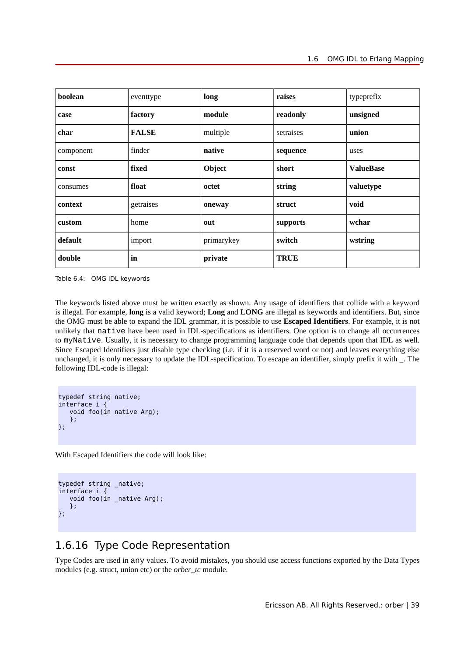| boolean   | eventtype    | long       | raises      | typeprefix       |
|-----------|--------------|------------|-------------|------------------|
| case      | factory      | module     | readonly    | unsigned         |
| char      | <b>FALSE</b> | multiple   | setraises   | union            |
| component | finder       | native     | sequence    | uses             |
| const     | fixed        | Object     | short       | <b>ValueBase</b> |
| consumes  | float        | octet      | string      | valuetype        |
| context   | getraises    | oneway     | struct      | void             |
| custom    | home         | out        | supports    | wchar            |
| default   | import       | primarykey | switch      | wstring          |
| double    | in           | private    | <b>TRUE</b> |                  |

Table 6.4: OMG IDL keywords

The keywords listed above must be written exactly as shown. Any usage of identifiers that collide with a keyword is illegal. For example, **long** is a valid keyword; **Long** and **LONG** are illegal as keywords and identifiers. But, since the OMG must be able to expand the IDL grammar, it is possible to use **Escaped Identifiers**. For example, it is not unlikely that native have been used in IDL-specifications as identifiers. One option is to change all occurrences to myNative. Usually, it is necessary to change programming language code that depends upon that IDL as well. Since Escaped Identifiers just disable type checking (i.e. if it is a reserved word or not) and leaves everything else unchanged, it is only necessary to update the IDL-specification. To escape an identifier, simply prefix it with **\_**. The following IDL-code is illegal:

```
typedef string native;
interface i {
    void foo(in native Arg);
    };
};
```
With Escaped Identifiers the code will look like:

```
typedef string _native;
interface i {
    void foo(in _native Arg);
    };
};
```
## 1.6.16 Type Code Representation

Type Codes are used in any values. To avoid mistakes, you should use access functions exported by the Data Types modules (e.g. struct, union etc) or the *orber\_tc* module.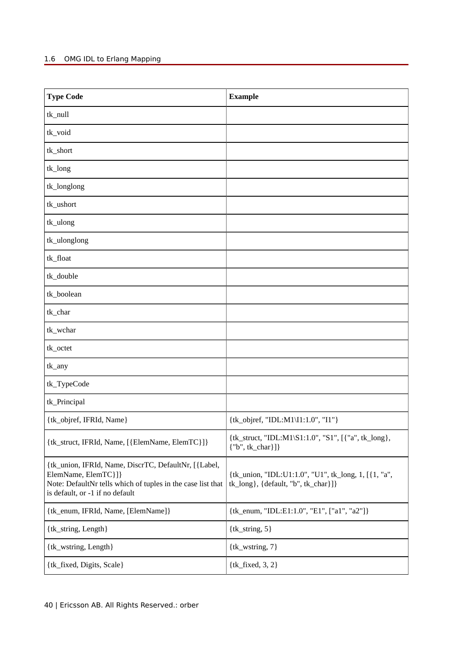## 1.6 OMG IDL to Erlang Mapping

| <b>Type Code</b>                                                                                                                                                              | <b>Example</b>                                                                              |
|-------------------------------------------------------------------------------------------------------------------------------------------------------------------------------|---------------------------------------------------------------------------------------------|
| tk_null                                                                                                                                                                       |                                                                                             |
| tk_void                                                                                                                                                                       |                                                                                             |
| tk_short                                                                                                                                                                      |                                                                                             |
| tk_long                                                                                                                                                                       |                                                                                             |
| tk_longlong                                                                                                                                                                   |                                                                                             |
| tk_ushort                                                                                                                                                                     |                                                                                             |
| tk_ulong                                                                                                                                                                      |                                                                                             |
| tk_ulonglong                                                                                                                                                                  |                                                                                             |
| tk_float                                                                                                                                                                      |                                                                                             |
| tk_double                                                                                                                                                                     |                                                                                             |
| tk_boolean                                                                                                                                                                    |                                                                                             |
| tk_char                                                                                                                                                                       |                                                                                             |
| tk_wchar                                                                                                                                                                      |                                                                                             |
| tk_octet                                                                                                                                                                      |                                                                                             |
| tk_any                                                                                                                                                                        |                                                                                             |
| tk_TypeCode                                                                                                                                                                   |                                                                                             |
| tk_Principal                                                                                                                                                                  |                                                                                             |
| {tk_objref, IFRId, Name}                                                                                                                                                      | {tk_objref, "IDL:M1\I1:1.0", "I1"}                                                          |
| {tk_struct, IFRId, Name, [{ElemName, ElemTC}]}                                                                                                                                | {tk_struct, "IDL:M1\S1:1.0", "S1", [{"a", tk_long},<br>${ "b", tk\_char} ] }$               |
| {tk_union, IFRId, Name, DiscrTC, DefaultNr, [{Label,<br>ElemName, ElemTC}]}<br>Note: DefaultNr tells which of tuples in the case list that<br>is default, or -1 if no default | {tk_union, "IDL:U1:1.0", "U1", tk_long, 1, [{1, "a",<br>tk_long}, {default, "b", tk_char}]} |
| {tk_enum, IFRId, Name, [ElemName]}                                                                                                                                            | {tk_enum, "IDL:E1:1.0", "E1", ["a1", "a2"]}                                                 |
| {tk_string, Length}                                                                                                                                                           | $\{tk\_string, 5\}$                                                                         |
| {tk_wstring, Length}                                                                                                                                                          | $\{tk\_wstring, 7\}$                                                                        |
| {tk_fixed, Digits, Scale}                                                                                                                                                     | $\{tk\_fixed, 3, 2\}$                                                                       |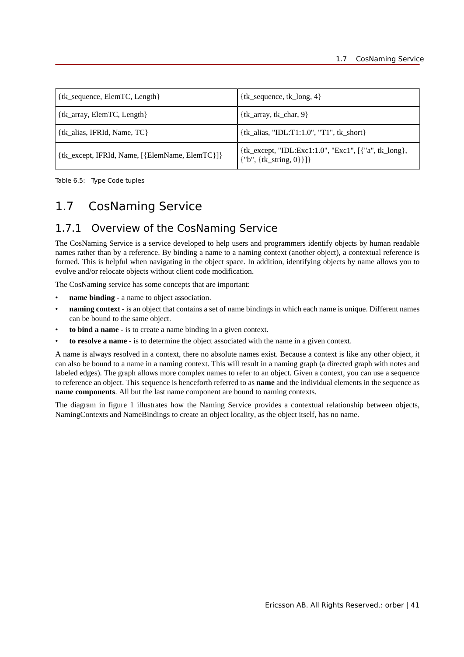| {tk_sequence, ElemTC, Length}                  | $\{tk\_sequence, tk\_long, 4\}$                                                       |
|------------------------------------------------|---------------------------------------------------------------------------------------|
| {tk_array, ElemTC, Length}                     | $\{tk\_array, tk\_char, 9\}$                                                          |
| $\{tk\_alias, IFRId, Name, TC\}$               | {tk_alias, "IDL:T1:1.0", "T1", tk_short}                                              |
| {tk_except, IFRId, Name, [{ElemName, ElemTC}]} | {tk_except, "IDL:Exc1:1.0", "Exc1", [{"a", tk_long},<br>${ "b", {tk\_string, 0}} ] }$ |

Table 6.5: Type Code tuples

## 1.7 CosNaming Service

## 1.7.1 Overview of the CosNaming Service

The CosNaming Service is a service developed to help users and programmers identify objects by human readable names rather than by a reference. By binding a name to a naming context (another object), a contextual reference is formed. This is helpful when navigating in the object space. In addition, identifying objects by name allows you to evolve and/or relocate objects without client code modification.

The CosNaming service has some concepts that are important:

- **name binding** a name to object association.
- **naming context** is an object that contains a set of name bindings in which each name is unique. Different names can be bound to the same object.
- **to bind a name** is to create a name binding in a given context.
- **to resolve a name** is to determine the object associated with the name in a given context.

A name is always resolved in a context, there no absolute names exist. Because a context is like any other object, it can also be bound to a name in a naming context. This will result in a naming graph (a directed graph with notes and labeled edges). The graph allows more complex names to refer to an object. Given a context, you can use a sequence to reference an object. This sequence is henceforth referred to as **name** and the individual elements in the sequence as **name components**. All but the last name component are bound to naming contexts.

The diagram in figure 1 illustrates how the Naming Service provides a contextual relationship between objects, NamingContexts and NameBindings to create an object locality, as the object itself, has no name.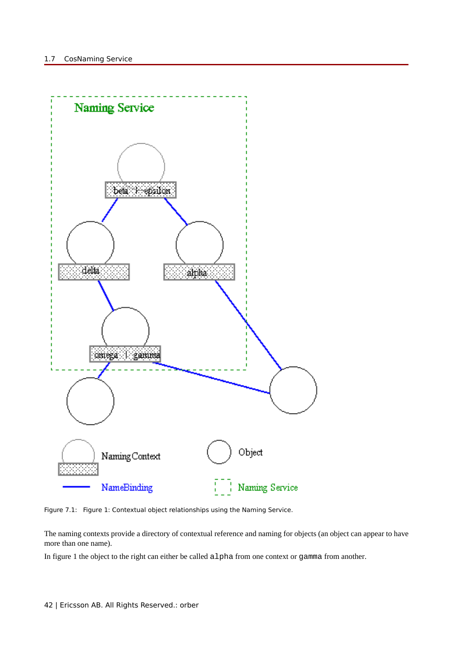

Figure 7.1: Figure 1: Contextual object relationships using the Naming Service.

The naming contexts provide a directory of contextual reference and naming for objects (an object can appear to have more than one name).

In figure 1 the object to the right can either be called alpha from one context or gamma from another.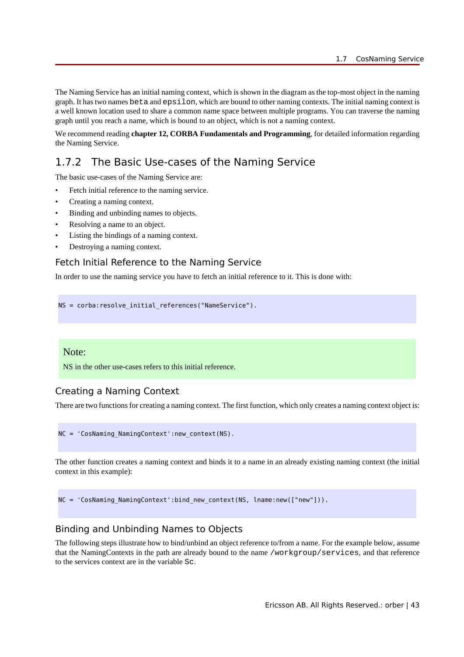The Naming Service has an initial naming context, which is shown in the diagram as the top-most object in the naming graph. It has two names beta and epsilon, which are bound to other naming contexts. The initial naming context is a well known location used to share a common name space between multiple programs. You can traverse the naming graph until you reach a name, which is bound to an object, which is not a naming context.

We recommend reading **chapter 12, CORBA Fundamentals and Programming**, for detailed information regarding the Naming Service.

### 1.7.2 The Basic Use-cases of the Naming Service

The basic use-cases of the Naming Service are:

- Fetch initial reference to the naming service.
- Creating a naming context.
- Binding and unbinding names to objects.
- Resolving a name to an object.
- Listing the bindings of a naming context.
- Destroying a naming context.

#### Fetch Initial Reference to the Naming Service

In order to use the naming service you have to fetch an initial reference to it. This is done with:

NS = corba:resolve\_initial\_references("NameService").

#### Note:

NS in the other use-cases refers to this initial reference.

#### Creating a Naming Context

There are two functions for creating a naming context. The first function, which only creates a naming context object is:

NC = 'CosNaming\_NamingContext':new\_context(NS).

The other function creates a naming context and binds it to a name in an already existing naming context (the initial context in this example):

```
NC = 'CosNaming_NamingContext':bind_new_context(NS, lname:new(["new"])).
```
#### Binding and Unbinding Names to Objects

The following steps illustrate how to bind/unbind an object reference to/from a name. For the example below, assume that the NamingContexts in the path are already bound to the name /workgroup/services, and that reference to the services context are in the variable Sc.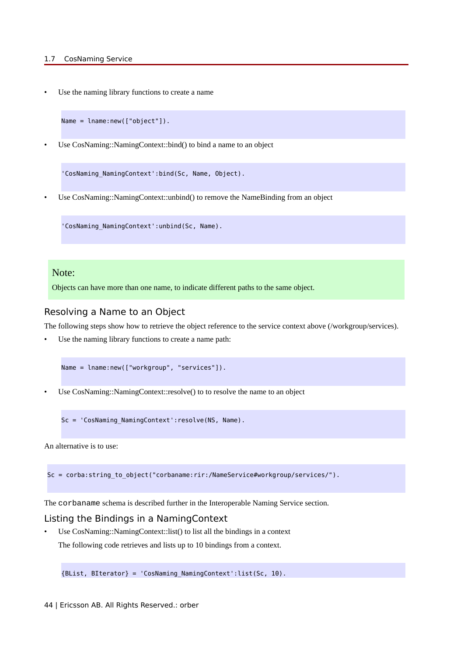#### 1.7 CosNaming Service

Use the naming library functions to create a name

Name = lname:new(["object"]).

• Use CosNaming::NamingContext::bind() to bind a name to an object

'CosNaming\_NamingContext':bind(Sc, Name, Object).

• Use CosNaming::NamingContext::unbind() to remove the NameBinding from an object

'CosNaming\_NamingContext':unbind(Sc, Name).

#### Note:

Objects can have more than one name, to indicate different paths to the same object.

#### Resolving a Name to an Object

The following steps show how to retrieve the object reference to the service context above (/workgroup/services).

• Use the naming library functions to create a name path:

Name = lname:new(["workgroup", "services"]).

Use CosNaming::NamingContext::resolve() to to resolve the name to an object

Sc = 'CosNaming NamingContext':resolve(NS, Name).

An alternative is to use:

Sc = corba:string to object("corbaname:rir:/NameService#workgroup/services/").

The corbaname schema is described further in the Interoperable Naming Service section.

#### Listing the Bindings in a NamingContext

• Use CosNaming::NamingContext::list() to list all the bindings in a context The following code retrieves and lists up to 10 bindings from a context.

{BList, BIterator} = 'CosNaming\_NamingContext':list(Sc, 10).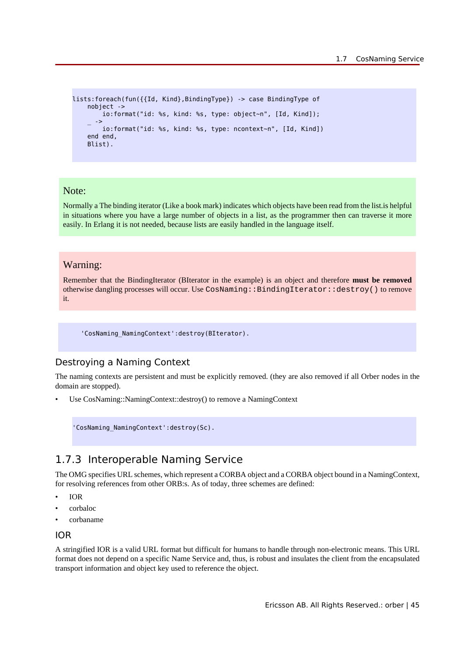```
lists:foreach(fun({{Id, Kind},BindingType}) -> case BindingType of 
    nobject ->
        io:format("id: %s, kind: %s, type: object~n", [Id, Kind]);
    _ ->
         io:format("id: %s, kind: %s, type: ncontext~n", [Id, Kind])
    end end,
    Blist).
```
#### Note:

Normally a The binding iterator (Like a book mark) indicates which objects have been read from the list.is helpful in situations where you have a large number of objects in a list, as the programmer then can traverse it more easily. In Erlang it is not needed, because lists are easily handled in the language itself.

#### Warning:

Remember that the BindingIterator (BIterator in the example) is an object and therefore **must be removed** otherwise dangling processes will occur. Use CosNaming::BindingIterator::destroy() to remove it.

'CosNaming\_NamingContext':destroy(BIterator).

### Destroying a Naming Context

The naming contexts are persistent and must be explicitly removed. (they are also removed if all Orber nodes in the domain are stopped).

• Use CosNaming::NamingContext::destroy() to remove a NamingContext

'CosNaming\_NamingContext':destroy(Sc).

## 1.7.3 Interoperable Naming Service

The OMG specifies URL schemes, which represent a CORBA object and a CORBA object bound in a NamingContext, for resolving references from other ORB:s. As of today, three schemes are defined:

- IOR
- corbaloc
- corbaname

#### IOR

A stringified IOR is a valid URL format but difficult for humans to handle through non-electronic means. This URL format does not depend on a specific Name Service and, thus, is robust and insulates the client from the encapsulated transport information and object key used to reference the object.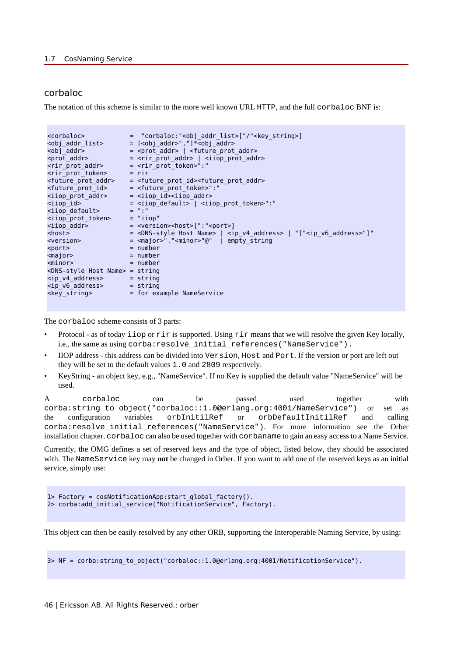### corbaloc

The notation of this scheme is similar to the more well known URL HTTP, and the full corbaloc BNF is:

```
<corbaloc> = "corbaloc:"<obj_addr_list>["/"<key_string>]<br><obj addr list> = [<obj addr>","]*<obj addr>
                      = Corpatoc. \simobj_addr>= [<obj_addr>","]*<obj_addr>
\begin{array}{lll} \textsf{obj\_addr>} & = \textsf{spot\_addr>} & \textsf{+future\_prot\_addr>} \\ \textsf{spot\_addr>} & = \textsf{crit\_prot\_addr>} & \textsf{-siop\_prot\_addr>} \\ \end{array}<prot_addr> = <rir_prot_addr> | <iiop_prot_addr> 
<rir_prot_addr> = <rir_prot_token>":" 
<rir_prot_token> = rir 
<future_prot_addr> = <future_prot_id><future_prot_addr>
<future_prot_id> = <future_prot_token>":" 
<iiop_prot_addr> = <iiop_id><iiop_addr>
\text{<iiop\_id>} = \text{<iiop\_default>} = \text{<iiop\_default>} \text{<iiop\_refault>}<iiop_default> = ":"<br><iiop prot token> = "iiop"
<iiop_prot_token>
\langleiiop_addr> = \langleversion><host>[":"<port>]
<host> = <DNS-style Host Name> | <ip_v4_address> | "["<ip_v6_address>"]"
<version> = <major>"."<minor>"@" | empty_string 
\langleport> = number
<major> = number 
<minor> = number
<DNS-style Host Name> = string
<ip v4 address> = string
<ip_v6_address> = string
                        = for example NameService
```
The corbaloc scheme consists of 3 parts:

- Protocol as of today iiop or rir is supported. Using rir means that we will resolve the given Key locally, i.e., the same as using corba: resolve initial references ("NameService").
- IIOP address this address can be divided into Version, Host and Port. If the version or port are left out they will be set to the default values 1.0 and 2809 respectively.
- KeyString an object key, e.g., "NameService". If no Key is supplied the default value "NameService" will be used.

A corbaloc can be passed used together with corba:string\_to\_object("corbaloc::1.0@erlang.org:4001/NameService") or set as the configuration variables orbInitilRef or orbDefaultInitilRef and calling corba:resolve\_initial\_references("NameService"). For more information see the Orber installation chapter. corbaloc can also be used together with corbaname to gain an easy access to a Name Service.

Currently, the OMG defines a set of reserved keys and the type of object, listed below, they should be associated with. The NameService key may **not** be changed in Orber. If you want to add one of the reserved keys as an initial service, simply use:

```
1> Factory = cosNotificationApp:start_global_factory().
2> corba:add_initial_service("NotificationService", Factory).
```
This object can then be easily resolved by any other ORB, supporting the Interoperable Naming Service, by using:

```
3> NF = corba:string_to_object("corbaloc::1.0@erlang.org:4001/NotificationService").
```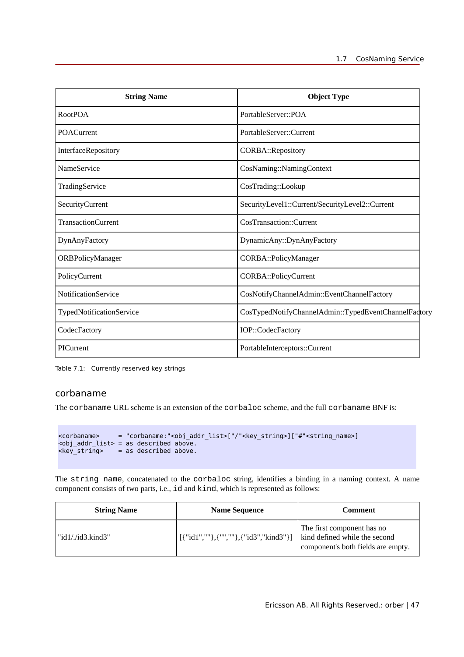| <b>String Name</b>        | <b>Object Type</b>                                   |
|---------------------------|------------------------------------------------------|
| <b>RootPOA</b>            | PortableServer::POA                                  |
| <b>POACurrent</b>         | PortableServer::Current                              |
| InterfaceRepository       | CORBA::Repository                                    |
| <b>NameService</b>        | CosNaming::NamingContext                             |
| TradingService            | CosTrading::Lookup                                   |
| SecurityCurrent           | SecurityLevel1::Current/SecurityLevel2::Current      |
| <b>TransactionCurrent</b> | CosTransaction::Current                              |
| DynAnyFactory             | DynamicAny::DynAnyFactory                            |
| <b>ORBPolicyManager</b>   | CORBA::PolicyManager                                 |
| PolicyCurrent             | CORBA::PolicyCurrent                                 |
| NotificationService       | CosNotifyChannelAdmin::EventChannelFactory           |
| TypedNotificationService  | CosTypedNotifyChannelAdmin::TypedEventChannelFactory |
| CodecFactory              | IOP::CodecFactory                                    |
| PICurrent                 | PortableInterceptors::Current                        |

Table 7.1: Currently reserved key strings

### corbaname

The corbaname URL scheme is an extension of the corbaloc scheme, and the full corbaname BNF is:

```
<corbaname> = "corbaname:"<obj_addr_list>["/"<key_string>]["#"<string_name>] 
<obj_addr_list> = as described above.
<key_string> = as described above.
```
The string\_name, concatenated to the corbaloc string, identifies a binding in a naming context. A name component consists of two parts, i.e., id and kind, which is represented as follows:

| <b>String Name</b>           | <b>Name Sequence</b>                                | <b>Comment</b>                                                                                    |
|------------------------------|-----------------------------------------------------|---------------------------------------------------------------------------------------------------|
| "id $1$ ./id $3$ .kind $3$ " | [ [ { "id1", "" }, { "", "" }, { "id3", "kind3" } ] | The first component has no<br>kind defined while the second<br>component's both fields are empty. |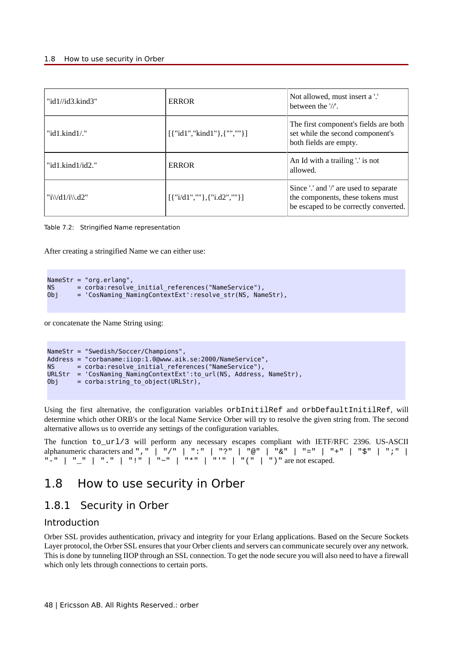| " $id1$ // $id3$ .kind $3$ " | <b>ERROR</b>                     | Not allowed, must insert a '.'<br>between the '//'.                                                                  |
|------------------------------|----------------------------------|----------------------------------------------------------------------------------------------------------------------|
| " $id1.kind1/.$ "            | $[{''id1",''kind1", {''",'''}}]$ | The first component's fields are both<br>set while the second component's<br>both fields are empty.                  |
| " $id1.kind1/id2."$          | <b>ERROR</b>                     | An Id with a trailing '.' is not<br>allowed.                                                                         |
| "i\\/d1/i\\.d2"              | $[{''i/d1",'''}, {'i.d2",'''}]$  | Since '.' and '/' are used to separate<br>the components, these tokens must<br>be escaped to be correctly converted. |

Table 7.2: Stringified Name representation

After creating a stringified Name we can either use:

```
NameStr = "org.erlang",<br>NS = corba:resolve
    = corba: resolve initial references("NameService"),
Obj = 'CosNaming NamingContextExt':resolve str(NS, NameStr),
```
or concatenate the Name String using:

```
NameStr = "Swedish/Soccer/Champions",
Address = "corbaname:iiop:1.0@www.aik.se:2000/NameService",
        = corba:resolve_initial_references("NameService"),
URLStr = 'CosNaming_NamingContextExt':to_url(NS, Address, NameStr),<br>Obi = corba:string to obiect(URLStr).
     = corba: string to object(URLStr),
```
Using the first alternative, the configuration variables orbInitilRef and orbDefaultInitilRef, will determine which other ORB's or the local Name Service Orber will try to resolve the given string from. The second alternative allows us to override any settings of the configuration variables.

The function to\_url/3 will perform any necessary escapes compliant with IETF/RFC 2396. US-ASCII alphanumeric characters and ", " | "/" | ": "| "?" | "@" | "&" | "=" | "+" | "\$" | "; " |  $"-" | "__ " | " . " | " !" | "~ \cdots$  | " $\star" | "1" | "1" | "1" | "1"$  | " $( " | " ) " are not escaped.$ 

## 1.8 How to use security in Orber

## 1.8.1 Security in Orber

#### Introduction

Orber SSL provides authentication, privacy and integrity for your Erlang applications. Based on the Secure Sockets Layer protocol, the Orber SSL ensures that your Orber clients and servers can communicate securely over any network. This is done by tunneling IIOP through an SSL connection. To get the node secure you will also need to have a firewall which only lets through connections to certain ports.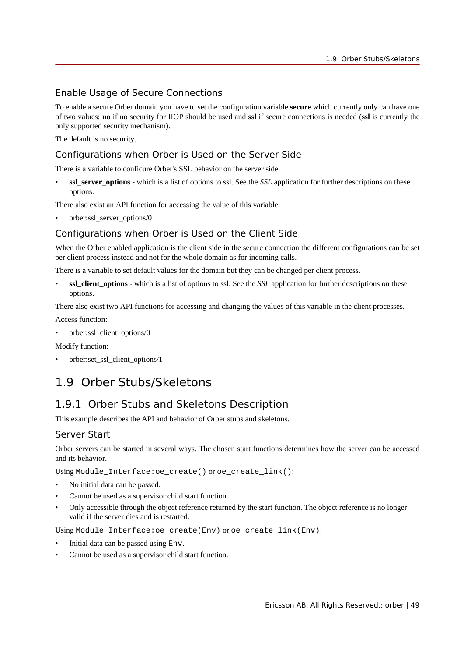## Enable Usage of Secure Connections

To enable a secure Orber domain you have to set the configuration variable **secure** which currently only can have one of two values; **no** if no security for IIOP should be used and **ssl** if secure connections is needed (**ssl** is currently the only supported security mechanism).

The default is no security.

## Configurations when Orber is Used on the Server Side

There is a variable to conficure Orber's SSL behavior on the server side.

• **ssl\_server\_options** - which is a list of options to ssl. See the *SSL* application for further descriptions on these options.

There also exist an API function for accessing the value of this variable:

• orber:ssl\_server\_options/0

### Configurations when Orber is Used on the Client Side

When the Orber enabled application is the client side in the secure connection the different configurations can be set per client process instead and not for the whole domain as for incoming calls.

There is a variable to set default values for the domain but they can be changed per client process.

**ssl\_client\_options** - which is a list of options to ssl. See the *SSL* application for further descriptions on these options.

There also exist two API functions for accessing and changing the values of this variable in the client processes.

Access function:

orber:ssl\_client\_options/0

Modify function:

• orber:set\_ssl\_client\_options/1

## 1.9 Orber Stubs/Skeletons

## 1.9.1 Orber Stubs and Skeletons Description

This example describes the API and behavior of Orber stubs and skeletons.

#### Server Start

Orber servers can be started in several ways. The chosen start functions determines how the server can be accessed and its behavior.

Using Module\_Interface:oe\_create() or oe\_create\_link():

- No initial data can be passed.
- Cannot be used as a supervisor child start function.
- Only accessible through the object reference returned by the start function. The object reference is no longer valid if the server dies and is restarted.

Using Module Interface: oe create(Env) or oe create link(Env):

- Initial data can be passed using Env.
- Cannot be used as a supervisor child start function.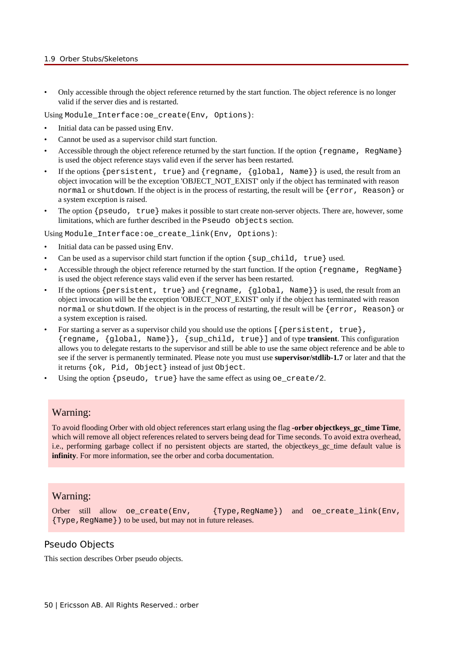• Only accessible through the object reference returned by the start function. The object reference is no longer valid if the server dies and is restarted.

Using Module\_Interface:oe\_create(Env, Options):

- Initial data can be passed using Env.
- Cannot be used as a supervisor child start function.
- Accessible through the object reference returned by the start function. If the option  $\{$  regname,  $\{$  RegName $\}$ is used the object reference stays valid even if the server has been restarted.
- If the options {persistent, true} and {regname, {global, Name}} is used, the result from an object invocation will be the exception 'OBJECT\_NOT\_EXIST' only if the object has terminated with reason normal or shutdown. If the object is in the process of restarting, the result will be  $\{error, Reason\}$  or a system exception is raised.
- The option {pseudo, true} makes it possible to start create non-server objects. There are, however, some limitations, which are further described in the Pseudo objects section.

Using Module\_Interface:oe\_create\_link(Env, Options):

- Initial data can be passed using Env.
- Can be used as a supervisor child start function if the option  $\{ \text{sup\_child}, \text{true} \}$  used.
- Accessible through the object reference returned by the start function. If the option  $\{$  regname,  $\{$  RegName $\}$ is used the object reference stays valid even if the server has been restarted.
- If the options {persistent, true} and {regname, {global, Name}} is used, the result from an object invocation will be the exception 'OBJECT\_NOT\_EXIST' only if the object has terminated with reason normal or shutdown. If the object is in the process of restarting, the result will be {error, Reason} or a system exception is raised.
- For starting a server as a supervisor child you should use the options  $\{\{\text{persistent}, \text{true}\}\$ , {regname, {global, Name}}, {sup\_child, true}] and of type **transient**. This configuration allows you to delegate restarts to the supervisor and still be able to use the same object reference and be able to see if the server is permanently terminated. Please note you must use **supervisor/stdlib-1.7** or later and that the it returns {ok, Pid, Object} instead of just Object.
- Using the option  ${pseudo, true}$  have the same effect as using  $oe\_create/2$ .

#### Warning:

To avoid flooding Orber with old object references start erlang using the flag **-orber objectkeys\_gc\_time Time**, which will remove all object references related to servers being dead for Time seconds. To avoid extra overhead, i.e., performing garbage collect if no persistent objects are started, the objectkeys\_gc\_time default value is **infinity**. For more information, see the orber and corba documentation.

#### Warning:

Orber still allow oe\_create(Env, {Type,RegName}) and oe\_create\_link(Env, {Type,RegName}) to be used, but may not in future releases.

#### Pseudo Objects

This section describes Orber pseudo objects.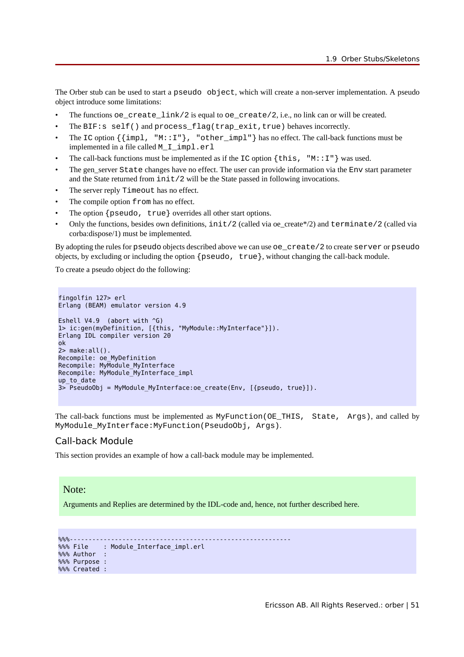The Orber stub can be used to start a pseudo object, which will create a non-server implementation. A pseudo object introduce some limitations:

- The functions oe\_create\_link/2 is equal to oe\_create/2, i.e., no link can or will be created.
- The BIF: s self() and process flag(trap exit, true) behaves incorrectly.
- The IC option  $\{\{\text{impl}, \text{ "M::I"}\}$ , "other impl" } has no effect. The call-back functions must be implemented in a file called M\_I\_impl.erl
- The call-back functions must be implemented as if the  $IC$  option  $\{\text{this}, \text{ "M::I"}\}$  was used.
- The gen server State changes have no effect. The user can provide information via the Env start parameter and the State returned from init/2 will be the State passed in following invocations.
- The server reply Timeout has no effect.
- The compile option from has no effect.
- The option  ${pseudo, true}$  overrides all other start options.
- Only the functions, besides own definitions,  $init/2$  (called via oe\_create\*/2) and terminate/2 (called via corba:dispose/1) must be implemented.

By adopting the rules for pseudo objects described above we can use oe\_create/2 to create server or pseudo objects, by excluding or including the option  $\{pseudo, true\}$ , without changing the call-back module.

To create a pseudo object do the following:

```
fingolfin 127> erl 
Erlang (BEAM) emulator version 4.9
Eshell V4.9 (abort with ^G)
1> ic:gen(myDefinition, [{this, "MyModule::MyInterface"}]).
Erlang IDL compiler version 20
ok
2> make:all().
Recompile: oe_MyDefinition
Recompile: MyModule_MyInterface
Recompile: MyModule MyInterface impl
up_to_date
3> PseudoObj = MyModule MyInterface:oe create(Env, [{pseudo, true}]).
```
The call-back functions must be implemented as MyFunction(OE\_THIS, State, Args), and called by MyModule\_MyInterface:MyFunction(PseudoObj, Args).

#### Call-back Module

This section provides an example of how a call-back module may be implemented.

#### Note:

Arguments and Replies are determined by the IDL-code and, hence, not further described here.

%%%----------------------------------------------------------- %%% File : Module Interface impl.erl %%% Author : %%% Purpose : %% Created :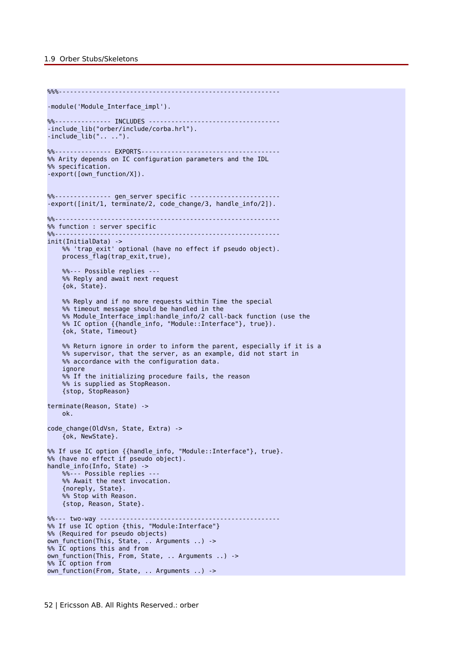```
%%%-----------------------------------------------------------
-module('Module_Interface_impl').
%%--------------- INCLUDES -----------------------------------
-include lib("orber/include/corba.hrl").
-intulate_llib("... ...").%%--------------- EXPORTS-------------------------------------
%% Arity depends on IC configuration parameters and the IDL
%% specification.
-export([own_function/X]).
%%--------------- gen_server specific --------------------
-export([init/1, term \overline{1}nate/2, code change/3, handle info/2]).
%%------------------------------------------------------------
%% function : server specific
%%------------------------------------------------------------
init(InitialData) ->
 %% 'trap_exit' optional (have no effect if pseudo object).
    process flag(trap exit, true),
     %%--- Possible replies ---
     %% Reply and await next request
     {ok, State}.
    %% Reply and if no more requests within Time the special
    %% timeout message should be handled in the
     %% Module_Interface_impl:handle_info/2 call-back function (use the 
    %% IC option {{handle info, "Module::Interface"}, true}).
     {ok, State, Timeout} 
     %% Return ignore in order to inform the parent, especially if it is a 
    %% supervisor, that the server, as an example, did not start in
    %% accordance with the configuration data.
     ignore 
     %% If the initializing procedure fails, the reason 
     %% is supplied as StopReason.
     {stop, StopReason}
terminate(Reason, State) ->
     ok.
code_change(OldVsn, State, Extra) ->
     {ok, NewState}.
%% If use IC option {{handle info, "Module::Interface"}, true}.
%% (have no effect if pseudo object).
handle info(Info, State) ->
   %%--- Possible replies --
     %% Await the next invocation.
     {noreply, State}.
     %% Stop with Reason.
     {stop, Reason, State}.
%%--- two-way ------------------------------------------------
%% If use IC option {this, "Module:Interface"} 
%% (Required for pseudo objects)
own_function(This, State, .. Arguments ..) ->
%% IC options this and from
own_function(This, From, State, .. Arguments ..) ->
\frac{1}{6} IC option from
own function(From, State, .. Arguments ..) ->
```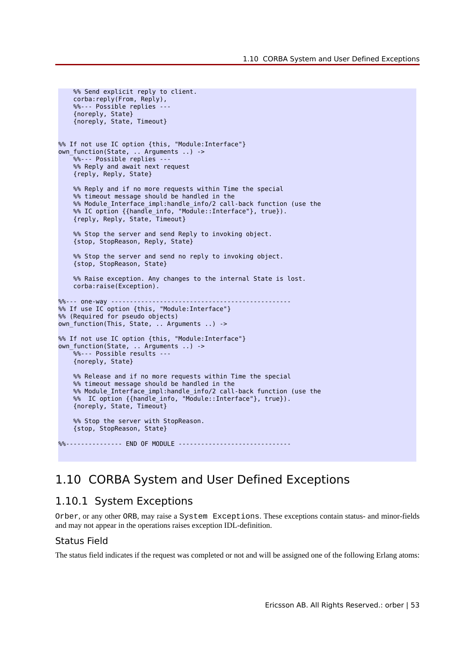```
%% Send explicit reply to client.
    corba:reply(From, Reply),
   %%--- Possible replies -
    {noreply, State}
     {noreply, State, Timeout}
%% If not use IC option {this, "Module: Interface"}
own_function(State, .. Arguments ..) ->
    %%--- Possible replies ---
   %% Reply and await next request
    {reply, Reply, State}
   %% Reply and if no more requests within Time the special
    %% timeout message should be handled in the 
   %% Module Interface impl:handle info/2 call-back function (use the
   %% IC option {{handle_info, "Module::Interface"}, true}).
    {reply, Reply, State, Timeout}
   %% Stop the server and send Reply to invoking object.
    {stop, StopReason, Reply, State}
   %% Stop the server and send no reply to invoking object.
    {stop, StopReason, State}
   %% Raise exception. Any changes to the internal State is lost.
    corba:raise(Exception).
%%--- one-way ------------------------------------------------
%% If use IC option {this, "Module: Interface"}
%% (Required for pseudo objects)
own function(This, State, .. Arguments ..) ->
%% If not use IC option {this, "Module:Interface"}
own_function(State, .. Arguments ..) ->
    %%--- Possible results ---
    {noreply, State}
   %% Release and if no more requests within Time the special
   %% timeout message should be handled in the
    %% Module_Interface_impl:handle_info/2 call-back function (use the
   % IC option {{handle_info, "Module::Interface"}, true}).
    {noreply, State, Timeout}
   %% Stop the server with StopReason.
    {stop, StopReason, State}
%%--------------- END OF MODULE ------------------------------
```
## 1.10 CORBA System and User Defined Exceptions

### 1.10.1 System Exceptions

Orber, or any other ORB, may raise a System Exceptions. These exceptions contain status- and minor-fields and may not appear in the operations raises exception IDL-definition.

#### Status Field

The status field indicates if the request was completed or not and will be assigned one of the following Erlang atoms: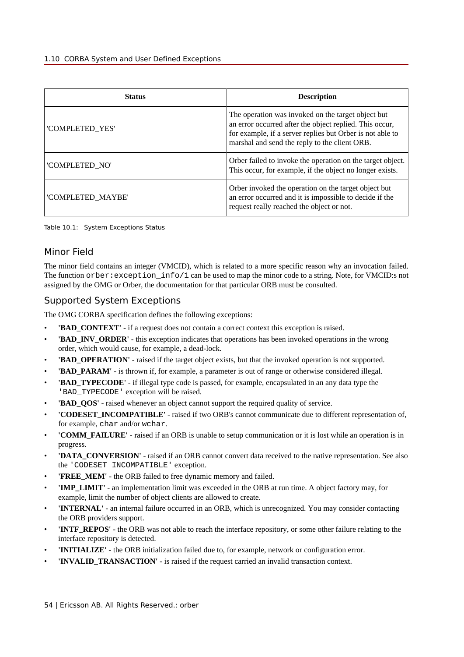| <b>Status</b>     | <b>Description</b>                                                                                                                                                                                                          |
|-------------------|-----------------------------------------------------------------------------------------------------------------------------------------------------------------------------------------------------------------------------|
| 'COMPLETED YES'   | The operation was invoked on the target object but<br>an error occurred after the object replied. This occur,<br>for example, if a server replies but Orber is not able to<br>marshal and send the reply to the client ORB. |
| 'COMPLETED NO'    | Orber failed to invoke the operation on the target object.<br>This occur, for example, if the object no longer exists.                                                                                                      |
| 'COMPLETED MAYBE' | Orber invoked the operation on the target object but<br>an error occurred and it is impossible to decide if the<br>request really reached the object or not.                                                                |

Table 10.1: System Exceptions Status

## Minor Field

The minor field contains an integer (VMCID), which is related to a more specific reason why an invocation failed. The function orber: exception  $\text{info}/1$  can be used to map the minor code to a string. Note, for VMCID:s not assigned by the OMG or Orber, the documentation for that particular ORB must be consulted.

### Supported System Exceptions

The OMG CORBA specification defines the following exceptions:

- **'BAD\_CONTEXT'** if a request does not contain a correct context this exception is raised.
- **'BAD\_INV\_ORDER'** this exception indicates that operations has been invoked operations in the wrong order, which would cause, for example, a dead-lock.
- **'BAD\_OPERATION'** raised if the target object exists, but that the invoked operation is not supported.
- **'BAD\_PARAM'** is thrown if, for example, a parameter is out of range or otherwise considered illegal.
- **'BAD\_TYPECODE'** if illegal type code is passed, for example, encapsulated in an any data type the 'BAD\_TYPECODE' exception will be raised.
- **'BAD\_QOS'** raised whenever an object cannot support the required quality of service.
- **'CODESET\_INCOMPATIBLE'** raised if two ORB's cannot communicate due to different representation of, for example, char and/or wchar.
- **'COMM\_FAILURE'** raised if an ORB is unable to setup communication or it is lost while an operation is in progress.
- **'DATA\_CONVERSION'** raised if an ORB cannot convert data received to the native representation. See also the 'CODESET\_INCOMPATIBLE' exception.
- **'FREE\_MEM'** the ORB failed to free dynamic memory and failed.
- **'IMP\_LIMIT'** an implementation limit was exceeded in the ORB at run time. A object factory may, for example, limit the number of object clients are allowed to create.
- **'INTERNAL'** an internal failure occurred in an ORB, which is unrecognized. You may consider contacting the ORB providers support.
- **'INTF\_REPOS'** the ORB was not able to reach the interface repository, or some other failure relating to the interface repository is detected.
- **'INITIALIZE'** the ORB initialization failed due to, for example, network or configuration error.
- **'INVALID\_TRANSACTION'** is raised if the request carried an invalid transaction context.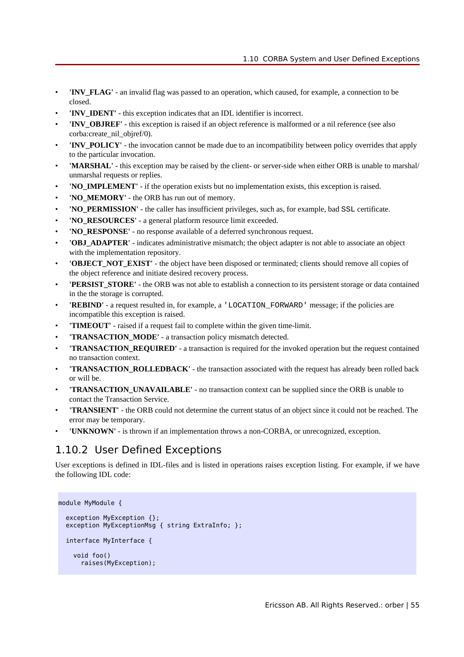- **'INV\_FLAG'** an invalid flag was passed to an operation, which caused, for example, a connection to be closed.
- **'INV\_IDENT'** this exception indicates that an IDL identifier is incorrect.
- **'INV\_OBJREF'** this exception is raised if an object reference is malformed or a nil reference (see also corba:create\_nil\_objref/0).
- **'INV\_POLICY'** the invocation cannot be made due to an incompatibility between policy overrides that apply to the particular invocation.
- **'MARSHAL'** this exception may be raised by the client- or server-side when either ORB is unable to marshal/ unmarshal requests or replies.
- **'NO\_IMPLEMENT'** if the operation exists but no implementation exists, this exception is raised.
- **'NO\_MEMORY'** the ORB has run out of memory.
- **'NO\_PERMISSION'** the caller has insufficient privileges, such as, for example, bad SSL certificate.
- **'NO\_RESOURCES'** a general platform resource limit exceeded.
- **'NO\_RESPONSE'** no response available of a deferred synchronous request.
- **'OBJ\_ADAPTER'** indicates administrative mismatch; the object adapter is not able to associate an object with the implementation repository.
- **'OBJECT\_NOT\_EXIST'** the object have been disposed or terminated; clients should remove all copies of the object reference and initiate desired recovery process.
- **'PERSIST\_STORE'** the ORB was not able to establish a connection to its persistent storage or data contained in the the storage is corrupted.
- **'REBIND'** a request resulted in, for example, a 'LOCATION FORWARD' message; if the policies are incompatible this exception is raised.
- **'TIMEOUT'** raised if a request fail to complete within the given time-limit.
- **'TRANSACTION\_MODE'** a transaction policy mismatch detected.
- **TRANSACTION\_REQUIRED'** a transaction is required for the invoked operation but the request contained no transaction context.
- **'TRANSACTION\_ROLLEDBACK'** the transaction associated with the request has already been rolled back or will be.
- **'TRANSACTION\_UNAVAILABLE'** no transaction context can be supplied since the ORB is unable to contact the Transaction Service.
- **'TRANSIENT'** the ORB could not determine the current status of an object since it could not be reached. The error may be temporary.
- **'UNKNOWN'** is thrown if an implementation throws a non-CORBA, or unrecognized, exception.

## 1.10.2 User Defined Exceptions

User exceptions is defined in IDL-files and is listed in operations raises exception listing. For example, if we have the following IDL code:

```
module MyModule {
   exception MyException {};
  exception MyExceptionMsg { string ExtraInfo; };
   interface MyInterface {
     void foo() 
       raises(MyException);
```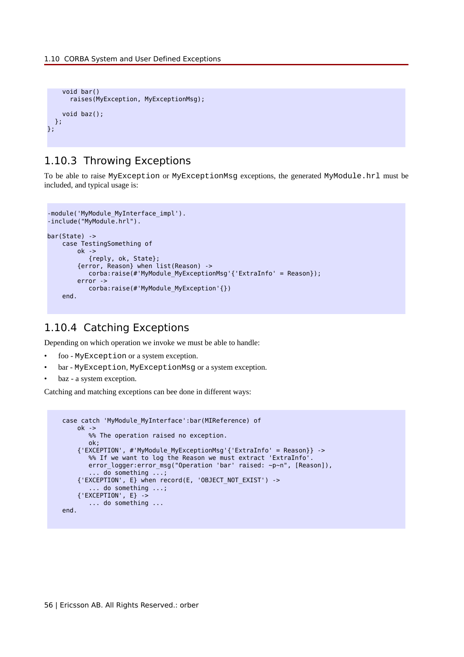```
 void bar() 
       raises(MyException, MyExceptionMsg);
     void baz();
  };
};
```
## 1.10.3 Throwing Exceptions

To be able to raise MyException or MyExceptionMsg exceptions, the generated MyModule.hrl must be included, and typical usage is:

```
-module('MyModule_MyInterface_impl').
-include("MyModule.hrl").
bar(State) ->
    case TestingSomething of
         ok ->
            {reply, ok, State};
         {error, Reason} when list(Reason) ->
          corba:raise(#'MyModule MyExceptionMsg'{'ExtraInfo' = Reason});
         error ->
           corba: raise(#'MyModule MyException'{})
     end.
```
## 1.10.4 Catching Exceptions

Depending on which operation we invoke we must be able to handle:

- foo MyException or a system exception.
- bar MyException, MyExceptionMsq or a system exception.
- baz a system exception.

Catching and matching exceptions can bee done in different ways:

```
 case catch 'MyModule_MyInterface':bar(MIReference) of
   \alphak ->
        %% The operation raised no exception.
        ok;
     {'EXCEPTION', #'MyModule_MyExceptionMsg'{'ExtraInfo' = Reason}} ->
       %% If we want to log the Reason we must extract 'ExtraInfo'.
       error_logger:error_msg("Operation 'bar' raised: ~p~n", [Reason]),
        ... do something ...;
     {'EXCEPTION', E} when record(E, 'OBJECT_NOT_EXIST') ->
         ... do something ...;
     {'EXCEPTION', E} ->
        ... do something ...
 end.
```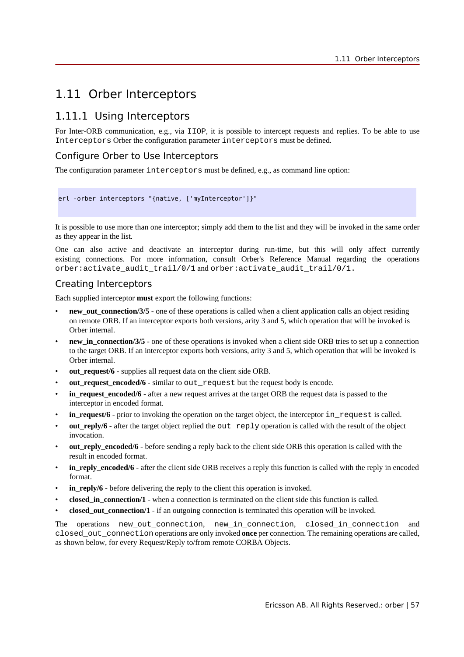## 1.11 Orber Interceptors

## 1.11.1 Using Interceptors

For Inter-ORB communication, e.g., via IIOP, it is possible to intercept requests and replies. To be able to use Interceptors Orber the configuration parameter interceptors must be defined.

## Configure Orber to Use Interceptors

The configuration parameter interceptors must be defined, e.g., as command line option:

```
erl -orber interceptors "{native, ['myInterceptor']}"
```
It is possible to use more than one interceptor; simply add them to the list and they will be invoked in the same order as they appear in the list.

One can also active and deactivate an interceptor during run-time, but this will only affect currently existing connections. For more information, consult Orber's Reference Manual regarding the operations orber:activate\_audit\_trail/0/1 and orber:activate\_audit\_trail/0/1.

## Creating Interceptors

Each supplied interceptor **must** export the following functions:

- **new\_out\_connection/3/5** one of these operations is called when a client application calls an object residing on remote ORB. If an interceptor exports both versions, arity 3 and 5, which operation that will be invoked is Orber internal.
- **new in connection/3/5** one of these operations is invoked when a client side ORB tries to set up a connection to the target ORB. If an interceptor exports both versions, arity 3 and 5, which operation that will be invoked is Orber internal.
- **out request/6** supplies all request data on the client side ORB.
- **out request encoded/6** similar to out request but the request body is encode.
- **in\_request\_encoded/6** after a new request arrives at the target ORB the request data is passed to the interceptor in encoded format.
- in request/6 prior to invoking the operation on the target object, the interceptor in request is called.
- **out\_reply/6** after the target object replied the out\_reply operation is called with the result of the object invocation.
- **out\_reply\_encoded/6** before sending a reply back to the client side ORB this operation is called with the result in encoded format.
- **in\_reply\_encoded/6** after the client side ORB receives a reply this function is called with the reply in encoded format.
- in\_reply/6 before delivering the reply to the client this operation is invoked.
- **closed\_in\_connection/1** when a connection is terminated on the client side this function is called.
- **closed** out connection/1 if an outgoing connection is terminated this operation will be invoked.

The operations new\_out\_connection, new\_in\_connection, closed\_in\_connection and closed\_out\_connection operations are only invoked **once** per connection. The remaining operations are called, as shown below, for every Request/Reply to/from remote CORBA Objects.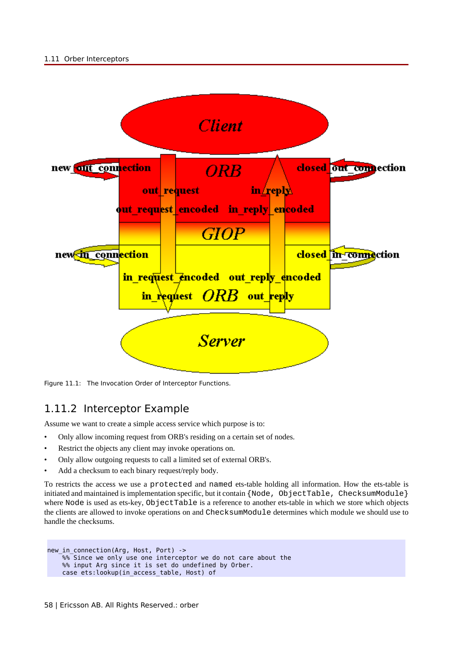

Figure 11.1: The Invocation Order of Interceptor Functions.

## 1.11.2 Interceptor Example

Assume we want to create a simple access service which purpose is to:

- Only allow incoming request from ORB's residing on a certain set of nodes.
- Restrict the objects any client may invoke operations on.
- Only allow outgoing requests to call a limited set of external ORB's.
- Add a checksum to each binary request/reply body.

To restricts the access we use a protected and named ets-table holding all information. How the ets-table is initiated and maintained is implementation specific, but it contain {Node, ObjectTable, ChecksumModule} where Node is used as ets-key, ObjectTable is a reference to another ets-table in which we store which objects the clients are allowed to invoke operations on and ChecksumModule determines which module we should use to handle the checksums.

```
new_in_connection(Arg, Host, Port) ->
   %% Since we only use one interceptor we do not care about the
    %% input Arg since it is set do undefined by Orber.
     case ets:lookup(in_access_table, Host) of
```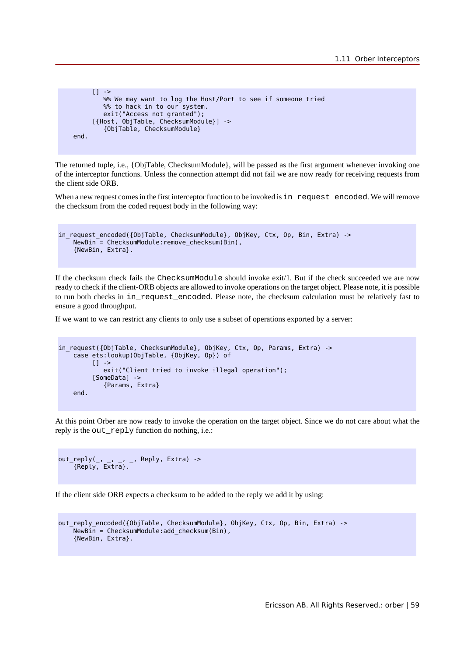```
| \cdot \rangle%% We may want to log the Host/Port to see if someone tried
         %% to hack in to our system.
         exit("Access not granted");
       [{Host, ObjTable, ChecksumModule}] ->
          {ObjTable, ChecksumModule}
 end.
```
The returned tuple, i.e., {ObjTable, ChecksumModule}, will be passed as the first argument whenever invoking one of the interceptor functions. Unless the connection attempt did not fail we are now ready for receiving requests from the client side ORB.

When a new request comes in the first interceptor function to be invoked is in\_request\_encoded. We will remove the checksum from the coded request body in the following way:

```
in request encoded({ObjTable, ChecksumModule}, ObjKey, Ctx, Op, Bin, Extra) ->
     NewBin = ChecksumModule:remove_checksum(Bin),
     {NewBin, Extra}.
```
If the checksum check fails the ChecksumModule should invoke exit/1. But if the check succeeded we are now ready to check if the client-ORB objects are allowed to invoke operations on the target object. Please note, it is possible to run both checks in in\_request\_encoded. Please note, the checksum calculation must be relatively fast to ensure a good throughput.

If we want to we can restrict any clients to only use a subset of operations exported by a server:

```
in request({ObjTable, ChecksumModule}, ObjKey, Ctx, Op, Params, Extra) ->
    case ets:lookup(ObjTable, {ObjKey, Op}) of
         [] ->
            exit("Client tried to invoke illegal operation");
 [SomeData] ->
 {Params, Extra}
    end.
```
At this point Orber are now ready to invoke the operation on the target object. Since we do not care about what the reply is the out\_reply function do nothing, i.e.:

```
out_reply(_, _, _, _, Reply, Extra) ->
 {Reply, Extra}.
```
If the client side ORB expects a checksum to be added to the reply we add it by using:

```
out reply encoded({ObjTable, ChecksumModule}, ObjKey, Ctx, Op, Bin, Extra) ->
   NewBin = ChecksumModule: add\_checksum(MBin),
     {NewBin, Extra}.
```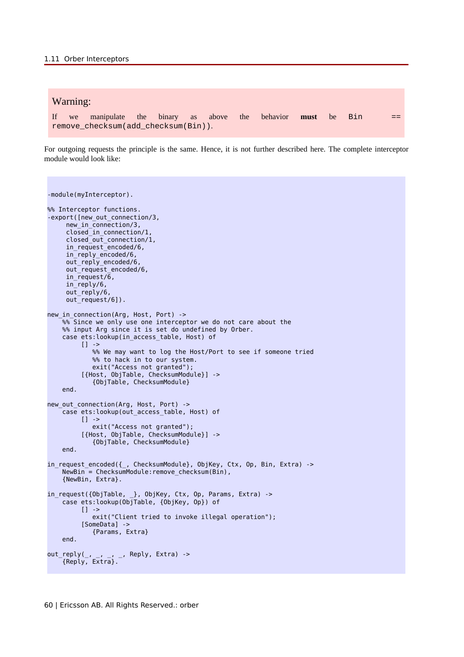#### Warning:

If we manipulate the binary as above the behavior **must** be Bin == remove\_checksum(add\_checksum(Bin)).

For outgoing requests the principle is the same. Hence, it is not further described here. The complete interceptor module would look like:

```
-module(myInterceptor).
%% Interceptor functions.
-export([new out connection/3,
      new_in_connection/3,
      closed_in_connection/1,
      closed_out_connection/1,
     in request encoded/6,
      in_reply_encoded/6,
     out reply encoded/6
     out request encoded/6,
      in_request/6,
      in_reply/6,
      out_reply/6,
      out_request/6]).
new_in_connection(Arg, Host, Port) ->
    8% Since we only use one interceptor we do not care about the
    %% input Arg since it is set do undefined by Orber.
     case ets:lookup(in_access_table, Host) of
         [] ->
             %% We may want to log the Host/Port to see if someone tried
             %% to hack in to our system.
             exit("Access not granted");
          [{Host, ObjTable, ChecksumModule}] ->
             {ObjTable, ChecksumModule}
     end.
new_out_connection(Arg, Host, Port) ->
     case ets:lookup(out_access_table, Host) of
         [] \rightarrow exit("Access not granted");
          [{Host, ObjTable, ChecksumModule}] ->
             {ObjTable, ChecksumModule}
     end.
in_request_encoded({_, ChecksumModule}, ObjKey, Ctx, Op, Bin, Extra) ->
     NewBin = ChecksumModule:remove_checksum(Bin),
     {NewBin, Extra}.
in_request({ObjTable, _}, ObjKey, Ctx, Op, Params, Extra) ->
 case ets:lookup(ObjTable, {ObjKey, Op}) of
          [] ->
             exit("Client tried to invoke illegal operation");
          [SomeData] ->
             {Params, Extra}
     end.
out_reply(_, _, _, _, Reply, Extra) ->
 {Reply, Extra}.
```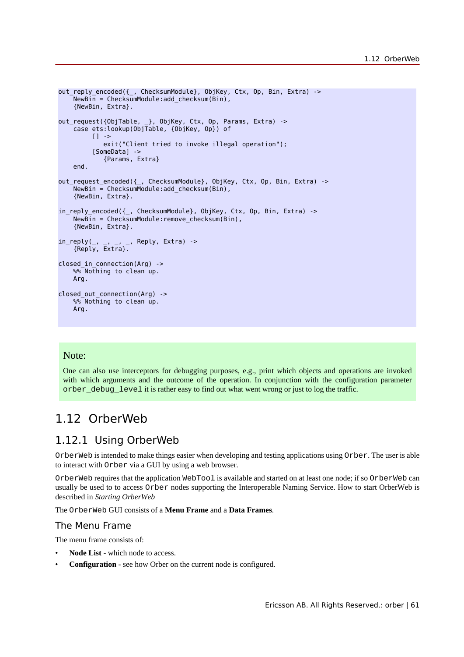```
out reply encoded({ , ChecksumModule}, ObjKey, Ctx, Op, Bin, Extra) ->
    NewBin = ChecksumModule:add_checksum(Bin),
     {NewBin, Extra}.
out_request({ObjTable, _}, ObjKey, Ctx, Op, Params, Extra) ->
     case ets:lookup(ObjTable, {ObjKey, Op}) of
         [] \rightarrow exit("Client tried to invoke illegal operation");
         [SomeData] ->
             {Params, Extra}
     end.
out request encoded({ , ChecksumModule}, ObjKey, Ctx, Op, Bin, Extra) ->
    NewBin = ChecksumModule:add\_checksum(MBin),
     {NewBin, Extra}.
in_reply_encoded({_, ChecksumModule}, ObjKey, Ctx, Op, Bin, Extra) ->
    NewBin = ChecksumModule: remove checksum(Bin),
     {NewBin, Extra}.
in_reply(_, _, _, _, Reply, Extra) ->
 {Reply, Extra}.
closed_in_connection(Arg) ->
    % Nothing to clean up.
     Arg.
closed out connection(Arg) ->
     %% Nothing to clean up.
     Arg.
```
### Note:

One can also use interceptors for debugging purposes, e.g., print which objects and operations are invoked with which arguments and the outcome of the operation. In conjunction with the configuration parameter orber\_debug\_level it is rather easy to find out what went wrong or just to log the traffic.

## 1.12 OrberWeb

## 1.12.1 Using OrberWeb

OrberWeb is intended to make things easier when developing and testing applications using Orber. The user is able to interact with Orber via a GUI by using a web browser.

OrberWeb requires that the application WebTool is available and started on at least one node; if so OrberWeb can usually be used to to access Orber nodes supporting the Interoperable Naming Service. How to start OrberWeb is described in *Starting OrberWeb*

The OrberWeb GUI consists of a **Menu Frame** and a **Data Frames**.

#### The Menu Frame

The menu frame consists of:

- Node List which node to access.
- **Configuration** see how Orber on the current node is configured.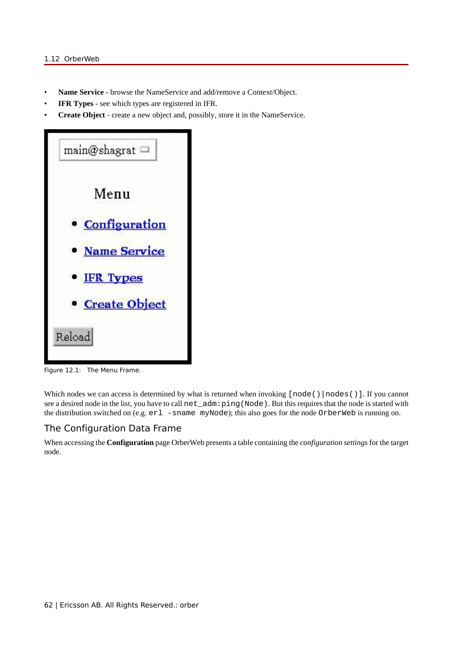- **Name Service** browse the NameService and add/remove a Context/Object.
- **IFR Types** see which types are registered in IFR.
- **Create Object** create a new object and, possibly, store it in the NameService.



Figure 12.1: The Menu Frame.

Which nodes we can access is determined by what is returned when invoking [node()|nodes()]. If you cannot see a desired node in the list, you have to call net\_adm:ping(Node). But this requires that the node is started with the distribution switched on (e.g. erl -sname myNode); this also goes for the node OrberWeb is running on.

#### The Configuration Data Frame

When accessing the **Configuration** page OrberWeb presents a table containing the *configuration settings* for the target node.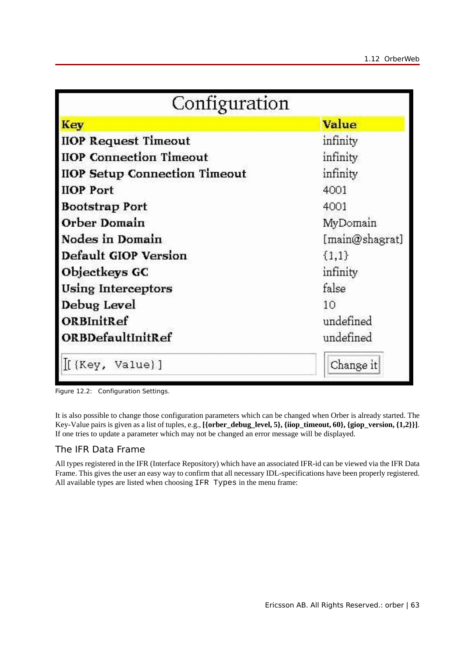| Configuration                        |                |
|--------------------------------------|----------------|
| Key                                  | Value          |
| <b>IIOP Request Timeout</b>          | infinity       |
| <b>HOP Connection Timeout</b>        | infinity       |
| <b>IIOP Setup Connection Timeout</b> | infinity       |
| <b>HOP Port</b>                      | 4001           |
| <b>Bootstrap Port</b>                | 4001           |
| Orber Domain                         | MyDomain       |
| Nodes in Domain                      | [main@shagrat] |
| Default GIOP Version                 | ${1,1}$        |
| Objectkeys GC                        | infinity       |
| Using Interceptors                   | false          |
| Debug Level                          | 10             |
| ORBInitRef                           | undefined      |
| ORBDefaultInitRef                    | undefined      |
| $[[$ {Key, Value}]                   | Change it      |

Figure 12.2: Configuration Settings.

It is also possible to change those configuration parameters which can be changed when Orber is already started. The Key-Value pairs is given as a list of tuples, e.g., **[{orber\_debug\_level, 5}, {iiop\_timeout, 60}, {giop\_version, {1,2}}**]. If one tries to update a parameter which may not be changed an error message will be displayed.

## The IFR Data Frame

All types registered in the IFR (Interface Repository) which have an associated IFR-id can be viewed via the IFR Data Frame. This gives the user an easy way to confirm that all necessary IDL-specifications have been properly registered. All available types are listed when choosing IFR Types in the menu frame: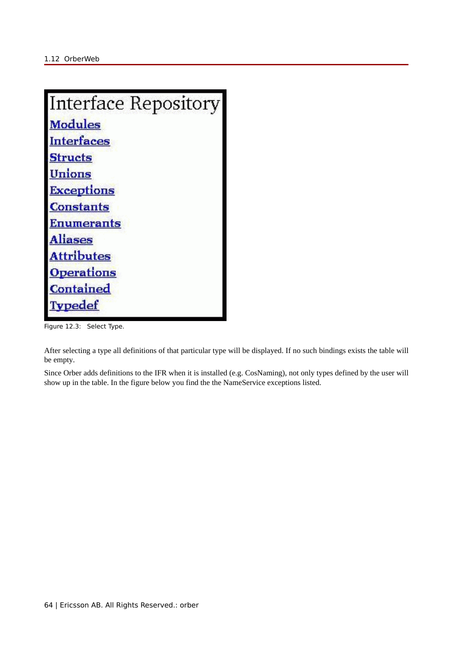| Interface Repository |
|----------------------|
| <b>Modules</b>       |
| <b>Interfaces</b>    |
| <b>Structs</b>       |
| Unions               |
| <b>Exceptions</b>    |
| <b>Constants</b>     |
| <b>Enumerants</b>    |
| <b>Aliases</b>       |
| <b>Attributes</b>    |
| <b>Operations</b>    |
| Contained            |
| Typedef              |

Figure 12.3: Select Type.

After selecting a type all definitions of that particular type will be displayed. If no such bindings exists the table will be empty.

Since Orber adds definitions to the IFR when it is installed (e.g. CosNaming), not only types defined by the user will show up in the table. In the figure below you find the the NameService exceptions listed.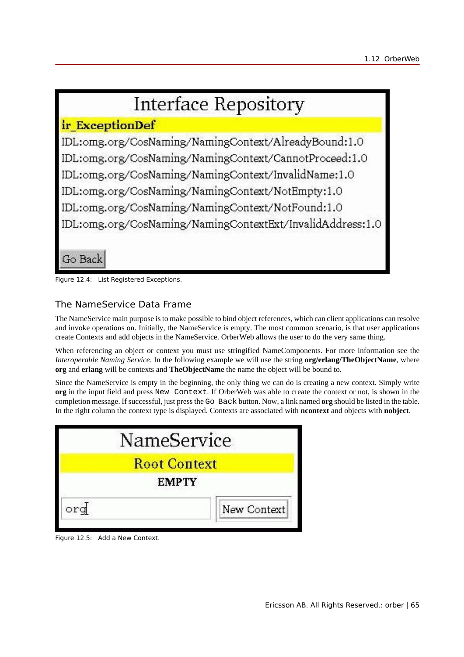# Interface Repository ir ExceptionDef IDL:omg.org/CosNaming/NamingContext/AlreadyBound:1.0 IDL:omg.org/CosNaming/NamingContext/CannotProceed:1.0 IDL:omg.org/CosNaming/NamingContext/InvalidName:1.0 IDL:omg.org/CosNaming/NamingContext/NotEmpty:1.0 IDL:omg.org/CosNaming/NamingContext/NotFound:1.0 IDL:omg.org/CosNaming/NamingContextExt/InvalidAddress:1.0

Figure 12.4: List Registered Exceptions.

Go Back

## The NameService Data Frame

The NameService main purpose is to make possible to bind object references, which can client applications can resolve and invoke operations on. Initially, the NameService is empty. The most common scenario, is that user applications create Contexts and add objects in the NameService. OrberWeb allows the user to do the very same thing.

When referencing an object or context you must use stringified NameComponents. For more information see the *Interoperable Naming Service*. In the following example we will use the string **org/erlang/TheObjectName**, where **org** and **erlang** will be contexts and **TheObjectName** the name the object will be bound to.

Since the NameService is empty in the beginning, the only thing we can do is creating a new context. Simply write **org** in the input field and press New Context. If OrberWeb was able to create the context or not, is shown in the completion message. If successful, just press the Go Back button. Now, a link named **org** should be listed in the table. In the right column the context type is displayed. Contexts are associated with **ncontext** and objects with **nobject**.

| <b>NameService</b>  |
|---------------------|
| <b>Root Context</b> |
| <b>EMPTY</b>        |
| New Context         |

Figure 12.5: Add a New Context.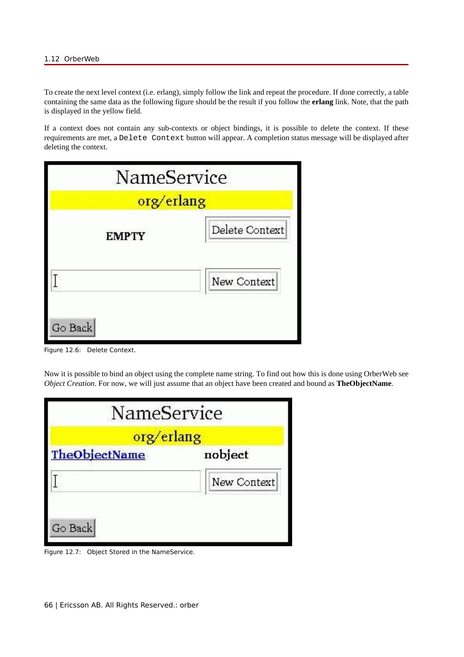To create the next level context (i.e. erlang), simply follow the link and repeat the procedure. If done correctly, a table containing the same data as the following figure should be the result if you follow the **erlang** link. Note, that the path is displayed in the yellow field.

If a context does not contain any sub-contexts or object bindings, it is possible to delete the context. If these requirements are met, a Delete Context button will appear. A completion status message will be displayed after deleting the context.

| NameService<br>org/erlang |                |
|---------------------------|----------------|
| <b>EMPTY</b>              | Delete Context |
|                           | New Context    |
| Go Back                   |                |

Figure 12.6: Delete Context.

Now it is possible to bind an object using the complete name string. To find out how this is done using OrberWeb see *Object Creation*. For now, we will just assume that an object have been created and bound as **TheObjectName**.

| NameService |
|-------------|
| org/erlang  |
| nobject     |
| New Context |
|             |

Figure 12.7: Object Stored in the NameService.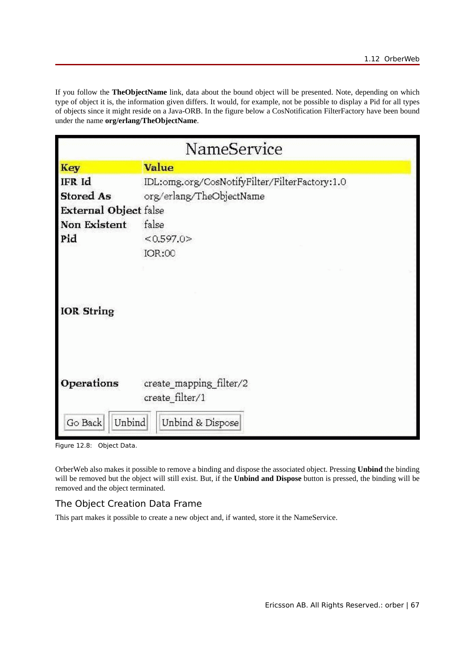If you follow the **TheObjectName** link, data about the bound object will be presented. Note, depending on which type of object it is, the information given differs. It would, for example, not be possible to display a Pid for all types of objects since it might reside on a Java-ORB. In the figure below a CosNotification FilterFactory have been bound under the name **org/erlang/TheObjectName**.

|                                 | NameService                                                    |  |
|---------------------------------|----------------------------------------------------------------|--|
| <b>Key</b>                      | Value                                                          |  |
| IFR Id                          | IDL:omg.org/CosNotifyFilter/FilterFactory:1.0                  |  |
| <b>Stored As</b>                | org/erlang/TheObjectName                                       |  |
| <b>External Object false</b>    |                                                                |  |
| Non Existent                    | false                                                          |  |
| Pid                             | < 0.597.0                                                      |  |
|                                 | <b>IOR:00</b>                                                  |  |
| <b>IOR String</b>               |                                                                |  |
| Operations<br>Unbind<br>Go Back | create_mapping_filter/2<br>create_filter/1<br>Unbind & Dispose |  |

Figure 12.8: Object Data.

OrberWeb also makes it possible to remove a binding and dispose the associated object. Pressing **Unbind** the binding will be removed but the object will still exist. But, if the **Unbind and Dispose** button is pressed, the binding will be removed and the object terminated.

## The Object Creation Data Frame

This part makes it possible to create a new object and, if wanted, store it the NameService.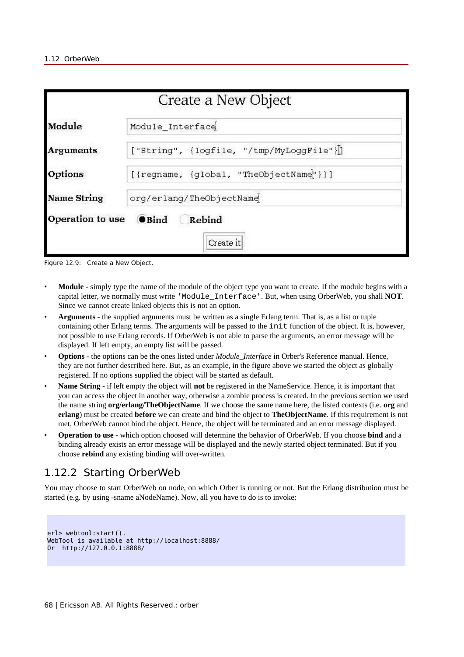| Module             | Module Interface                         |
|--------------------|------------------------------------------|
| <b>Arguments</b>   | ["String", {logfile, "/tmp/MyLoggFile"}] |
| Options            | [{regname, {global, "TheObjectName"}}]   |
| <b>Name String</b> | org/erlang/TheObjectName                 |
| Operation to use   | $\bullet$ Bind<br>Rebind                 |

Figure 12.9: Create a New Object.

- **Module** simply type the name of the module of the object type you want to create. If the module begins with a capital letter, we normally must write 'Module\_Interface'. But, when using OrberWeb, you shall **NOT**. Since we cannot create linked objects this is not an option.
- **Arguments** the supplied arguments must be written as a single Erlang term. That is, as a list or tuple containing other Erlang terms. The arguments will be passed to the init function of the object. It is, however, not possible to use Erlang records. If OrberWeb is not able to parse the arguments, an error message will be displayed. If left empty, an empty list will be passed.
- **Options** the options can be the ones listed under *Module\_Interface* in Orber's Reference manual. Hence, they are not further described here. But, as an example, in the figure above we started the object as globally registered. If no options supplied the object will be started as default.
- **Name String** if left empty the object will **not** be registered in the NameService. Hence, it is important that you can access the object in another way, otherwise a zombie process is created. In the previous section we used the name string **org/erlang/TheObjectName**. If we choose the same name here, the listed contexts (i.e. **org** and **erlang**) must be created **before** we can create and bind the object to **TheObjectName**. If this requirement is not met, OrberWeb cannot bind the object. Hence, the object will be terminated and an error message displayed.
- **Operation to use** which option choosed will determine the behavior of OrberWeb. If you choose **bind** and a binding already exists an error message will be displayed and the newly started object terminated. But if you choose **rebind** any existing binding will over-written.

## 1.12.2 Starting OrberWeb

You may choose to start OrberWeb on node, on which Orber is running or not. But the Erlang distribution must be started (e.g. by using -sname aNodeName). Now, all you have to do is to invoke:

```
erl> webtool:start().
WebTool is available at http://localhost:8888/
Or http://127.0.0.1:8888/
```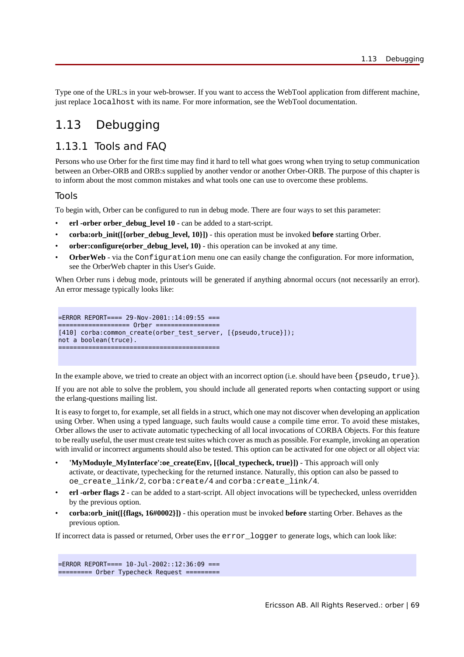Type one of the URL:s in your web-browser. If you want to access the WebTool application from different machine, just replace localhost with its name. For more information, see the WebTool documentation.

## 1.13 Debugging

## 1.13.1 Tools and FAQ

Persons who use Orber for the first time may find it hard to tell what goes wrong when trying to setup communication between an Orber-ORB and ORB:s supplied by another vendor or another Orber-ORB. The purpose of this chapter is to inform about the most common mistakes and what tools one can use to overcome these problems.

#### Tools

To begin with, Orber can be configured to run in debug mode. There are four ways to set this parameter:

- erl -orber orber debug level 10 can be added to a start-script.
- **corba:orb\_init([{orber\_debug\_level, 10}])** this operation must be invoked **before** starting Orber.
- **orber:configure(orber\_debug\_level, 10)** this operation can be invoked at any time.
- **OrberWeb** via the Configuration menu one can easily change the configuration. For more information, see the OrberWeb chapter in this User's Guide.

When Orber runs i debug mode, printouts will be generated if anything abnormal occurs (not necessarily an error). An error message typically looks like:

```
=ERROR REPORT==== 29-Nov-2001::14:09:55 ===
     =================== Orber =================
[410] corba:common_create(orber_test_server, [{pseudo,truce}]); 
not a boolean(truce).
 ===========================================
```
In the example above, we tried to create an object with an incorrect option (i.e. should have been  $\{pseudo,true\}$ ).

If you are not able to solve the problem, you should include all generated reports when contacting support or using the erlang-questions mailing list.

It is easy to forget to, for example, set all fields in a struct, which one may not discover when developing an application using Orber. When using a typed language, such faults would cause a compile time error. To avoid these mistakes, Orber allows the user to activate automatic typechecking of all local invocations of CORBA Objects. For this feature to be really useful, the user must create test suites which cover as much as possible. For example, invoking an operation with invalid or incorrect arguments should also be tested. This option can be activated for one object or all object via:

- **'MyModuyle\_MyInterface':oe\_create(Env, [{local\_typecheck, true}])** This approach will only activate, or deactivate, typechecking for the returned instance. Naturally, this option can also be passed to oe\_create\_link/2, corba:create/4 and corba:create\_link/4.
- **erl -orber flags 2** can be added to a start-script. All object invocations will be typechecked, unless overridden by the previous option.
- **corba:orb\_init([{flags, 16#0002}])** this operation must be invoked **before** starting Orber. Behaves as the previous option.

If incorrect data is passed or returned, Orber uses the error\_logger to generate logs, which can look like:

=ERROR REPORT==== 10-Jul-2002::12:36:09 === ========= Orber Typecheck Request =========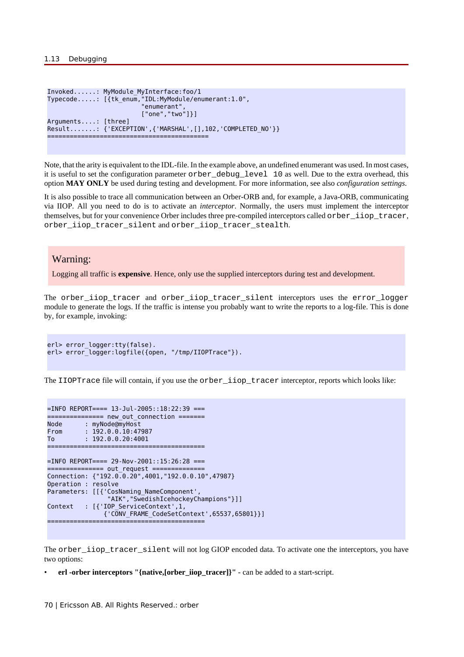```
Invoked......: MyModule_MyInterface:foo/1
Typecode.....: [{tk_enum,"IDL:MyModule/enumerant:1.0",
                          "enumerant",
                          ["one","two"]}]
Arguments....: [three]
Result.......: {'EXCEPTION',{'MARSHAL',[],102,'COMPLETED NO'}}
===========================================
```
Note, that the arity is equivalent to the IDL-file. In the example above, an undefined enumerant was used. In most cases, it is useful to set the configuration parameter orber\_debug\_level 10 as well. Due to the extra overhead, this option **MAY ONLY** be used during testing and development. For more information, see also *configuration settings*.

It is also possible to trace all communication between an Orber-ORB and, for example, a Java-ORB, communicating via IIOP. All you need to do is to activate an *interceptor*. Normally, the users must implement the interceptor themselves, but for your convenience Orber includes three pre-compiled interceptors called orber\_iiop\_tracer, orber\_iiop\_tracer\_silent and orber\_iiop\_tracer\_stealth.

#### Warning:

Logging all traffic is **expensive**. Hence, only use the supplied interceptors during test and development.

The orber\_iiop\_tracer and orber\_iiop\_tracer\_silent interceptors uses the error\_logger module to generate the logs. If the traffic is intense you probably want to write the reports to a log-file. This is done by, for example, invoking:

```
erl> error_logger:tty(false). 
erl> error logger:logfile({open, "/tmp/IIOPTrace"}).
```
The IIOPTrace file will contain, if you use the orber iiop tracer interceptor, reports which looks like:

```
=INFO REPORT==== 13-Jul-2005::18:22:39 ===
=============== new_out_connection =======
Node : myNode@myHost<br>From : 192.0.0.10:47
          : 192.0.0.10:47987To : 192.0.0.20:4001
 ==========================================
=INFO REPORT==== 29-Nov-2001::15:26:28 ===
=============== out_request ==============
Connection: {"192.0.0.20",4001,"192.0.0.10",47987}
Operation : resolve
Parameters: [[{CosNaming NameComponent',
                  "AIK","SwedishIcehockeyChampions"}]]
Context : [{'IOP ServiceContext'.1,
                {'CONV_FRAME_CodeSetContext',65537,65801}}]
==========================================
```
The orber\_iiop\_tracer\_silent will not log GIOP encoded data. To activate one the interceptors, you have two options:

• **erl -orber interceptors "{native,[orber\_iiop\_tracer]}"** - can be added to a start-script.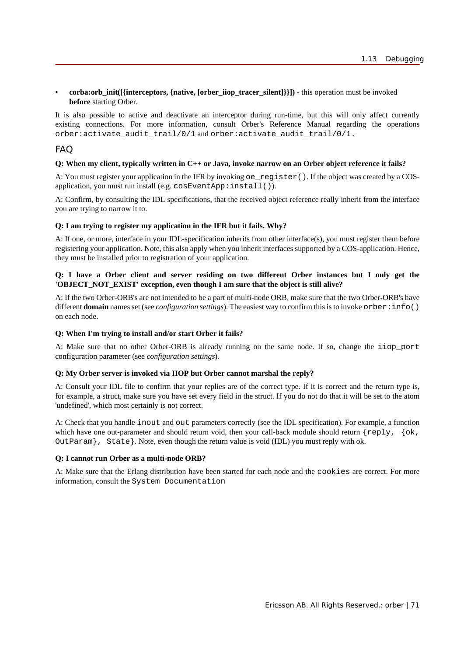**corba:orb\_init([{interceptors, {native, [orber\_iiop\_tracer\_silent]}])** - this operation must be invoked **before** starting Orber.

It is also possible to active and deactivate an interceptor during run-time, but this will only affect currently existing connections. For more information, consult Orber's Reference Manual regarding the operations orber: activate audit trail/0/1 and orber: activate audit trail/0/1.

### FAQ

#### **Q: When my client, typically written in C++ or Java, invoke narrow on an Orber object reference it fails?**

A: You must register your application in the IFR by invoking oe\_register(). If the object was created by a COSapplication, you must run install (e.g. cosEventApp:install()).

A: Confirm, by consulting the IDL specifications, that the received object reference really inherit from the interface you are trying to narrow it to.

#### **Q: I am trying to register my application in the IFR but it fails. Why?**

A: If one, or more, interface in your IDL-specification inherits from other interface(s), you must register them before registering your application. Note, this also apply when you inherit interfaces supported by a COS-application. Hence, they must be installed prior to registration of your application.

#### **Q: I have a Orber client and server residing on two different Orber instances but I only get the 'OBJECT\_NOT\_EXIST' exception, even though I am sure that the object is still alive?**

A: If the two Orber-ORB's are not intended to be a part of multi-node ORB, make sure that the two Orber-ORB's have different **domain** names set (see *configuration settings*). The easiest way to confirm this is to invoke orber:info() on each node.

#### **Q: When I'm trying to install and/or start Orber it fails?**

A: Make sure that no other Orber-ORB is already running on the same node. If so, change the iiop port configuration parameter (see *configuration settings*).

#### **Q: My Orber server is invoked via IIOP but Orber cannot marshal the reply?**

A: Consult your IDL file to confirm that your replies are of the correct type. If it is correct and the return type is, for example, a struct, make sure you have set every field in the struct. If you do not do that it will be set to the atom 'undefined', which most certainly is not correct.

A: Check that you handle inout and out parameters correctly (see the IDL specification). For example, a function which have one out-parameter and should return void, then your call-back module should return {reply, {ok, OutParam}, State}. Note, even though the return value is void (IDL) you must reply with ok.

#### **Q: I cannot run Orber as a multi-node ORB?**

A: Make sure that the Erlang distribution have been started for each node and the cookies are correct. For more information, consult the System Documentation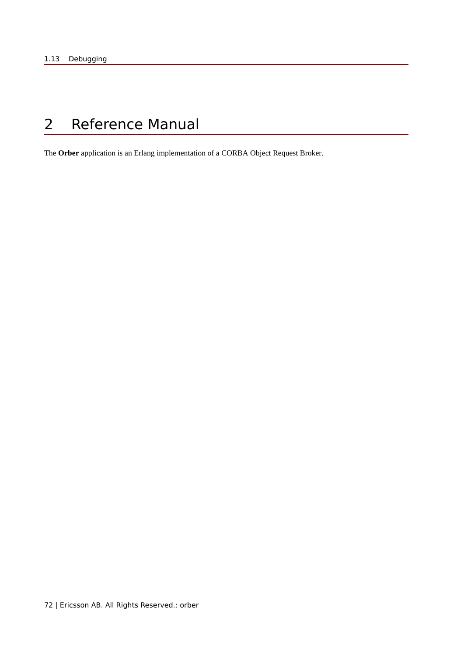# 2 Reference Manual

The **Orber** application is an Erlang implementation of a CORBA Object Request Broker.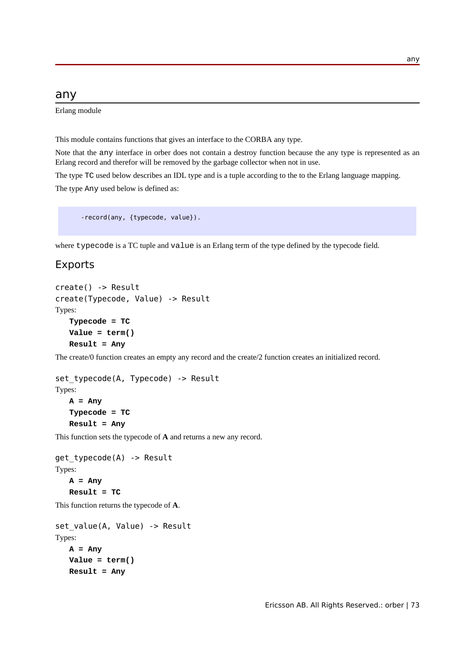### any

Erlang module

This module contains functions that gives an interface to the CORBA any type.

Note that the any interface in orber does not contain a destroy function because the any type is represented as an Erlang record and therefor will be removed by the garbage collector when not in use.

The type TC used below describes an IDL type and is a tuple according to the to the Erlang language mapping. The type Any used below is defined as:

-record(any, {typecode, value}).

where typecode is a TC tuple and value is an Erlang term of the type defined by the typecode field.

# Exports

```
create() -> Result
create(Typecode, Value) -> Result
Types:
   Typecode = TC
   Value = term()
```

```
Result = Any
```
The create/0 function creates an empty any record and the create/2 function creates an initialized record.

```
set_typecode(A, Typecode) -> Result
```

```
Types:
```

```
A = Any
Typecode = TC
Result = Any
```
This function sets the typecode of **A** and returns a new any record.

```
get_typecode(A) -> Result
Types:
   A = Any
   Result = TC
```
This function returns the typecode of **A**.

```
set value(A, Value) -> Result
Types:
  A = Any
  Value = term()
  Result = Any
```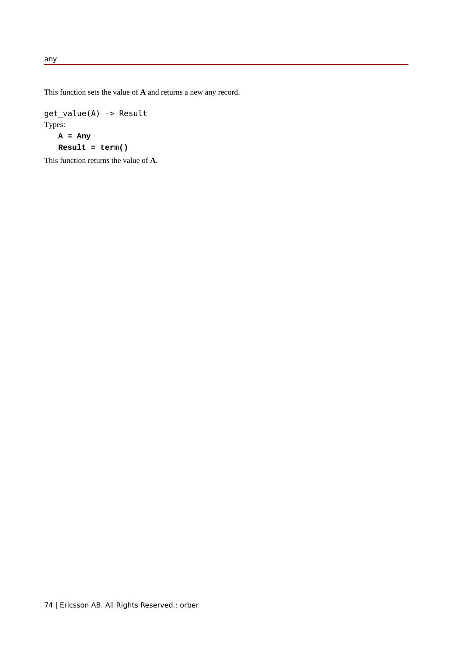This function sets the value of **A** and returns a new any record.

```
get_value(A) -> Result
Types:
  A = Any
  Result = term()
```
This function returns the value of **A**.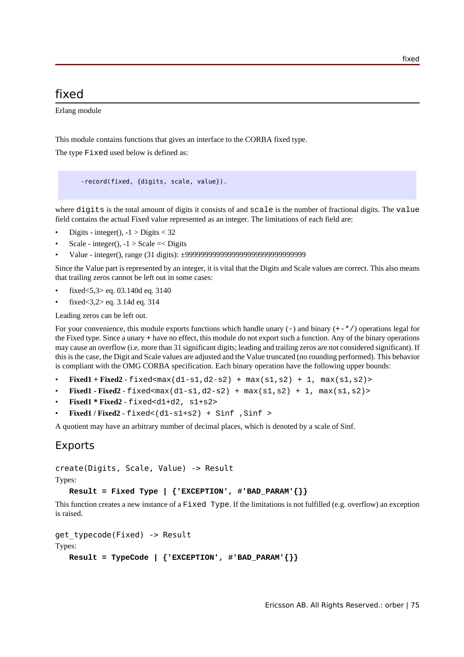# fixed

Erlang module

This module contains functions that gives an interface to the CORBA fixed type.

The type Fixed used below is defined as:

-record(fixed, {digits, scale, value}).

where digits is the total amount of digits it consists of and scale is the number of fractional digits. The value field contains the actual Fixed value represented as an integer. The limitations of each field are:

- Digits integer(),  $-1$  > Digits < 32
- Scale integer(),  $-1$  > Scale =  $\leq$  Digits
- Value integer(), range (31 digits): ±9999999999999999999999999999999

Since the Value part is represented by an integer, it is vital that the Digits and Scale values are correct. This also means that trailing zeros cannot be left out in some cases:

- fixed<5,3> eq. 03.140d eq. 3140
- fixed<3,2> eq. 3.14d eq. 314

Leading zeros can be left out.

For your convenience, this module exports functions which handle unary  $(-)$  and binary  $(+\rightarrow)$  operations legal for the Fixed type. Since a unary + have no effect, this module do not export such a function. Any of the binary operations may cause an overflow (i.e. more than 31 significant digits; leading and trailing zeros are not considered significant). If this is the case, the Digit and Scale values are adjusted and the Value truncated (no rounding performed). This behavior is compliant with the OMG CORBA specification. Each binary operation have the following upper bounds:

- $Fixed1 + Fixed2 fixed \cdot max(d1-s1, d2-s2) + max(s1, s2) + 1, max(s1, s2)$
- **Fixed1 Fixed2** fixed<max(d1-s1,d2-s2) + max(s1,s2) + 1, max(s1,s2)>
- **Fixed1 \* Fixed2** fixed<d1+d2, s1+s2>
- $Fixed1/Fixed2$ - $fixed<(d1-s1+s2)$  + Sinf , Sinf >

A quotient may have an arbitrary number of decimal places, which is denoted by a scale of Sinf.

# Exports

create(Digits, Scale, Value) -> Result Types: **Result = Fixed Type | {'EXCEPTION', #'BAD\_PARAM'{}}**

This function creates a new instance of a Fixed Type. If the limitations is not fulfilled (e.g. overflow) an exception is raised.

get typecode(Fixed) -> Result

Types:

```
Result = TypeCode | {'EXCEPTION', #'BAD_PARAM'{}}
```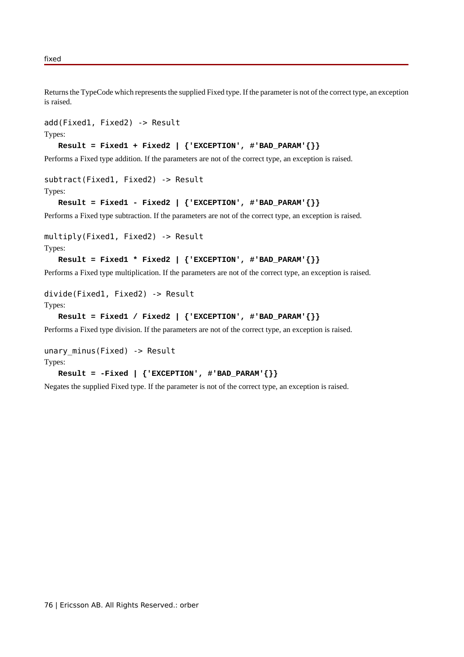Returns the TypeCode which represents the supplied Fixed type. If the parameter is not of the correct type, an exception is raised.

add(Fixed1, Fixed2) -> Result

Types:

**Result = Fixed1 + Fixed2 | {'EXCEPTION', #'BAD\_PARAM'{}}**

Performs a Fixed type addition. If the parameters are not of the correct type, an exception is raised.

```
subtract(Fixed1, Fixed2) -> Result
Types:
```

```
Result = Fixed1 - Fixed2 | {'EXCEPTION', #'BAD_PARAM'{}}
```
Performs a Fixed type subtraction. If the parameters are not of the correct type, an exception is raised.

```
multiply(Fixed1, Fixed2) -> Result
Types:
```
**Result = Fixed1 \* Fixed2 | {'EXCEPTION', #'BAD\_PARAM'{}}**

Performs a Fixed type multiplication. If the parameters are not of the correct type, an exception is raised.

divide(Fixed1, Fixed2) -> Result

Types:

```
Result = Fixed1 / Fixed2 | {'EXCEPTION', #'BAD_PARAM'{}}
```
Performs a Fixed type division. If the parameters are not of the correct type, an exception is raised.

unary minus(Fixed) -> Result Types:

#### **Result = -Fixed | {'EXCEPTION', #'BAD\_PARAM'{}}**

Negates the supplied Fixed type. If the parameter is not of the correct type, an exception is raised.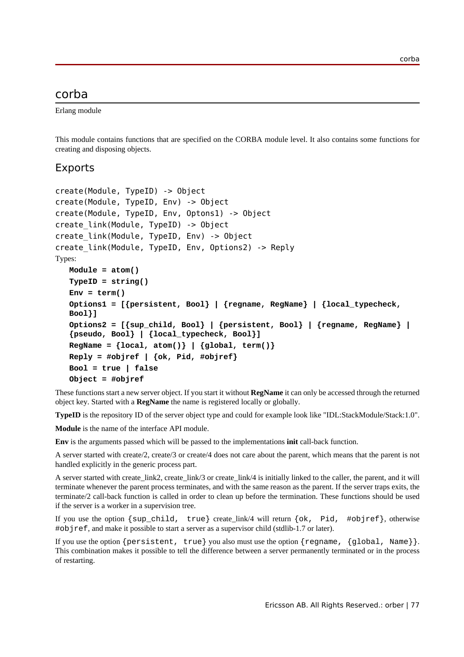# corba

Erlang module

This module contains functions that are specified on the CORBA module level. It also contains some functions for creating and disposing objects.

# Exports

```
create(Module, TypeID) -> Object
create(Module, TypeID, Env) -> Object
create(Module, TypeID, Env, Optons1) -> Object
create_link(Module, TypeID) -> Object
create_link(Module, TypeID, Env) -> Object
create_link(Module, TypeID, Env, Options2) -> Reply
Types:
  Module = atom()
   TypeID = string()
   Env = term()
   Options1 = [{persistent, Bool} | {regname, RegName} | {local_typecheck,
  Bool}]
   Options2 = [{sup_child, Bool} | {persistent, Bool} | {regname, RegName} |
   {pseudo, Bool} | {local_typecheck, Bool}]
   RegName = \{local, atom() \} | \{global, term() \}Reply = #objref | {ok, Pid, #objref}
   Bool = true | false
   Object = #objref
```
These functions start a new server object. If you start it without **RegName** it can only be accessed through the returned object key. Started with a **RegName** the name is registered locally or globally.

**TypeID** is the repository ID of the server object type and could for example look like "IDL:StackModule/Stack:1.0".

**Module** is the name of the interface API module.

**Env** is the arguments passed which will be passed to the implementations **init** call-back function.

A server started with create/2, create/3 or create/4 does not care about the parent, which means that the parent is not handled explicitly in the generic process part.

A server started with create\_link2, create\_link/3 or create\_link/4 is initially linked to the caller, the parent, and it will terminate whenever the parent process terminates, and with the same reason as the parent. If the server traps exits, the terminate/2 call-back function is called in order to clean up before the termination. These functions should be used if the server is a worker in a supervision tree.

If you use the option  $\{\text{sup}\ \text{child}\$ , true} create  $\text{link}/4$  will return  $\{\text{ok}\$ , Pid, #objref}, otherwise #objref, and make it possible to start a server as a supervisor child (stdlib-1.7 or later).

If you use the option {persistent, true} you also must use the option {regname, {global, Name}}. This combination makes it possible to tell the difference between a server permanently terminated or in the process of restarting.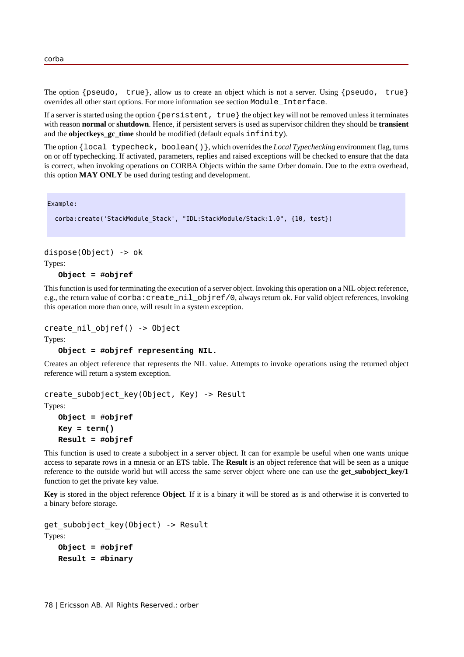The option  ${pseudo, true}$ , allow us to create an object which is not a server. Using  ${pseudo, true}$ overrides all other start options. For more information see section Module\_Interface.

If a server is started using the option {persistent, true} the object key will not be removed unless it terminates with reason **normal** or **shutdown**. Hence, if persistent servers is used as supervisor children they should be **transient** and the **objectkeys** gc time should be modified (default equals infinity).

The option {local\_typecheck, boolean()}, which overrides the *Local Typechecking* environment flag, turns on or off typechecking. If activated, parameters, replies and raised exceptions will be checked to ensure that the data is correct, when invoking operations on CORBA Objects within the same Orber domain. Due to the extra overhead, this option **MAY ONLY** be used during testing and development.

Example:

```
 corba:create('StackModule_Stack', "IDL:StackModule/Stack:1.0", {10, test})
```
dispose(Object) -> ok

Types:

```
Object = #objref
```
This function is used for terminating the execution of a server object. Invoking this operation on a NIL object reference, e.g., the return value of corba: create nil objref/0, always return ok. For valid object references, invoking this operation more than once, will result in a system exception.

create\_nil\_objref() -> Object

Types:

```
Object = #objref representing NIL.
```
Creates an object reference that represents the NIL value. Attempts to invoke operations using the returned object reference will return a system exception.

```
create subobject key(Object, Key) -> Result
Types:
   Object = #objref
   Key = term()
```
**Result = #objref**

This function is used to create a subobject in a server object. It can for example be useful when one wants unique access to separate rows in a mnesia or an ETS table. The **Result** is an object reference that will be seen as a unique reference to the outside world but will access the same server object where one can use the **get\_subobject\_key/1** function to get the private key value.

**Key** is stored in the object reference **Object**. If it is a binary it will be stored as is and otherwise it is converted to a binary before storage.

```
get subobject key(Object) -> Result
Types:
  Object = #objref
  Result = #binary
```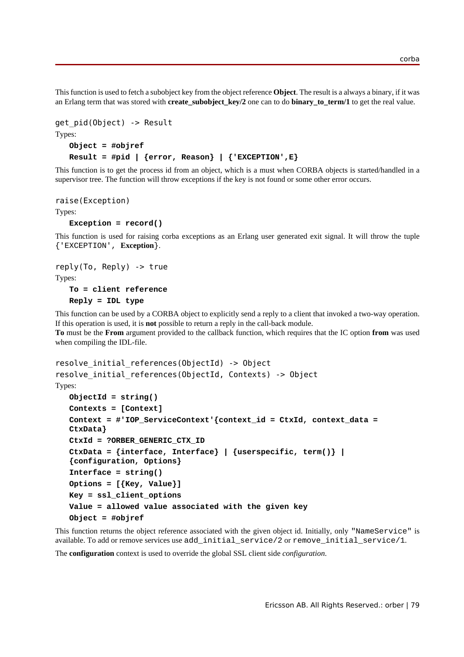This function is used to fetch a subobject key from the object reference **Object**. The result is a always a binary, if it was an Erlang term that was stored with **create** subobject key/2 one can to do **binary** to term/1 to get the real value.

```
get_pid(Object) -> Result
Types:
   Object = #objref
   Result = #pid | {error, Reason} | {'EXCEPTION',E}
```
This function is to get the process id from an object, which is a must when CORBA objects is started/handled in a supervisor tree. The function will throw exceptions if the key is not found or some other error occurs.

raise(Exception)

Types:

**Exception = record()**

This function is used for raising corba exceptions as an Erlang user generated exit signal. It will throw the tuple {'EXCEPTION', **Exception**}.

```
reply(To, Reply) -> true
```
Types:

**To = client reference Reply = IDL type**

This function can be used by a CORBA object to explicitly send a reply to a client that invoked a two-way operation. If this operation is used, it is **not** possible to return a reply in the call-back module.

**To** must be the **From** argument provided to the callback function, which requires that the IC option **from** was used when compiling the IDL-file.

```
resolve_initial_references(ObjectId) -> Object
resolve initial references(ObjectId, Contexts) -> Object
Types:
   ObjectId = string()
   Contexts = [Context]
   Context = #'IOP_ServiceContext'{context_id = CtxId, context_data =
   CtxData}
   CtxId = ?ORBER_GENERIC_CTX_ID
   CtxData = {interface, Interface} | {userspecific, term()} |
   {configuration, Options}
   Interface = string()
   Options = [{Key, Value}]
  Key = ssl_client_options
   Value = allowed value associated with the given key
   Object = #objref
```
This function returns the object reference associated with the given object id. Initially, only "NameService" is available. To add or remove services use add\_initial\_service/2 or remove\_initial\_service/1.

The **configuration** context is used to override the global SSL client side *configuration*.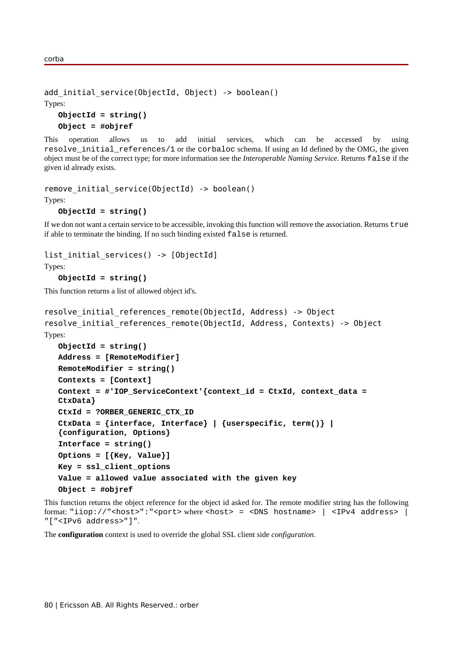corba

```
add initial service(ObjectId, Object) -> boolean()
Types:
   ObjectId = string()
   Object = #objref
```
This operation allows us to add initial services, which can be accessed by using resolve\_initial\_references/1 or the corbaloc schema. If using an Id defined by the OMG, the given object must be of the correct type; for more information see the *Interoperable Naming Service*. Returns false if the given id already exists.

```
remove initial service(ObjectId) -> boolean()
Types:
```

```
ObjectId = string()
```
If we don not want a certain service to be accessible, invoking this function will remove the association. Returns true if able to terminate the binding. If no such binding existed false is returned.

list initial services() -> [ObjectId]

Types:

```
ObjectId = string()
```
This function returns a list of allowed object id's.

```
resolve initial references remote(ObjectId, Address) -> Object
resolve initial references remote(ObjectId, Address, Contexts) -> Object
Types:
  ObjectId = string()
  Address = [RemoteModifier]
  RemoteModifier = string()
  Contexts = [Context]
  Context = #'IOP_ServiceContext'{context_id = CtxId, context_data =
  CtxData}
  CtxId = ?ORBER_GENERIC_CTX_ID
  CtxData = {interface, Interface} | {userspecific, term()} |
   {configuration, Options}
  Interface = string()
  Options = [{Key, Value}]
  Key = ssl_client_options
  Value = allowed value associated with the given key
  Object = #objref
```
This function returns the object reference for the object id asked for. The remote modifier string has the following format: "iiop://"<host>":"<port> where <host> = <DNS hostname> | <IPv4 address> | "["<IPv6 address>"]".

The **configuration** context is used to override the global SSL client side *configuration*.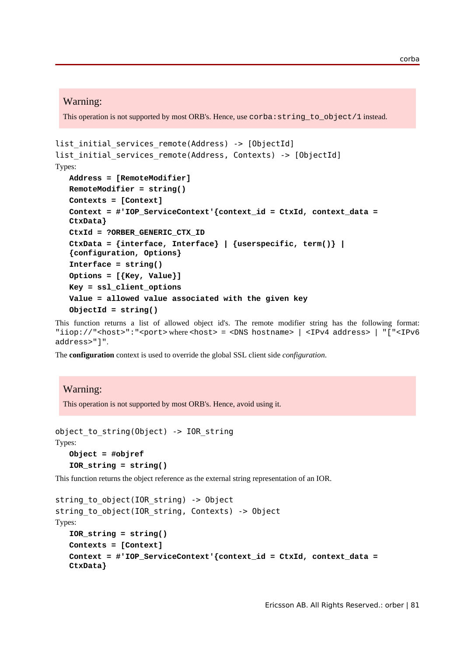#### Warning:

This operation is not supported by most ORB's. Hence, use corba: string\_to\_object/1 instead.

```
list initial services remote(Address) -> [ObjectId]
list initial services remote(Address, Contexts) -> [ObjectId]
Types:
  Address = [RemoteModifier]
  RemoteModifier = string()
   Contexts = [Context]
   Context = #'IOP_ServiceContext'{context_id = CtxId, context_data =
  CtxData}
   CtxId = ?ORBER_GENERIC_CTX_ID
  CtxData = {interface, Interface} | {userspecific, term()} |
   {configuration, Options}
   Interface = string()
  Options = [{Key, Value}]
  Key = ssl_client_options
   Value = allowed value associated with the given key
   ObjectId = string()
```
This function returns a list of allowed object id's. The remote modifier string has the following format: "iiop://"<host>":"<port> where <host> = <DNS hostname> | <IPv4 address> | "["<IPv6 address>"]".

The **configuration** context is used to override the global SSL client side *configuration*.

#### Warning:

This operation is not supported by most ORB's. Hence, avoid using it.

```
object to string(Object) -> IOR string
Types:
   Object = #objref
```

```
IOR_string = string()
```
This function returns the object reference as the external string representation of an IOR.

```
string to object(IOR string) -> Object
string to object(IOR string, Contexts) -> Object
Types:
   IOR_string = string()
   Contexts = [Context]
   Context = #'IOP_ServiceContext'{context_id = CtxId, context_data =
   CtxData}
```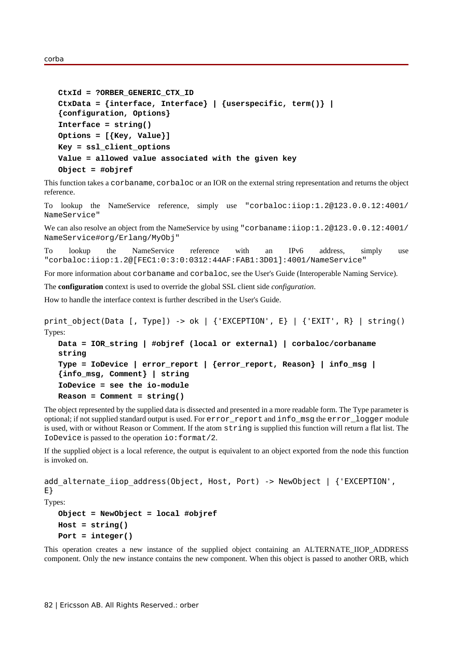```
CtxId = ?ORBER_GENERIC_CTX_ID
CtxData = {interface, Interface} | {userspecific, term()} |
{configuration, Options}
Interface = string()
Options = [{Key, Value}]
Key = ssl_client_options
Value = allowed value associated with the given key
Object = #objref
```
This function takes a corbaname, corbaloc or an IOR on the external string representation and returns the object reference.

To lookup the NameService reference, simply use "corbaloc:iiop:1.2@123.0.0.12:4001/ NameService"

We can also resolve an object from the NameService by using "corbaname:iiop:1.2@123.0.0.12:4001/ NameService#org/Erlang/MyObj"

To lookup the NameService reference with an IPv6 address, simply use "corbaloc:iiop:1.2@[FEC1:0:3:0:0312:44AF:FAB1:3D01]:4001/NameService"

For more information about corbaname and corbaloc, see the User's Guide (Interoperable Naming Service).

The **configuration** context is used to override the global SSL client side *configuration*.

How to handle the interface context is further described in the User's Guide.

```
print object(Data [, Type]) -> ok | {'EXCEPTION', E} | {'EXIT', R} | string()
Types:
```

```
Data = IOR_string | #objref (local or external) | corbaloc/corbaname
string
Type = IoDevice | error_report | {error_report, Reason} | info_msg |
{info_msg, Comment} | string
IoDevice = see the io-module
Reason = Comment = string()
```
The object represented by the supplied data is dissected and presented in a more readable form. The Type parameter is optional; if not supplied standard output is used. For error\_report and info\_msg the error\_logger module is used, with or without Reason or Comment. If the atom string is supplied this function will return a flat list. The IoDevice is passed to the operation io:format/2.

If the supplied object is a local reference, the output is equivalent to an object exported from the node this function is invoked on.

```
add_alternate_iiop_address(Object, Host, Port) -> NewObject | {'EXCEPTION',
E}
```
Types:

**Object = NewObject = local #objref Host = string() Port = integer()**

This operation creates a new instance of the supplied object containing an ALTERNATE\_IIOP\_ADDRESS component. Only the new instance contains the new component. When this object is passed to another ORB, which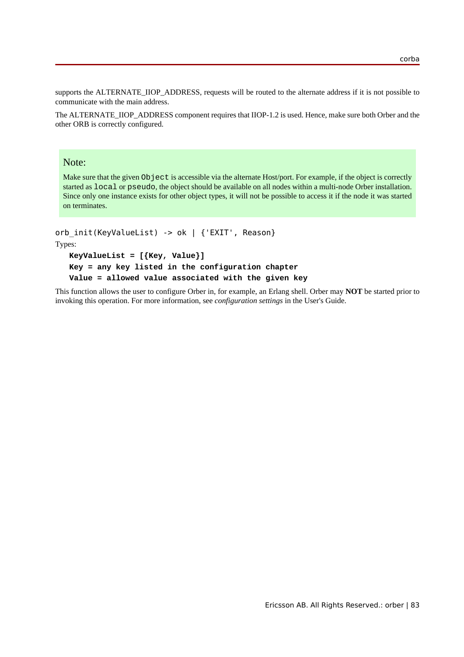supports the ALTERNATE\_IIOP\_ADDRESS, requests will be routed to the alternate address if it is not possible to communicate with the main address.

The ALTERNATE\_IIOP\_ADDRESS component requires that IIOP-1.2 is used. Hence, make sure both Orber and the other ORB is correctly configured.

#### Note:

Make sure that the given Object is accessible via the alternate Host/port. For example, if the object is correctly started as local or pseudo, the object should be available on all nodes within a multi-node Orber installation. Since only one instance exists for other object types, it will not be possible to access it if the node it was started on terminates.

```
orb_init(KeyValueList) -> ok | {'EXIT', Reason}
Types:
  KeyValueList = [{Key, Value}]
  Key = any key listed in the configuration chapter
  Value = allowed value associated with the given key
```
This function allows the user to configure Orber in, for example, an Erlang shell. Orber may **NOT** be started prior to invoking this operation. For more information, see *configuration settings* in the User's Guide.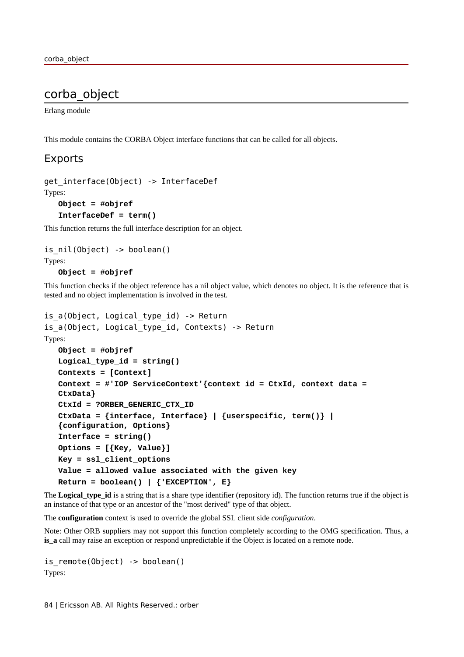# corba\_object

Erlang module

This module contains the CORBA Object interface functions that can be called for all objects.

### Exports

```
get_interface(Object) -> InterfaceDef
Types:
   Object = #objref
   InterfaceDef = term()
```
This function returns the full interface description for an object.

```
is_nil(Object) -> boolean()
Types:
   Object = #objref
```
This function checks if the object reference has a nil object value, which denotes no object. It is the reference that is tested and no object implementation is involved in the test.

```
is a(Object, Logical type id) -> Return
is a(Object, Logical type id, Contexts) -> Return
Types:
   Object = #objref
   Logical_type_id = string()
   Contexts = [Context]
   Context = #'IOP_ServiceContext'{context_id = CtxId, context_data =
   CtxData}
   CtxId = ?ORBER_GENERIC_CTX_ID
   CtxData = {interface, Interface} | {userspecific, term()} |
   {configuration, Options}
   Interface = string()
   Options = [{Key, Value}]
   Key = ssl_client_options
   Value = allowed value associated with the given key
   Return = boolean() | {'EXCEPTION', E}
```
The **Logical\_type\_id** is a string that is a share type identifier (repository id). The function returns true if the object is an instance of that type or an ancestor of the "most derived" type of that object.

The **configuration** context is used to override the global SSL client side *configuration*.

Note: Other ORB suppliers may not support this function completely according to the OMG specification. Thus, a **is\_a** call may raise an exception or respond unpredictable if the Object is located on a remote node.

is remote(Object) -> boolean() Types:

84 | Ericsson AB. All Rights Reserved.: orber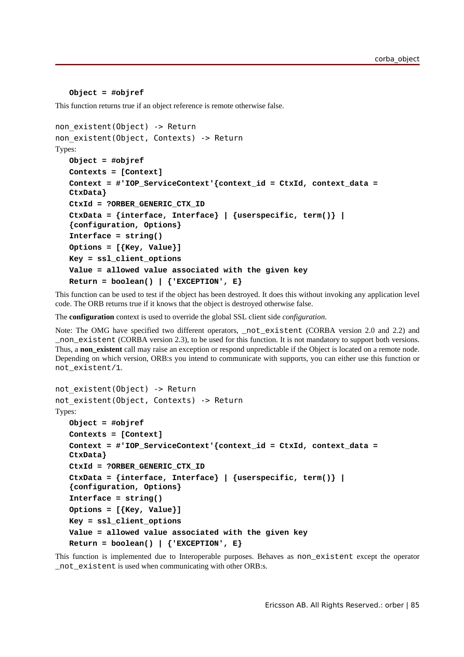```
Object = #objref
```
This function returns true if an object reference is remote otherwise false.

```
non existent(Object) -> Return
non_existent(Object, Contexts) -> Return
Types:
   Object = #objref
   Contexts = [Context]
   Context = #'IOP_ServiceContext'{context_id = CtxId, context_data =
   CtxData}
   CtxId = ?ORBER_GENERIC_CTX_ID
   CtxData = {interface, Interface} | {userspecific, term()} |
   {configuration, Options}
   Interface = string()
   Options = [{Key, Value}]
  Key = ssl_client_options
  Value = allowed value associated with the given key
  Return = boolean() | {'EXCEPTION', E}
```
This function can be used to test if the object has been destroyed. It does this without invoking any application level code. The ORB returns true if it knows that the object is destroyed otherwise false.

The **configuration** context is used to override the global SSL client side *configuration*.

Note: The OMG have specified two different operators, not existent (CORBA version 2.0 and 2.2) and \_non\_existent (CORBA version 2.3), to be used for this function. It is not mandatory to support both versions. Thus, a **non\_existent** call may raise an exception or respond unpredictable if the Object is located on a remote node. Depending on which version, ORB:s you intend to communicate with supports, you can either use this function or not\_existent/1.

```
not existent(Object) -> Return
not existent(Object, Contexts) -> Return
Types:
   Object = #objref
   Contexts = [Context]
   Context = #'IOP_ServiceContext'{context_id = CtxId, context_data =
   CtxData}
   CtxId = ?ORBER_GENERIC_CTX_ID
   CtxData = {interface, Interface} | {userspecific, term()} |
   {configuration, Options}
   Interface = string()
   Options = [{Key, Value}]
  Key = ssl_client_options
  Value = allowed value associated with the given key
  Return = boolean() | {'EXCEPTION', E}
```
This function is implemented due to Interoperable purposes. Behaves as non\_existent except the operator \_not\_existent is used when communicating with other ORB:s.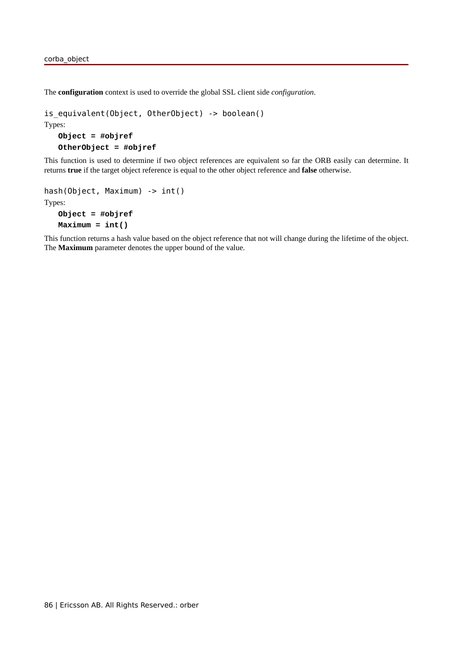The **configuration** context is used to override the global SSL client side *configuration*.

```
is_equivalent(Object, OtherObject) -> boolean()
Types:
  Object = #objref
```
**OtherObject = #objref**

This function is used to determine if two object references are equivalent so far the ORB easily can determine. It returns **true** if the target object reference is equal to the other object reference and **false** otherwise.

```
hash(Object, Maximum) -> int()
Types:
   Object = #objref
   Maximum = int()
```
This function returns a hash value based on the object reference that not will change during the lifetime of the object. The **Maximum** parameter denotes the upper bound of the value.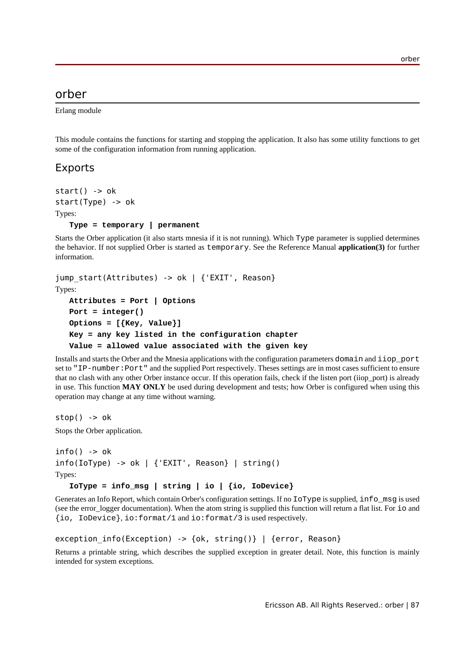# orber

Erlang module

This module contains the functions for starting and stopping the application. It also has some utility functions to get some of the configuration information from running application.

### Exports

```
start() -> ok
start(Type) -> ok
Types:
   Type = temporary | permanent
```
Starts the Orber application (it also starts mnesia if it is not running). Which Type parameter is supplied determines the behavior. If not supplied Orber is started as temporary. See the Reference Manual **application(3)** for further information.

```
jump start(Attributes) -> ok | {'EXIT', Reason}
Types:
  Attributes = Port | Options
  Port = integer()
   Options = [{Key, Value}]
  Key = any key listed in the configuration chapter
   Value = allowed value associated with the given key
```
Installs and starts the Orber and the Mnesia applications with the configuration parameters domain and iiop\_port set to "IP-number: Port" and the supplied Port respectively. Theses settings are in most cases sufficient to ensure that no clash with any other Orber instance occur. If this operation fails, check if the listen port (iiop\_port) is already in use. This function **MAY ONLY** be used during development and tests; how Orber is configured when using this operation may change at any time without warning.

 $stop() \rightarrow ok$ 

Stops the Orber application.

```
info() -> okinfo(IoType) -> ok | {'EXIT', Reason} | string()
Types:
   IoType = info_msg | string | io | {io, IoDevice}
```
Generates an Info Report, which contain Orber's configuration settings. If no IoType is supplied, info\_msg is used (see the error logger documentation). When the atom string is supplied this function will return a flat list. For io and {io, IoDevice}, io:format/1 and io:format/3 is used respectively.

```
exception_info(Exception) -> {ok, string()} | {error, Reason}
```
Returns a printable string, which describes the supplied exception in greater detail. Note, this function is mainly intended for system exceptions.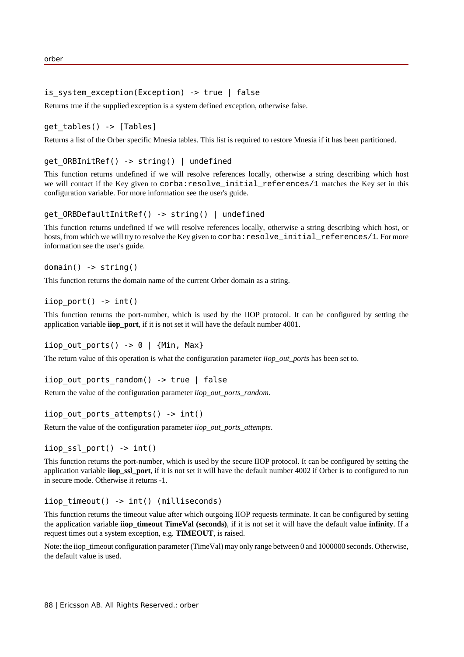#### is system exception(Exception) -> true | false

Returns true if the supplied exception is a system defined exception, otherwise false.

#### qet tables() -> [Tables]

Returns a list of the Orber specific Mnesia tables. This list is required to restore Mnesia if it has been partitioned.

#### get ORBInitRef() -> string() | undefined

This function returns undefined if we will resolve references locally, otherwise a string describing which host we will contact if the Key given to corba: resolve initial references/1 matches the Key set in this configuration variable. For more information see the user's guide.

#### get ORBDefaultInitRef() -> string() | undefined

This function returns undefined if we will resolve references locally, otherwise a string describing which host, or hosts, from which we will try to resolve the Key given to corba: resolve initial references/1. For more information see the user's guide.

```
domain() -> string()
```
This function returns the domain name of the current Orber domain as a string.

#### iiop  $port()$  ->  $int()$

This function returns the port-number, which is used by the IIOP protocol. It can be configured by setting the application variable **iiop\_port**, if it is not set it will have the default number 4001.

```
iiop out ports() \rightarrow 0 | {Min, Max}
```
The return value of this operation is what the configuration parameter *iiop\_out\_ports* has been set to.

```
iiop out ports random() -> true | false
```
Return the value of the configuration parameter *iiop\_out\_ports\_random*.

#### iiop out ports attempts()  $\rightarrow$  int()

Return the value of the configuration parameter *iiop\_out\_ports\_attempts*.

#### iiop ssl port()  $\rightarrow$  int()

This function returns the port-number, which is used by the secure IIOP protocol. It can be configured by setting the application variable **iiop\_ssl\_port**, if it is not set it will have the default number 4002 if Orber is to configured to run in secure mode. Otherwise it returns -1.

#### iiop timeout() -> int() (milliseconds)

This function returns the timeout value after which outgoing IIOP requests terminate. It can be configured by setting the application variable **iiop\_timeout TimeVal (seconds)**, if it is not set it will have the default value **infinity**. If a request times out a system exception, e.g. **TIMEOUT**, is raised.

Note: the iiop\_timeout configuration parameter (TimeVal) may only range between 0 and 1000000 seconds. Otherwise, the default value is used.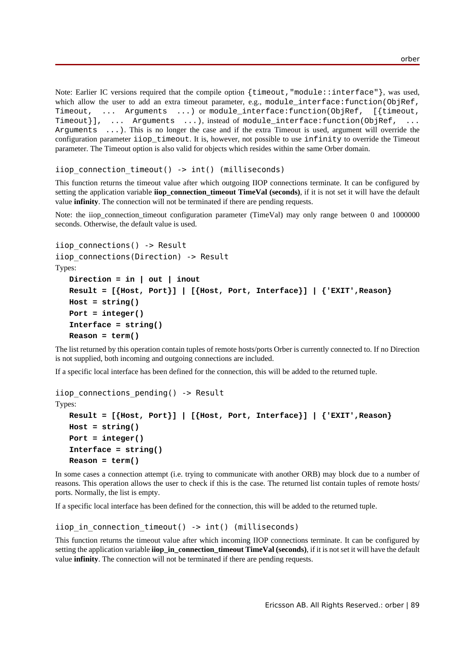Note: Earlier IC versions required that the compile option {timeout,"module::interface"}, was used, which allow the user to add an extra timeout parameter, e.g., module interface: function(ObjRef, Timeout, ... Arguments ...) or module\_interface:function(ObjRef, [{timeout, Timeout $\}, \ldots$  Arguments  $\ldots$ , instead of module interface:function(ObjRef, ... Arguments ...). This is no longer the case and if the extra Timeout is used, argument will override the configuration parameter iiop\_timeout. It is, however, not possible to use infinity to override the Timeout parameter. The Timeout option is also valid for objects which resides within the same Orber domain.

#### iiop\_connection\_timeout() -> int() (milliseconds)

This function returns the timeout value after which outgoing IIOP connections terminate. It can be configured by setting the application variable **iiop\_connection\_timeout TimeVal (seconds)**, if it is not set it will have the default value **infinity**. The connection will not be terminated if there are pending requests.

Note: the iiop\_connection\_timeout configuration parameter (TimeVal) may only range between 0 and 1000000 seconds. Otherwise, the default value is used.

```
iiop_connections() -> Result
iiop connections(Direction) -> Result
Types:
   Direction = in | out | inout
   Result = [{Host, Port}] | [{Host, Port, Interface}] | {'EXIT',Reason}
   Host = string()
   Port = integer()
   Interface = string()
   Reason = term()
```
The list returned by this operation contain tuples of remote hosts/ports Orber is currently connected to. If no Direction is not supplied, both incoming and outgoing connections are included.

If a specific local interface has been defined for the connection, this will be added to the returned tuple.

```
iiop connections pending() -> Result
```
Types:

```
Result = [{Host, Port}] | [{Host, Port, Interface}] | {'EXIT',Reason}
Host = string()
Port = integer()
Interface = string()
Reason = term()
```
In some cases a connection attempt (i.e. trying to communicate with another ORB) may block due to a number of reasons. This operation allows the user to check if this is the case. The returned list contain tuples of remote hosts/ ports. Normally, the list is empty.

If a specific local interface has been defined for the connection, this will be added to the returned tuple.

```
iiop in connection timeout() \rightarrow int() (milliseconds)
```
This function returns the timeout value after which incoming IIOP connections terminate. It can be configured by setting the application variable **iiop\_in\_connection\_timeout TimeVal (seconds)**, if it is not set it will have the default value **infinity**. The connection will not be terminated if there are pending requests.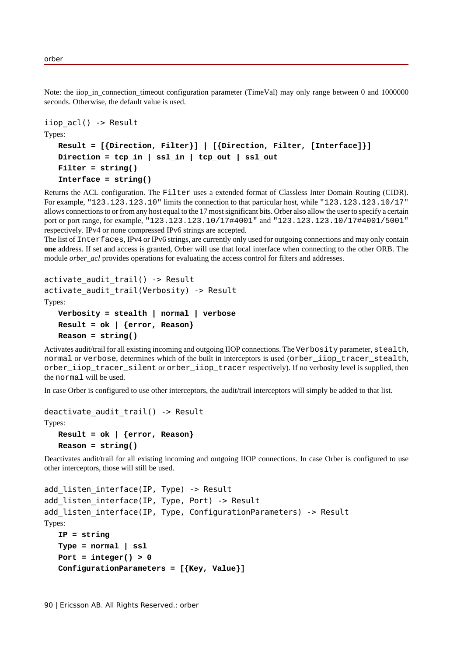Note: the iiop in connection timeout configuration parameter (TimeVal) may only range between 0 and 1000000 seconds. Otherwise, the default value is used.

```
iiop_acl() -> Result
Types:
   Result = [{Direction, Filter}] | [{Direction, Filter, [Interface]}]
   Direction = tcp_in | ssl_in | tcp_out | ssl_out
   Filter = string()
   Interface = string()
```
Returns the ACL configuration. The Filter uses a extended format of Classless Inter Domain Routing (CIDR). For example, "123.123.123.10" limits the connection to that particular host, while "123.123.123.10/17" allows connections to or from any host equal to the 17 most significant bits. Orber also allow the user to specify a certain port or port range, for example, "123.123.123.10/17#4001" and "123.123.123.10/17#4001/5001" respectively. IPv4 or none compressed IPv6 strings are accepted.

The list of Interfaces, IPv4 or IPv6 strings, are currently only used for outgoing connections and may only contain **one** address. If set and access is granted, Orber will use that local interface when connecting to the other ORB. The module *orber\_acl* provides operations for evaluating the access control for filters and addresses.

```
activate audit \text{trail}() \rightarrow \text{Result}activate audit trail(Verbosity) -> Result
Types:
   Verbosity = stealth | normal | verbose
   Result = ok | {error, Reason}
   Reason = string()
```
Activates audit/trail for all existing incoming and outgoing IIOP connections. The Verbosity parameter, stealth, normal or verbose, determines which of the built in interceptors is used (orber\_iiop\_tracer\_stealth, orber\_iiop\_tracer\_silent or orber\_iiop\_tracer respectively). If no verbosity level is supplied, then the normal will be used.

In case Orber is configured to use other interceptors, the audit/trail interceptors will simply be added to that list.

```
deactivate audit trail() \rightarrow Result
```

```
Types:
```
**Result = ok | {error, Reason} Reason = string()**

Deactivates audit/trail for all existing incoming and outgoing IIOP connections. In case Orber is configured to use other interceptors, those will still be used.

```
add_listen_interface(IP, Type) -> Result
add listen interface(IP, Type, Port) -> Result
add listen interface(IP, Type, ConfigurationParameters) -> Result
Types:
   IP = string
   Type = normal | ssl
   Port = integer() > 0
   ConfigurationParameters = [{Key, Value}]
```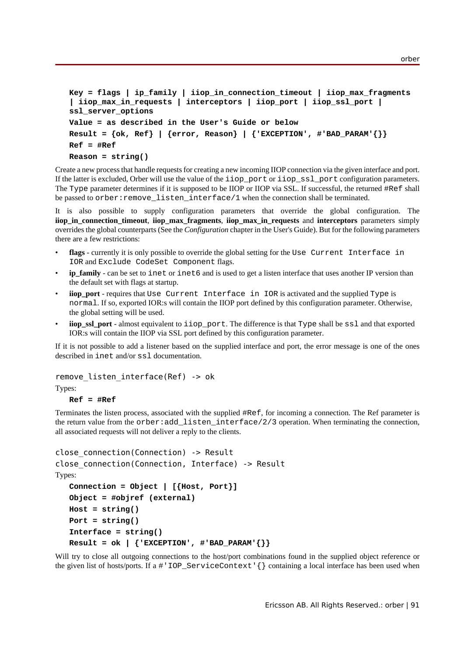```
Key = flags | ip_family | iiop_in_connection_timeout | iiop_max_fragments
| iiop_max_in_requests | interceptors | iiop_port | iiop_ssl_port |
ssl_server_options
Value = as described in the User's Guide or below
Result = {ok, Ref} | {error, Reason} | {'EXCEPTION', #'BAD_PARAM'{}}
Ref = #Ref
Reason = string()
```
Create a new process that handle requests for creating a new incoming IIOP connection via the given interface and port. If the latter is excluded, Orber will use the value of the iiop\_port or iiop\_ssl\_port configuration parameters. The Type parameter determines if it is supposed to be IIOP or IIOP via SSL. If successful, the returned #Ref shall be passed to orber: remove\_listen\_interface/1 when the connection shall be terminated.

It is also possible to supply configuration parameters that override the global configuration. The **iiop\_in\_connection\_timeout**, **iiop\_max\_fragments**, **iiop\_max\_in\_requests** and **interceptors** parameters simply overrides the global counterparts (See the *Configuration* chapter in the User's Guide). But for the following parameters there are a few restrictions:

- flags currently it is only possible to override the global setting for the Use Current Interface in IOR and Exclude CodeSet Component flags.
- **ip\_family** can be set to inet or inet6 and is used to get a listen interface that uses another IP version than the default set with flags at startup.
- **iiop\_port** requires that Use Current Interface in IOR is activated and the supplied Type is normal. If so, exported IOR:s will contain the IIOP port defined by this configuration parameter. Otherwise, the global setting will be used.
- **iiop\_ssl\_port** almost equivalent to iiop\_port. The difference is that Type shall be ssl and that exported IOR:s will contain the IIOP via SSL port defined by this configuration parameter.

If it is not possible to add a listener based on the supplied interface and port, the error message is one of the ones described in inet and/or ssl documentation.

```
remove listen interface(Ref) -> ok
```
Types:

#### **Ref = #Ref**

Terminates the listen process, associated with the supplied #Ref, for incoming a connection. The Ref parameter is the return value from the orber:add\_listen\_interface/2/3 operation. When terminating the connection, all associated requests will not deliver a reply to the clients.

```
close_connection(Connection) -> Result
close connection(Connection, Interface) -> Result
Types:
   Connection = Object | [{Host, Port}]
   Object = #objref (external)
  Host = string()
   Port = string()
   Interface = string()
   Result = ok | {'EXCEPTION', #'BAD_PARAM'{}}
```
Will try to close all outgoing connections to the host/port combinations found in the supplied object reference or the given list of hosts/ports. If a #'IOP\_ServiceContext'{} containing a local interface has been used when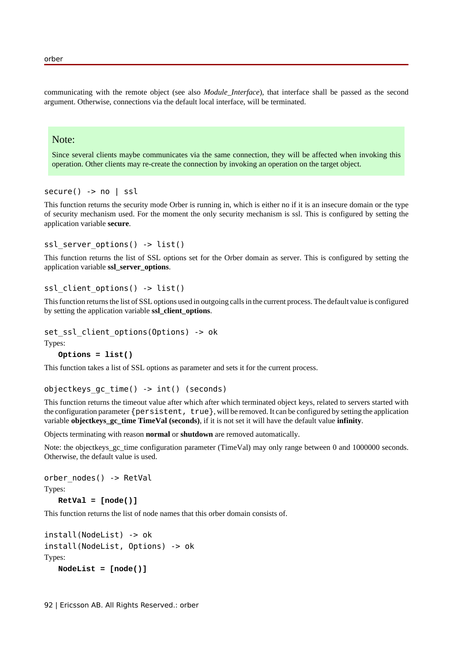communicating with the remote object (see also *Module\_Interface*), that interface shall be passed as the second argument. Otherwise, connections via the default local interface, will be terminated.

#### Note:

Since several clients maybe communicates via the same connection, they will be affected when invoking this operation. Other clients may re-create the connection by invoking an operation on the target object.

#### secure() -> no | ssl

This function returns the security mode Orber is running in, which is either no if it is an insecure domain or the type of security mechanism used. For the moment the only security mechanism is ssl. This is configured by setting the application variable **secure**.

```
ssl server options() - list()
```
This function returns the list of SSL options set for the Orber domain as server. This is configured by setting the application variable **ssl\_server\_options**.

#### ssl client options()  $-$  list()

This function returns the list of SSL options used in outgoing calls in the current process. The default value is configured by setting the application variable **ssl\_client\_options**.

```
set ssl client options(Options) -> ok
```
Types:

**Options = list()**

This function takes a list of SSL options as parameter and sets it for the current process.

```
objectkeys_gc_time() -> int() (seconds)
```
This function returns the timeout value after which after which terminated object keys, related to servers started with the configuration parameter {persistent, true}, will be removed. It can be configured by setting the application variable **objectkeys\_gc\_time TimeVal (seconds)**, if it is not set it will have the default value **infinity**.

Objects terminating with reason **normal** or **shutdown** are removed automatically.

Note: the objectkeys\_gc\_time configuration parameter (TimeVal) may only range between 0 and 1000000 seconds. Otherwise, the default value is used.

```
orber nodes() -> RetVal
Types:
   RetVal = [node()]
```
This function returns the list of node names that this orber domain consists of.

```
install(NodeList) -> ok
install(NodeList, Options) -> ok
Types:
   NodeList = [node()]
```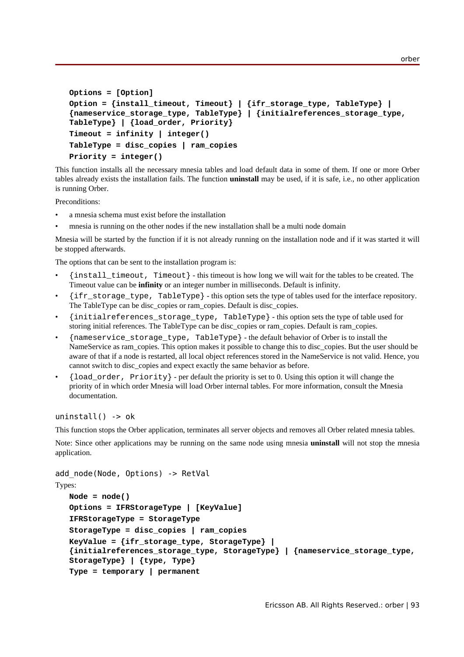```
orber
```

```
Options = [Option]
Option = {install_timeout, Timeout} | {ifr_storage_type, TableType} |
{nameservice_storage_type, TableType} | {initialreferences_storage_type,
TableType} | {load_order, Priority}
Timeout = infinity | integer()
TableType = disc_copies | ram_copies
Priority = integer()
```
This function installs all the necessary mnesia tables and load default data in some of them. If one or more Orber tables already exists the installation fails. The function **uninstall** may be used, if it is safe, i.e., no other application is running Orber.

Preconditions:

- a mnesia schema must exist before the installation
- mnesia is running on the other nodes if the new installation shall be a multi node domain

Mnesia will be started by the function if it is not already running on the installation node and if it was started it will be stopped afterwards.

The options that can be sent to the installation program is:

- {install\_timeout, Timeout} this timeout is how long we will wait for the tables to be created. The Timeout value can be **infinity** or an integer number in milliseconds. Default is infinity.
- {ifr\_storage\_type, TableType} this option sets the type of tables used for the interface repository. The TableType can be disc\_copies or ram\_copies. Default is disc\_copies.
- {initialreferences\_storage\_type, TableType} this option sets the type of table used for storing initial references. The TableType can be disc\_copies or ram\_copies. Default is ram\_copies.
- {nameservice\_storage\_type, TableType} the default behavior of Orber is to install the NameService as ram\_copies. This option makes it possible to change this to disc\_copies. But the user should be aware of that if a node is restarted, all local object references stored in the NameService is not valid. Hence, you cannot switch to disc\_copies and expect exactly the same behavior as before.
- {load\_order, Priority} per default the priority is set to 0. Using this option it will change the priority of in which order Mnesia will load Orber internal tables. For more information, consult the Mnesia documentation.

#### $uninstall()$  -> ok

This function stops the Orber application, terminates all server objects and removes all Orber related mnesia tables.

Note: Since other applications may be running on the same node using mnesia **uninstall** will not stop the mnesia application.

```
add node(Node, Options) -> RetVal
Types:
  Node = node()
   Options = IFRStorageType | [KeyValue]
   IFRStorageType = StorageType
   StorageType = disc_copies | ram_copies
  KeyValue = {ifr_storage_type, StorageType} |
   {initialreferences_storage_type, StorageType} | {nameservice_storage_type,
   StorageType} | {type, Type}
   Type = temporary | permanent
```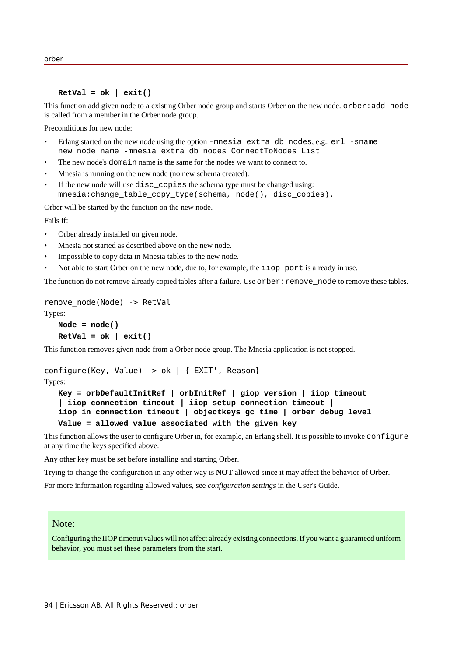#### $RetVal = ok | exit()$

This function add given node to a existing Orber node group and starts Orber on the new node. orber: add\_node is called from a member in the Orber node group.

Preconditions for new node:

- Erlang started on the new node using the option -mnesia extra db nodes, e.g.,  $er1$  -sname new\_node\_name -mnesia extra\_db\_nodes ConnectToNodes\_List
- The new node's domain name is the same for the nodes we want to connect to.
- Mnesia is running on the new node (no new schema created).
- If the new node will use disc copies the schema type must be changed using: mnesia:change\_table\_copy\_type(schema, node(), disc\_copies).

Orber will be started by the function on the new node.

Fails if:

- Orber already installed on given node.
- Mnesia not started as described above on the new node.
- Impossible to copy data in Mnesia tables to the new node.
- Not able to start Orber on the new node, due to, for example, the iiop port is already in use.

The function do not remove already copied tables after a failure. Use orber: remove\_node to remove these tables.

```
remove_node(Node) -> RetVal
```

```
Types:
```

```
Node = node()
RetVal = ok | exit()
```
This function removes given node from a Orber node group. The Mnesia application is not stopped.

```
configure(Key, Value) -> ok | {'EXIT', Reason}
```

```
Types:
```

```
Key = orbDefaultInitRef | orbInitRef | giop_version | iiop_timeout
| iiop_connection_timeout | iiop_setup_connection_timeout |
iiop_in_connection_timeout | objectkeys_gc_time | orber_debug_level
Value = allowed value associated with the given key
```
This function allows the user to configure Orber in, for example, an Erlang shell. It is possible to invoke configure at any time the keys specified above.

Any other key must be set before installing and starting Orber.

Trying to change the configuration in any other way is **NOT** allowed since it may affect the behavior of Orber.

For more information regarding allowed values, see *configuration settings* in the User's Guide.

#### Note:

Configuring the IIOP timeout values will not affect already existing connections. If you want a guaranteed uniform behavior, you must set these parameters from the start.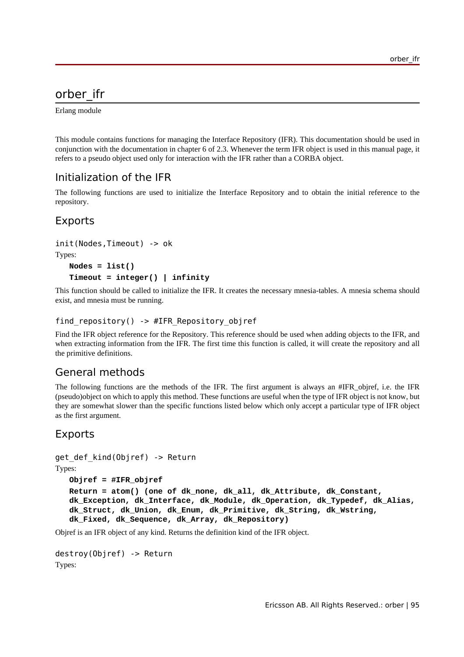Erlang module

This module contains functions for managing the Interface Repository (IFR). This documentation should be used in conjunction with the documentation in chapter 6 of 2.3. Whenever the term IFR object is used in this manual page, it refers to a pseudo object used only for interaction with the IFR rather than a CORBA object.

# Initialization of the IFR

The following functions are used to initialize the Interface Repository and to obtain the initial reference to the repository.

# Exports

```
init(Nodes,Timeout) -> ok
Types:
   Nodes = list()
   Timeout = integer() | infinity
```
This function should be called to initialize the IFR. It creates the necessary mnesia-tables. A mnesia schema should exist, and mnesia must be running.

#### find repository() -> #IFR Repository objref

Find the IFR object reference for the Repository. This reference should be used when adding objects to the IFR, and when extracting information from the IFR. The first time this function is called, it will create the repository and all the primitive definitions.

# General methods

The following functions are the methods of the IFR. The first argument is always an #IFR\_objref, i.e. the IFR (pseudo)object on which to apply this method. These functions are useful when the type of IFR object is not know, but they are somewhat slower than the specific functions listed below which only accept a particular type of IFR object as the first argument.

# Exports

```
get_def_kind(Objref) -> Return
Types:
```

```
Objref = #IFR_objref
Return = atom() (one of dk_none, dk_all, dk_Attribute, dk_Constant,
dk_Exception, dk_Interface, dk_Module, dk_Operation, dk_Typedef, dk_Alias,
dk_Struct, dk_Union, dk_Enum, dk_Primitive, dk_String, dk_Wstring,
dk_Fixed, dk_Sequence, dk_Array, dk_Repository)
```
Objref is an IFR object of any kind. Returns the definition kind of the IFR object.

```
destroy(Objref) -> Return
Types:
```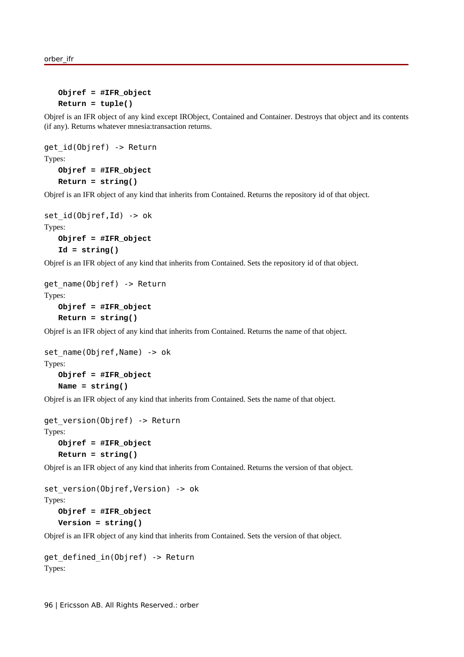```
Objref = #IFR_object
Return = tuple()
```
Objref is an IFR object of any kind except IRObject, Contained and Container. Destroys that object and its contents (if any). Returns whatever mnesia:transaction returns.

```
get_id(Objref) -> Return
Types:
   Objref = #IFR_object
   Return = string()
```
Objref is an IFR object of any kind that inherits from Contained. Returns the repository id of that object.

```
set id(Objref,Id) -> ok
Types:
   Objref = #IFR_object
   Id = string()
```
Objref is an IFR object of any kind that inherits from Contained. Sets the repository id of that object.

```
get_name(Objref) -> Return
Types:
   Objref = #IFR_object
   Return = string()
```
Objref is an IFR object of any kind that inherits from Contained. Returns the name of that object.

```
set name(Objref,Name) -> ok
Types:
   Objref = #IFR_object
   Name = string()
```
Objref is an IFR object of any kind that inherits from Contained. Sets the name of that object.

```
get_version(Objref) -> Return
Types:
   Objref = #IFR_object
   Return = string()
```
Objref is an IFR object of any kind that inherits from Contained. Returns the version of that object.

```
set version(Objref,Version) -> ok
Types:
   Objref = #IFR_object
   Version = string()
```
Objref is an IFR object of any kind that inherits from Contained. Sets the version of that object.

```
get defined in(Objref) -> Return
Types:
```
96 | Ericsson AB. All Rights Reserved.: orber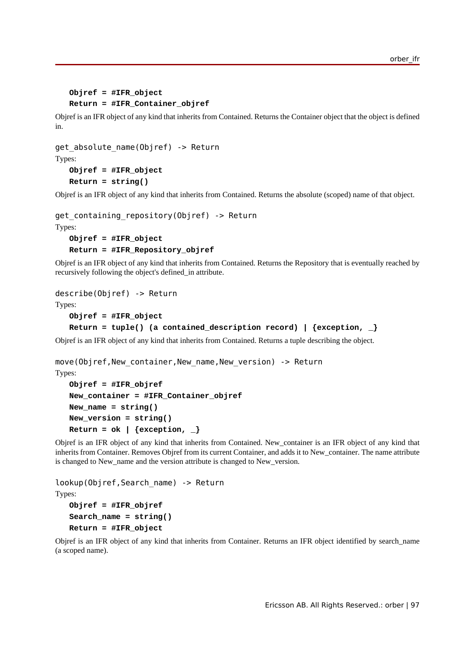```
Objref = #IFR_object
Return = #IFR_Container_objref
```
Objref is an IFR object of any kind that inherits from Contained. Returns the Container object that the object is defined in.

```
get_absolute_name(Objref) -> Return
```
Types:

```
Objref = #IFR_object
Return = string()
```
Objref is an IFR object of any kind that inherits from Contained. Returns the absolute (scoped) name of that object.

```
get containing repository(Objref) -> Return
```
Types:

```
Objref = #IFR_object
Return = #IFR_Repository_objref
```
Objref is an IFR object of any kind that inherits from Contained. Returns the Repository that is eventually reached by recursively following the object's defined\_in attribute.

```
describe(Objref) -> Return
```
Types:

```
Objref = #IFR_object
```

```
Return = tuple() (a contained_description record) | {exception, _}
```
Objref is an IFR object of any kind that inherits from Contained. Returns a tuple describing the object.

```
move(Objref,New_container,New_name,New_version) -> Return
```
Types:

```
Objref = #IFR_objref
New_container = #IFR_Container_objref
New_name = string()
New_version = string()
Return = ok | {exception, _}
```
Objref is an IFR object of any kind that inherits from Contained. New\_container is an IFR object of any kind that inherits from Container. Removes Objref from its current Container, and adds it to New\_container. The name attribute is changed to New\_name and the version attribute is changed to New\_version.

```
lookup(Objref,Search_name) -> Return
Types:
   Objref = #IFR_objref
   Search_name = string()
   Return = #IFR_object
```
Objref is an IFR object of any kind that inherits from Container. Returns an IFR object identified by search\_name (a scoped name).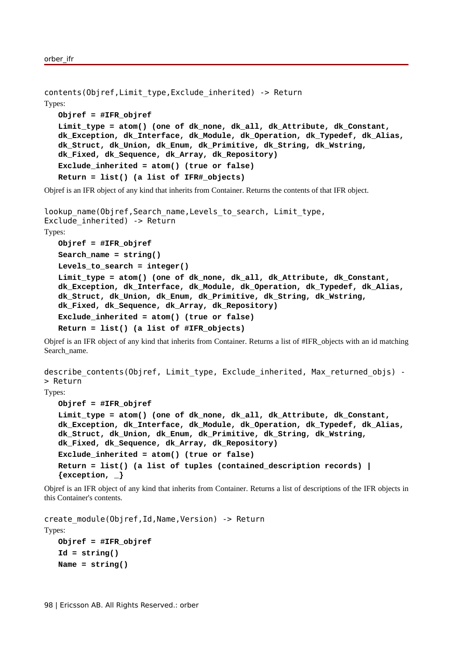```
contents(Objref,Limit_type,Exclude_inherited) -> Return
Types:
   Objref = #IFR_objref
   Limit type = atom() (one of dk none, dk all, dk Attribute, dk Constant,
   dk_Exception, dk_Interface, dk_Module, dk_Operation, dk_Typedef, dk_Alias,
   dk_Struct, dk_Union, dk_Enum, dk_Primitive, dk_String, dk_Wstring,
   dk_Fixed, dk_Sequence, dk_Array, dk_Repository)
   Exclude_inherited = atom() (true or false)
   Return = list() (a list of IFR#_objects)
```
Objref is an IFR object of any kind that inherits from Container. Returns the contents of that IFR object.

```
lookup name(Objref,Search name,Levels to search, Limit type,
Exclude inherited) -> Return
Types:
   Objref = #IFR_objref
   Search_name = string()
   Levels_to_search = integer()
   Limit_type = atom() (one of dk_none, dk_all, dk_Attribute, dk_Constant,
   dk_Exception, dk_Interface, dk_Module, dk_Operation, dk_Typedef, dk_Alias,
   dk_Struct, dk_Union, dk_Enum, dk_Primitive, dk_String, dk_Wstring,
   dk_Fixed, dk_Sequence, dk_Array, dk_Repository)
   Exclude_inherited = atom() (true or false)
   Return = list() (a list of #IFR_objects)
```
Objref is an IFR object of any kind that inherits from Container. Returns a list of #IFR\_objects with an id matching Search\_name.

```
describe contents(Objref, Limit type, Exclude inherited, Max returned objs) -
> Return
```
Types:

```
Objref = #IFR_objref
Limit_type = atom() (one of dk_none, dk_all, dk_Attribute, dk_Constant,
dk_Exception, dk_Interface, dk_Module, dk_Operation, dk_Typedef, dk_Alias,
dk_Struct, dk_Union, dk_Enum, dk_Primitive, dk_String, dk_Wstring,
dk_Fixed, dk_Sequence, dk_Array, dk_Repository)
Exclude_inherited = atom() (true or false)
Return = list() (a list of tuples (contained_description records) |
{exception, _}
```
Objref is an IFR object of any kind that inherits from Container. Returns a list of descriptions of the IFR objects in this Container's contents.

create\_module(Objref,Id,Name,Version) -> Return Types: **Objref = #IFR\_objref**

```
Id = string()
Name = string()
```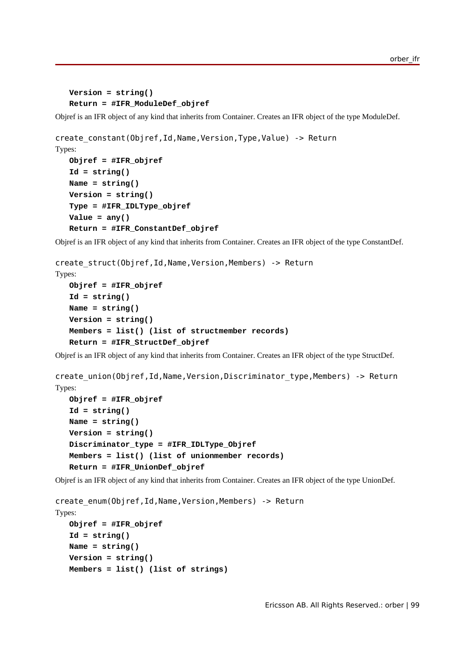```
Version = string()
Return = #IFR_ModuleDef_objref
```
Objref is an IFR object of any kind that inherits from Container. Creates an IFR object of the type ModuleDef.

```
create_constant(Objref,Id,Name,Version,Type,Value) -> Return
Types:
  Objref = #IFR_objref
  Id = string()
  Name = string()
  Version = string()
  Type = #IFR_IDLType_objref
  Value = any()
  Return = #IFR_ConstantDef_objref
```
Objref is an IFR object of any kind that inherits from Container. Creates an IFR object of the type ConstantDef.

```
create_struct(Objref,Id,Name,Version,Members) -> Return
```

```
Types:
```

```
Objref = #IFR_objref
Id = string()
Name = string()
Version = string()
Members = list() (list of structmember records)
Return = #IFR_StructDef_objref
```
Objref is an IFR object of any kind that inherits from Container. Creates an IFR object of the type StructDef.

```
create_union(Objref,Id,Name,Version,Discriminator_type,Members) -> Return
Types:
```

```
Objref = #IFR_objref
Id = string()
Name = string()
Version = string()
Discriminator_type = #IFR_IDLType_Objref
Members = list() (list of unionmember records)
Return = #IFR_UnionDef_objref
```
Objref is an IFR object of any kind that inherits from Container. Creates an IFR object of the type UnionDef.

```
create_enum(Objref,Id,Name,Version,Members) -> Return
Types:
   Objref = #IFR_objref
   Id = string()
   Name = string()
   Version = string()
   Members = list() (list of strings)
```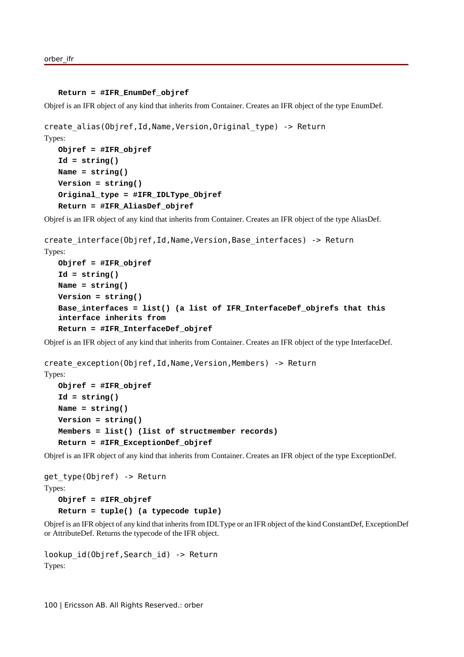#### **Return = #IFR\_EnumDef\_objref**

Objref is an IFR object of any kind that inherits from Container. Creates an IFR object of the type EnumDef.

```
create_alias(Objref,Id,Name,Version,Original_type) -> Return
Types:
  Objref = #IFR_objref
   Id = string()
  Name = string()
   Version = string()
   Original_type = #IFR_IDLType_Objref
   Return = #IFR_AliasDef_objref
```
Objref is an IFR object of any kind that inherits from Container. Creates an IFR object of the type AliasDef.

create interface(Objref,Id,Name,Version,Base interfaces) -> Return Types:

```
Objref = #IFR_objref
Id = string()
Name = string()
Version = string()
Base interfaces = list() (a list of IFR InterfaceDef objrefs that this
interface inherits from
Return = #IFR_InterfaceDef_objref
```
Objref is an IFR object of any kind that inherits from Container. Creates an IFR object of the type InterfaceDef.

create\_exception(Objref,Id,Name,Version,Members) -> Return

```
Types:
   Objref = #IFR_objref
   Id = string()
  Name = string()
   Version = string()
  Members = list() (list of structmember records)
   Return = #IFR_ExceptionDef_objref
```
Objref is an IFR object of any kind that inherits from Container. Creates an IFR object of the type ExceptionDef.

```
get_type(Objref) -> Return
Types:
   Objref = #IFR_objref
   Return = tuple() (a typecode tuple)
```
Objref is an IFR object of any kind that inherits from IDLType or an IFR object of the kind ConstantDef, ExceptionDef or AttributeDef. Returns the typecode of the IFR object.

```
lookup id(Objref,Search id) -> Return
Types:
```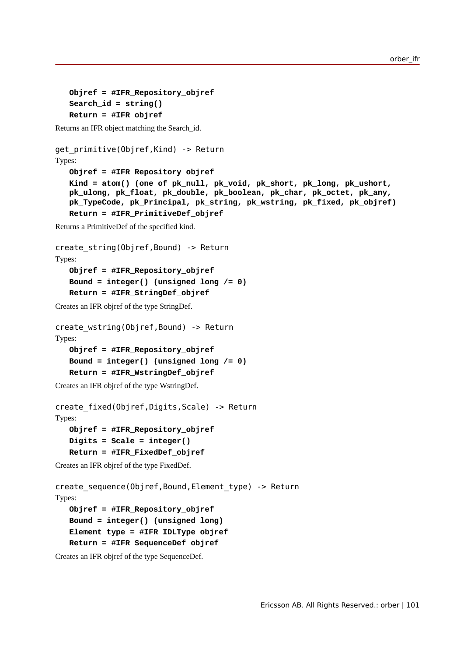```
Objref = #IFR_Repository_objref
Search_id = string()
Return = #IFR_objref
```
Returns an IFR object matching the Search\_id.

```
get_primitive(Objref,Kind) -> Return
Types:
   Objref = #IFR_Repository_objref
   Kind = atom() (one of pk_null, pk_void, pk_short, pk_long, pk_ushort,
   pk_ulong, pk_float, pk_double, pk_boolean, pk_char, pk_octet, pk_any,
   pk_TypeCode, pk_Principal, pk_string, pk_wstring, pk_fixed, pk_objref)
   Return = #IFR_PrimitiveDef_objref
Returns a PrimitiveDef of the specified kind.
create string(Objref,Bound) -> Return
Types:
   Objref = #IFR_Repository_objref
   Bound = integer() (unsigned long /= 0)
   Return = #IFR_StringDef_objref
Creates an IFR objref of the type StringDef.
create_wstring(Objref,Bound) -> Return
Types:
   Objref = #IFR_Repository_objref
   Bound = integer() (unsigned long /= 0)
   Return = #IFR_WstringDef_objref
Creates an IFR objref of the type WstringDef.
create_fixed(Objref,Digits,Scale) -> Return
```
Types:

```
Objref = #IFR_Repository_objref
Digits = Scale = integer()
Return = #IFR_FixedDef_objref
```
Creates an IFR objref of the type FixedDef.

```
create_sequence(Objref,Bound,Element_type) -> Return
Types:
   Objref = #IFR_Repository_objref
   Bound = integer() (unsigned long)
   Element_type = #IFR_IDLType_objref
   Return = #IFR_SequenceDef_objref
```
Creates an IFR objref of the type SequenceDef.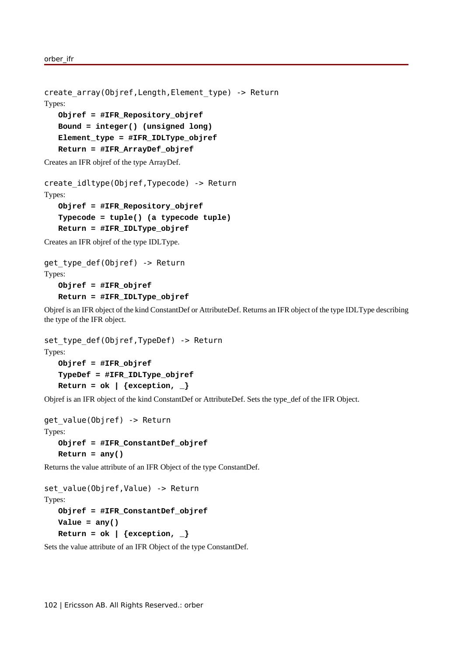```
create_array(Objref,Length,Element_type) -> Return
Types:
   Objref = #IFR_Repository_objref
   Bound = integer() (unsigned long)
   Element_type = #IFR_IDLType_objref
   Return = #IFR_ArrayDef_objref
Creates an IFR objref of the type ArrayDef.
create_idltype(Objref,Typecode) -> Return
```
Types: **Objref = #IFR\_Repository\_objref Typecode = tuple() (a typecode tuple) Return = #IFR\_IDLType\_objref**

Creates an IFR objref of the type IDLType.

```
get_type_def(Objref) -> Return
Types:
   Objref = #IFR_objref
   Return = #IFR_IDLType_objref
```
Objref is an IFR object of the kind ConstantDef or AttributeDef. Returns an IFR object of the type IDLType describing the type of the IFR object.

```
set type def(Objref,TypeDef) -> Return
Types:
   Objref = #IFR_objref
   TypeDef = #IFR_IDLType_objref
   Return = ok | {exception, _}
```
Objref is an IFR object of the kind ConstantDef or AttributeDef. Sets the type\_def of the IFR Object.

```
get_value(Objref) -> Return
Types:
   Objref = #IFR_ConstantDef_objref
   Return = any()
```
Returns the value attribute of an IFR Object of the type ConstantDef.

```
set_value(Objref,Value) -> Return
Types:
   Objref = #IFR_ConstantDef_objref
   Value = any()
   Return = ok \mid {exception, \_}
```
Sets the value attribute of an IFR Object of the type ConstantDef.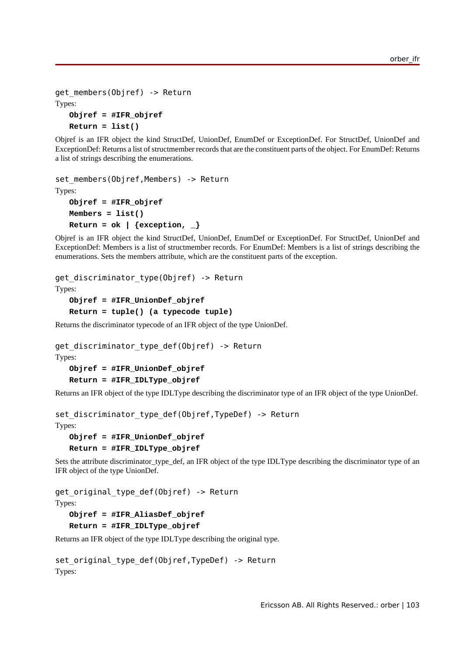```
get_members(Objref) -> Return
Types:
   Objref = #IFR_objref
   Return = list()
```
Objref is an IFR object the kind StructDef, UnionDef, EnumDef or ExceptionDef. For StructDef, UnionDef and ExceptionDef: Returns a list of structmember records that are the constituent parts of the object. For EnumDef: Returns a list of strings describing the enumerations.

```
set members(Objref,Members) -> Return
Types:
   Objref = #IFR_objref
   Members = list()
   Return = ok \mid \{exception, \_ \}
```
Objref is an IFR object the kind StructDef, UnionDef, EnumDef or ExceptionDef. For StructDef, UnionDef and ExceptionDef: Members is a list of structmember records. For EnumDef: Members is a list of strings describing the enumerations. Sets the members attribute, which are the constituent parts of the exception.

```
get discriminator type(Objref) -> Return
Types:
```

```
Objref = #IFR_UnionDef_objref
Return = tuple() (a typecode tuple)
```
Returns the discriminator typecode of an IFR object of the type UnionDef.

```
get discriminator type def(Objref) -> Return
Types:
```

```
Objref = #IFR_UnionDef_objref
Return = #IFR_IDLType_objref
```
Returns an IFR object of the type IDLType describing the discriminator type of an IFR object of the type UnionDef.

```
set discriminator type def(Objref, TypeDef) -> Return
Types:
```

```
Objref = #IFR_UnionDef_objref
```

```
Return = #IFR_IDLType_objref
```
Sets the attribute discriminator type def, an IFR object of the type IDLType describing the discriminator type of an IFR object of the type UnionDef.

```
get original type def(Objref) -> Return
```

```
Types:
```
**Objref = #IFR\_AliasDef\_objref Return = #IFR\_IDLType\_objref**

Returns an IFR object of the type IDLType describing the original type.

```
set original type def(Objref, TypeDef) -> Return
Types:
```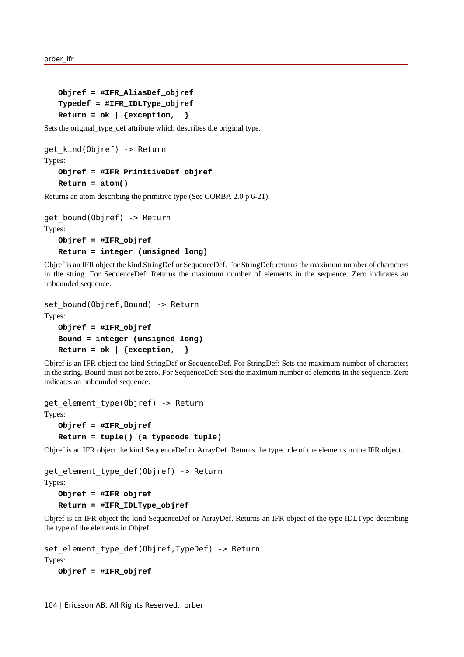```
Objref = #IFR_AliasDef_objref
Typedef = #IFR_IDLType_objref
Return = ok | {exception, _}
```
Sets the original\_type\_def attribute which describes the original type.

```
get_kind(Objref) -> Return
```
Types:

```
Objref = #IFR_PrimitiveDef_objref
Return = atom()
```
Returns an atom describing the primitive type (See CORBA 2.0 p 6-21).

```
get_bound(Objref) -> Return
Types:
   Objref = #IFR_objref
   Return = integer (unsigned long)
```
Objref is an IFR object the kind StringDef or SequenceDef. For StringDef: returns the maximum number of characters in the string. For SequenceDef: Returns the maximum number of elements in the sequence. Zero indicates an unbounded sequence.

```
set_bound(Objref,Bound) -> Return
Types:
   Objref = #IFR_objref
   Bound = integer (unsigned long)
   Return = ok | {exception, _}
```
Objref is an IFR object the kind StringDef or SequenceDef. For StringDef: Sets the maximum number of characters in the string. Bound must not be zero. For SequenceDef: Sets the maximum number of elements in the sequence. Zero indicates an unbounded sequence.

```
get_element_type(Objref) -> Return
```
Types:

```
Objref = #IFR_objref
Return = tuple() (a typecode tuple)
```
Objref is an IFR object the kind SequenceDef or ArrayDef. Returns the typecode of the elements in the IFR object.

```
get element type def(Objref) -> Return
```
Types:

```
Objref = #IFR_objref
Return = #IFR_IDLType_objref
```
Objref is an IFR object the kind SequenceDef or ArrayDef. Returns an IFR object of the type IDLType describing the type of the elements in Objref.

```
set element type def(Objref,TypeDef) -> Return
Types:
```

```
Objref = #IFR_objref
```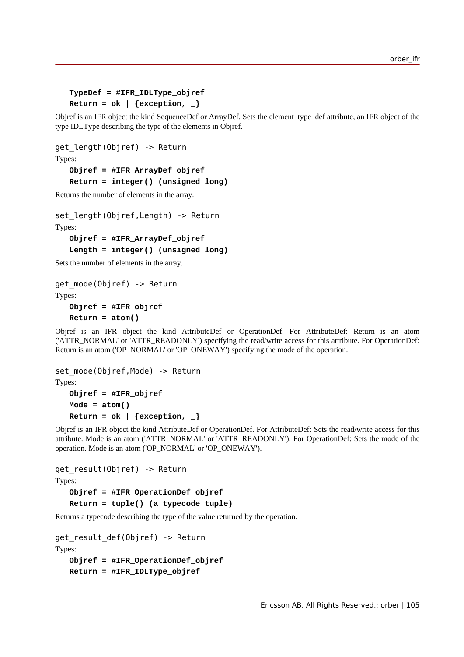```
TypeDef = #IFR_IDLType_objref
```
**Return = ok | {exception, \_}**

Objref is an IFR object the kind SequenceDef or ArrayDef. Sets the element\_type\_def attribute, an IFR object of the type IDLType describing the type of the elements in Objref.

```
get_length(Objref) -> Return
```
Types:

```
Objref = #IFR_ArrayDef_objref
```

```
Return = integer() (unsigned long)
```
Returns the number of elements in the array.

```
set length(Objref,Length) -> Return
Types:
   Objref = #IFR_ArrayDef_objref
   Length = integer() (unsigned long)
```
Sets the number of elements in the array.

```
get_mode(Objref) -> Return
Types:
```

```
Objref = #IFR_objref
Return = atom()
```
Objref is an IFR object the kind AttributeDef or OperationDef. For AttributeDef: Return is an atom ('ATTR\_NORMAL' or 'ATTR\_READONLY') specifying the read/write access for this attribute. For OperationDef: Return is an atom ('OP\_NORMAL' or 'OP\_ONEWAY') specifying the mode of the operation.

```
set mode(Objref,Mode) -> Return
Types:
   Objref = #IFR_objref
   Mode = atom()
   Return = ok | {exception, _}
```
Objref is an IFR object the kind AttributeDef or OperationDef. For AttributeDef: Sets the read/write access for this attribute. Mode is an atom ('ATTR\_NORMAL' or 'ATTR\_READONLY'). For OperationDef: Sets the mode of the operation. Mode is an atom ('OP\_NORMAL' or 'OP\_ONEWAY').

```
get_result(Objref) -> Return
Types:
   Objref = #IFR_OperationDef_objref
```
**Return = tuple() (a typecode tuple)**

Returns a typecode describing the type of the value returned by the operation.

```
get_result_def(Objref) -> Return
Types:
   Objref = #IFR_OperationDef_objref
   Return = #IFR_IDLType_objref
```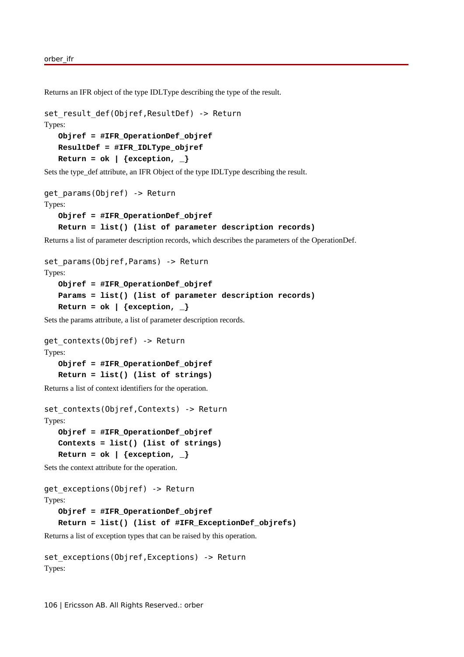Returns an IFR object of the type IDLType describing the type of the result.

```
set result def(Objref,ResultDef) -> Return
Types:
   Objref = #IFR_OperationDef_objref
   ResultDef = #IFR_IDLType_objref
   Return = ok \mid {exception, \_}
```
Sets the type def attribute, an IFR Object of the type IDLType describing the result.

```
get params(Objref) -> Return
Types:
   Objref = #IFR_OperationDef_objref
```

```
Return = list() (list of parameter description records)
```
Returns a list of parameter description records, which describes the parameters of the OperationDef.

```
set params(Objref, Params) -> Return
Types:
```

```
Objref = #IFR_OperationDef_objref
Params = list() (list of parameter description records)
Return = ok | {exception, _}
```
Sets the params attribute, a list of parameter description records.

```
get_contexts(Objref) -> Return
Types:
   Objref = #IFR_OperationDef_objref
   Return = list() (list of strings)
```
Returns a list of context identifiers for the operation.

```
set contexts(Objref,Contexts) -> Return
Types:
```

```
Objref = #IFR_OperationDef_objref
Contexts = list() (list of strings)
Return = ok | {exception, _}
```
Sets the context attribute for the operation.

```
get exceptions(Objref) -> Return
Types:
   Objref = #IFR_OperationDef_objref
   Return = list() (list of #IFR_ExceptionDef_objrefs)
```
Returns a list of exception types that can be raised by this operation.

```
set exceptions(Objref,Exceptions) -> Return
Types:
```
106 | Ericsson AB. All Rights Reserved.: orber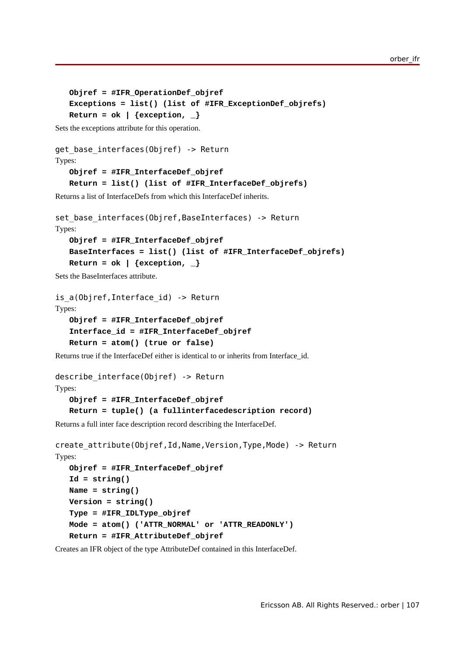```
Objref = #IFR_OperationDef_objref
Exceptions = list() (list of #IFR_ExceptionDef_objrefs)
Return = ok | {exception, _}
```
Sets the exceptions attribute for this operation.

```
get base interfaces(Objref) -> Return
Types:
   Objref = #IFR_InterfaceDef_objref
   Return = list() (list of #IFR_InterfaceDef_objrefs)
```
Returns a list of InterfaceDefs from which this InterfaceDef inherits.

```
set base interfaces(Objref,BaseInterfaces) -> Return
Types:
   Objref = #IFR_InterfaceDef_objref
   BaseInterfaces = list() (list of #IFR_InterfaceDef_objrefs)
   Return = ok \mid {exception, _\}
```
Sets the BaseInterfaces attribute.

```
is a(Objref, Interface id) -> Return
Types:
   Objref = #IFR_InterfaceDef_objref
   Interface_id = #IFR_InterfaceDef_objref
   Return = atom() (true or false)
```
Returns true if the InterfaceDef either is identical to or inherits from Interface id.

```
describe interface(Objref) -> Return
```
#### Types:

```
Objref = #IFR_InterfaceDef_objref
Return = tuple() (a fullinterfacedescription record)
```
Returns a full inter face description record describing the InterfaceDef.

```
create_attribute(Objref,Id,Name,Version,Type,Mode) -> Return
Types:
   Objref = #IFR_InterfaceDef_objref
   Id = string()
   Name = string()
   Version = string()
   Type = #IFR_IDLType_objref
   Mode = atom() ('ATTR_NORMAL' or 'ATTR_READONLY')
   Return = #IFR_AttributeDef_objref
```
Creates an IFR object of the type AttributeDef contained in this InterfaceDef.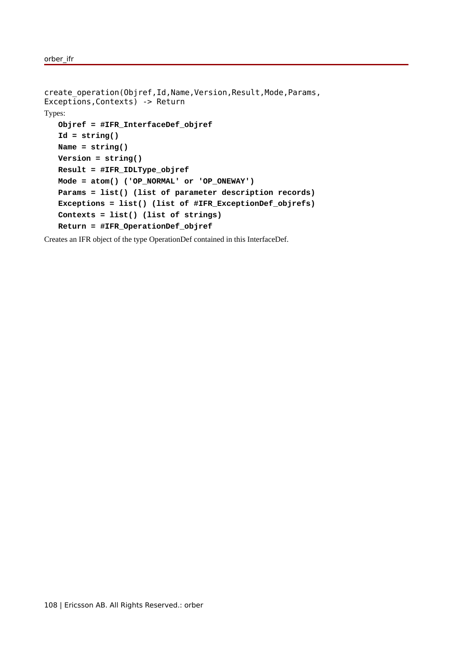```
create_operation(Objref,Id,Name,Version,Result,Mode,Params,
Exceptions,Contexts) -> Return
Types:
  Objref = #IFR_InterfaceDef_objref
   Id = string()
  Name = string()
  Version = string()
  Result = #IFR_IDLType_objref
  Mode = atom() ('OP_NORMAL' or 'OP_ONEWAY')
  Params = list() (list of parameter description records)
  Exceptions = list() (list of #IFR_ExceptionDef_objrefs)
  Contexts = list() (list of strings)
  Return = #IFR_OperationDef_objref
```
Creates an IFR object of the type OperationDef contained in this InterfaceDef.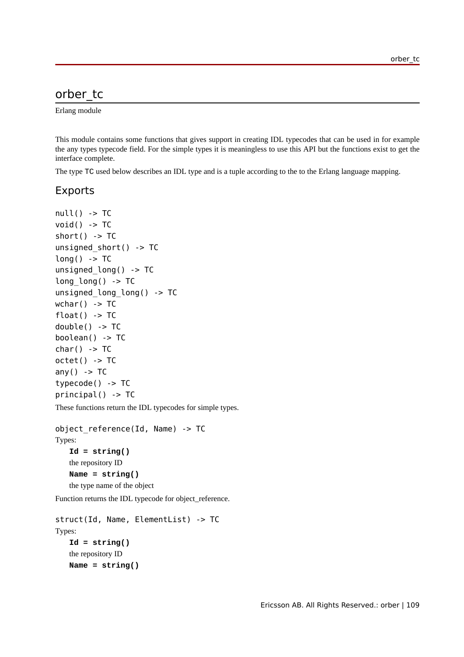Erlang module

This module contains some functions that gives support in creating IDL typecodes that can be used in for example the any types typecode field. For the simple types it is meaningless to use this API but the functions exist to get the interface complete.

The type TC used below describes an IDL type and is a tuple according to the to the Erlang language mapping.

#### Exports

```
null() -> TCvoid() \rightarrow TCshort() -> TC
unsigned short() -> TC
long() -> TC
unsigned long() -> TC
long_long() -> TC
unsigned long long() -> TC
wchar() -> TC
float() \rightarrow TCdouble() -> TC
boolean() -> TC
char() -> TC
octet() -> TC
anv() \rightarrow TCtypecode() -> TC
principal() -> TC
These functions return the IDL typecodes for simple types.
```

```
object reference(Id, Name) \rightarrow TC
Types:
    Id = string()
   the repository ID
   Name = string()
    the type name of the object
```
Function returns the IDL typecode for object\_reference.

```
struct(Id, Name, ElementList) -> TC
Types:
   Id = string()
   the repository ID
   Name = string()
```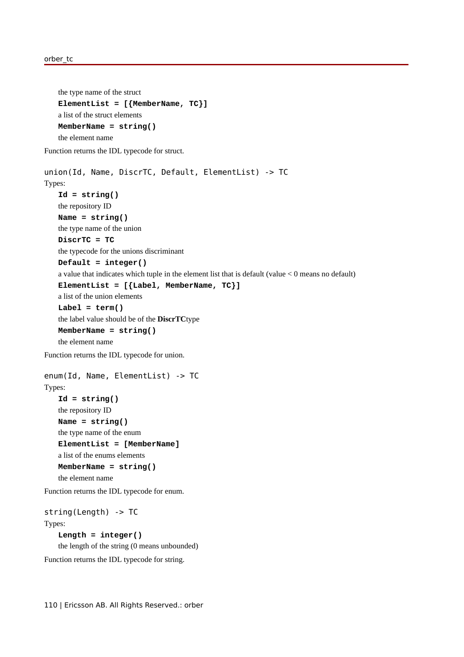```
the type name of the struct
   ElementList = [{MemberName, TC}]
   a list of the struct elements
   MemberName = string()
   the element name
Function returns the IDL typecode for struct.
union(Id, Name, DiscrTC, Default, ElementList) -> TC
Types:
   Id = string()
   the repository ID
   Name = string()
   the type name of the union
   DiscrTC = TC
   the typecode for the unions discriminant
   Default = integer()
   a value that indicates which tuple in the element list that is default (value < 0 means no default)
   ElementList = [{Label, MemberName, TC}]
   a list of the union elements
   Label = term()
   the label value should be of the DiscrTCtype
   MemberName = string()
   the element name
Function returns the IDL typecode for union.
enum(Id, Name, ElementList) -> TC
Types:
   Id = string()
   the repository ID
   Name = string()
   the type name of the enum
   ElementList = [MemberName]
   a list of the enums elements
   MemberName = string()
   the element name
Function returns the IDL typecode for enum.
string(Length) -> TC
Types:
```

```
Length = integer()
the length of the string (0 means unbounded)
```

```
Function returns the IDL typecode for string.
```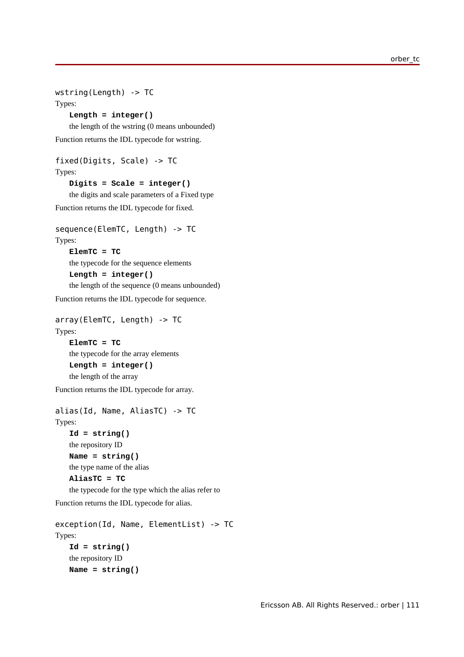```
wstring(Length) -> TC
Types:
   Length = integer()
   the length of the wstring (0 means unbounded)
Function returns the IDL typecode for wstring.
fixed(Digits, Scale) -> TC
Types:
   Digits = Scale = integer()
```
the digits and scale parameters of a Fixed type Function returns the IDL typecode for fixed.

```
sequence(ElemTC, Length) -> TC
```

```
Types:
```

```
ElemTC = TC
the typecode for the sequence elements
Length = integer()
the length of the sequence (0 means unbounded)
```
Function returns the IDL typecode for sequence.

```
array(ElemTC, Length) -> TC
Types:
   ElemTC = TC
   the typecode for the array elements
   Length = integer()
   the length of the array
Function returns the IDL typecode for array.
alias(Id, Name, AliasTC) -> TC
Types:
```

```
Id = string()
the repository ID
Name = string()
the type name of the alias
AliasTC = TC
```
the typecode for the type which the alias refer to

```
Function returns the IDL typecode for alias.
```

```
exception(Id, Name, ElementList) -> TC
Types:
   Id = string()
   the repository ID
   Name = string()
```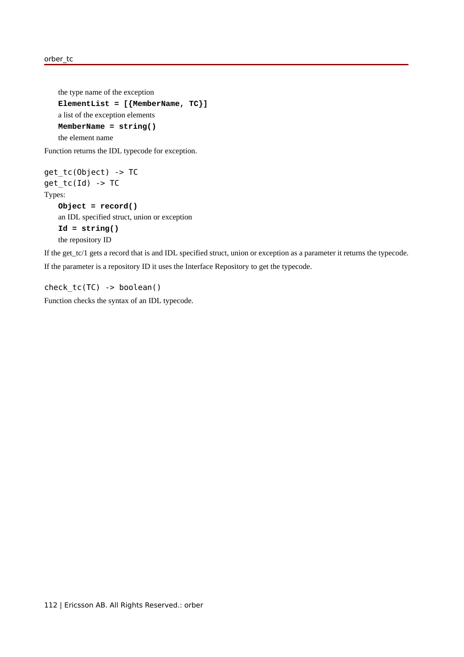```
the type name of the exception
ElementList = [{MemberName, TC}]
a list of the exception elements
MemberName = string()
the element name
```
Function returns the IDL typecode for exception.

```
get_tc(Object) -> TC
get tc(Id) -> TC
Types:
   Object = record()
   an IDL specified struct, union or exception
   Id = string()
   the repository ID
```
If the get\_tc/1 gets a record that is and IDL specified struct, union or exception as a parameter it returns the typecode. If the parameter is a repository ID it uses the Interface Repository to get the typecode.

check\_tc(TC) -> boolean()

Function checks the syntax of an IDL typecode.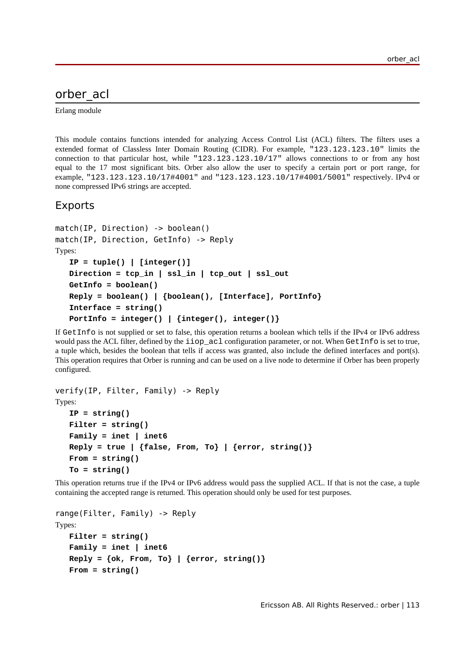## orber\_acl

Erlang module

This module contains functions intended for analyzing Access Control List (ACL) filters. The filters uses a extended format of Classless Inter Domain Routing (CIDR). For example, "123.123.123.10" limits the connection to that particular host, while "123.123.123.10/17" allows connections to or from any host equal to the 17 most significant bits. Orber also allow the user to specify a certain port or port range, for example, "123.123.123.10/17#4001" and "123.123.123.10/17#4001/5001" respectively. IPv4 or none compressed IPv6 strings are accepted.

#### Exports

```
match(IP, Direction) -> boolean()
match(IP, Direction, GetInfo) -> Reply
Types:
   IP = tuple() | [integer()]
   Direction = tcp_in | ssl_in | tcp_out | ssl_out
   GetInfo = boolean()
   Reply = boolean() | {boolean(), [Interface], PortInfo}
   Interface = string()
   PortInfo = integer() | {integer(), integer()}
```
If GetInfo is not supplied or set to false, this operation returns a boolean which tells if the IPv4 or IPv6 address would pass the ACL filter, defined by the iiop\_acl configuration parameter, or not. When GetInfo is set to true, a tuple which, besides the boolean that tells if access was granted, also include the defined interfaces and port(s). This operation requires that Orber is running and can be used on a live node to determine if Orber has been properly configured.

```
verify(IP, Filter, Family) -> Reply
Types:
   IP = string()
   Filter = string()
   Family = inet | inet6
   \text{Reply = true} | {false, From, To} | {error, string()}
   From = string()
   To = string()
```
This operation returns true if the IPv4 or IPv6 address would pass the supplied ACL. If that is not the case, a tuple containing the accepted range is returned. This operation should only be used for test purposes.

```
range(Filter, Family) -> Reply
Types:
    Filter = string()
    Family = inet | inet6
    \text{Reply} = \{\text{ok}, \text{ From}, \text{To}\} \mid \{\text{error}, \text{string}() \}From = string()
```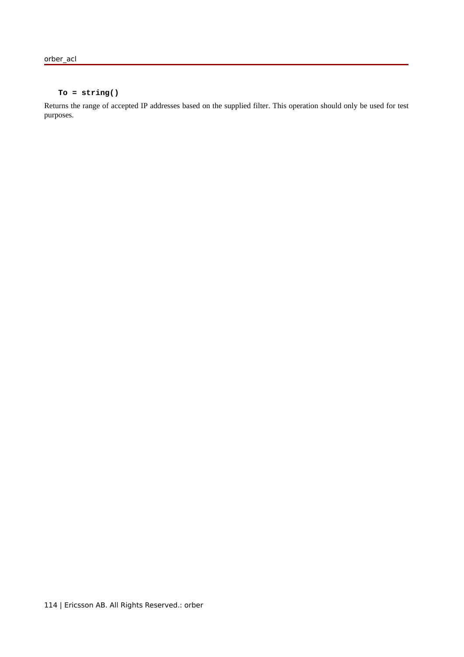#### **To = string()**

Returns the range of accepted IP addresses based on the supplied filter. This operation should only be used for test purposes.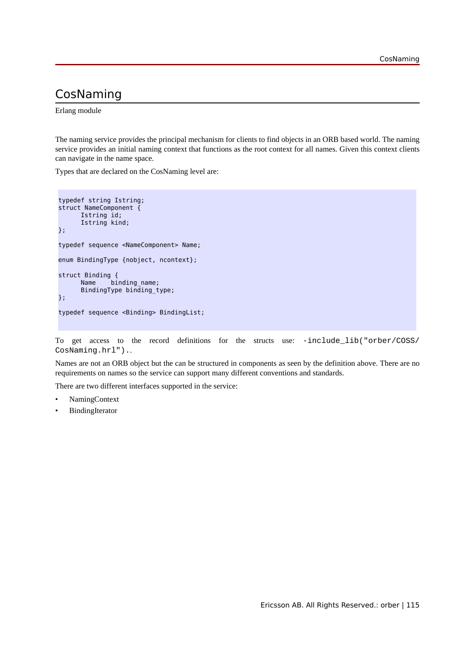## CosNaming

Erlang module

The naming service provides the principal mechanism for clients to find objects in an ORB based world. The naming service provides an initial naming context that functions as the root context for all names. Given this context clients can navigate in the name space.

Types that are declared on the CosNaming level are:

```
typedef string Istring;
struct NameComponent {
 Istring id; 
 Istring kind;
};
typedef sequence <NameComponent> Name;
enum BindingType {nobject, ncontext};
struct Binding {
     Name binding name;
      BindingType binding_type;
};
typedef sequence <Binding> BindingList;
```
To get access to the record definitions for the structs use: -include\_lib("orber/COSS/ CosNaming.hrl")..

Names are not an ORB object but the can be structured in components as seen by the definition above. There are no requirements on names so the service can support many different conventions and standards.

There are two different interfaces supported in the service:

- NamingContext
- **BindingIterator**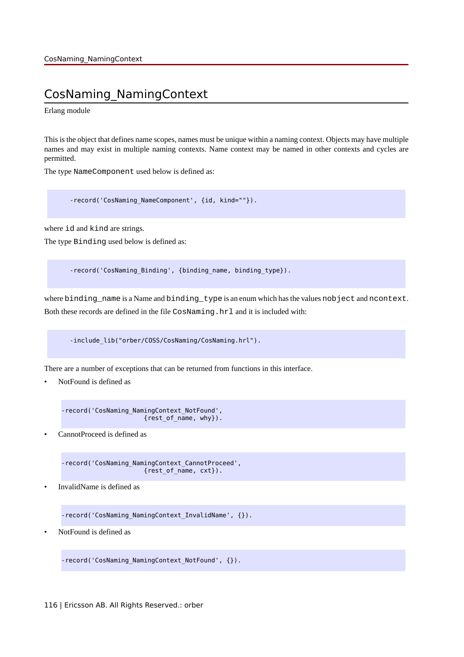# CosNaming\_NamingContext

Erlang module

This is the object that defines name scopes, names must be unique within a naming context. Objects may have multiple names and may exist in multiple naming contexts. Name context may be named in other contexts and cycles are permitted.

The type NameComponent used below is defined as:

```
-record('CosNaming_NameComponent', {id, kind=""}).
```
where id and kind are strings.

The type Binding used below is defined as:

-record('CosNaming\_Binding', {binding\_name, binding\_type}).

where binding\_name is a Name and binding\_type is an enum which has the values nobject and ncontext. Both these records are defined in the file CosNaming.hrl and it is included with:

-include\_lib("orber/COSS/CosNaming/CosNaming.hrl").

There are a number of exceptions that can be returned from functions in this interface.

• NotFound is defined as

```
-record('CosNaming_NamingContext_NotFound', 
                      {rest of name, why}).
```
CannotProceed is defined as

-record('CosNaming\_NamingContext\_CannotProceed', {rest\_of\_name, cxt}).

• InvalidName is defined as

-record('CosNaming\_NamingContext\_InvalidName', {}).

NotFound is defined as

-record('CosNaming NamingContext NotFound', {}).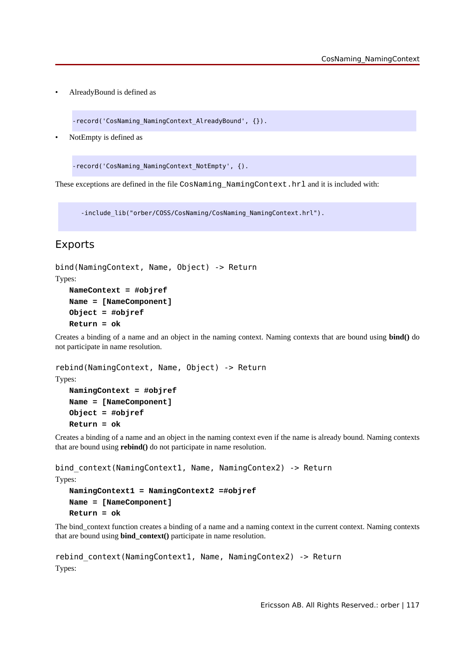• AlreadyBound is defined as

-record('CosNaming\_NamingContext\_AlreadyBound', {}).

NotEmpty is defined as

-record('CosNaming\_NamingContext\_NotEmpty', {).

These exceptions are defined in the file CosNaming\_NamingContext.hrl and it is included with:

-include lib("orber/COSS/CosNaming/CosNaming NamingContext.hrl").

### **Exports**

```
bind(NamingContext, Name, Object) -> Return
```
Types:

```
NameContext = #objref
Name = [NameComponent]
Object = #objref
Return = ok
```
Creates a binding of a name and an object in the naming context. Naming contexts that are bound using **bind()** do not participate in name resolution.

```
rebind(NamingContext, Name, Object) -> Return
Types:
  NamingContext = #objref
  Name = [NameComponent]
   Object = #objref
  Return = ok
```
Creates a binding of a name and an object in the naming context even if the name is already bound. Naming contexts that are bound using **rebind()** do not participate in name resolution.

```
bind context(NamingContext1, Name, NamingContex2) -> Return
Types:
  NamingContext1 = NamingContext2 =#objref
  Name = [NameComponent]
  Return = ok
```
The bind context function creates a binding of a name and a naming context in the current context. Naming contexts that are bound using **bind\_context()** participate in name resolution.

```
rebind_context(NamingContext1, Name, NamingContex2) -> Return
Types:
```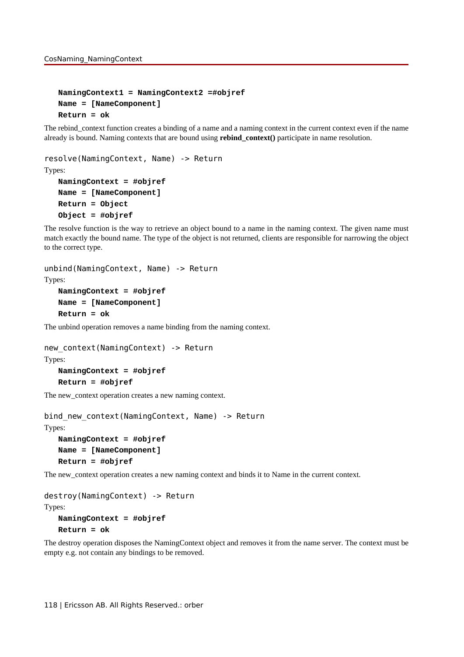```
NamingContext1 = NamingContext2 =#objref
Name = [NameComponent]
Return = ok
```
The rebind\_context function creates a binding of a name and a naming context in the current context even if the name already is bound. Naming contexts that are bound using **rebind\_context()** participate in name resolution.

```
resolve(NamingContext, Name) -> Return
```
Types:

```
NamingContext = #objref
Name = [NameComponent]
Return = Object
Object = #objref
```
The resolve function is the way to retrieve an object bound to a name in the naming context. The given name must match exactly the bound name. The type of the object is not returned, clients are responsible for narrowing the object to the correct type.

```
unbind(NamingContext, Name) -> Return
Types:
   NamingContext = #objref
   Name = [NameComponent]
   Return = ok
```
The unbind operation removes a name binding from the naming context.

```
new context(NamingContext) -> Return
Types:
   NamingContext = #objref
   Return = #objref
```
The new\_context operation creates a new naming context.

```
bind new context(NamingContext, Name) -> Return
Types:
   NamingContext = #objref
```
**Name = [NameComponent] Return = #objref**

The new\_context operation creates a new naming context and binds it to Name in the current context.

```
destroy(NamingContext) -> Return
Types:
   NamingContext = #objref
```
**Return = ok**

The destroy operation disposes the NamingContext object and removes it from the name server. The context must be empty e.g. not contain any bindings to be removed.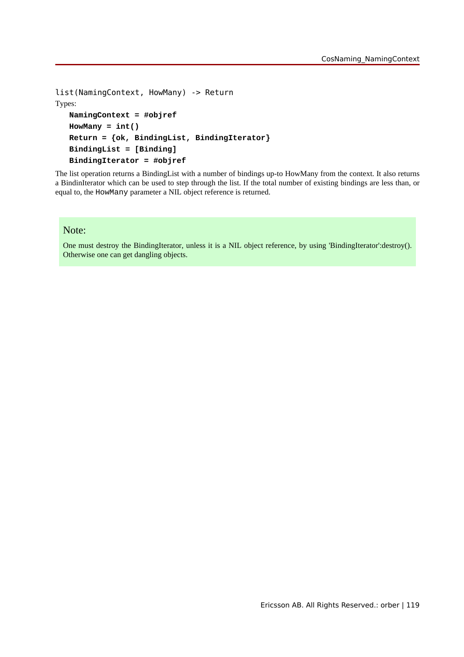```
list(NamingContext, HowMany) -> Return
Types:
   NamingContext = #objref
   HowMany = int()
   Return = {ok, BindingList, BindingIterator}
   BindingList = [Binding]
   BindingIterator = #objref
```
The list operation returns a BindingList with a number of bindings up-to HowMany from the context. It also returns a BindinIterator which can be used to step through the list. If the total number of existing bindings are less than, or equal to, the HowMany parameter a NIL object reference is returned.

#### Note:

One must destroy the BindingIterator, unless it is a NIL object reference, by using 'BindingIterator':destroy(). Otherwise one can get dangling objects.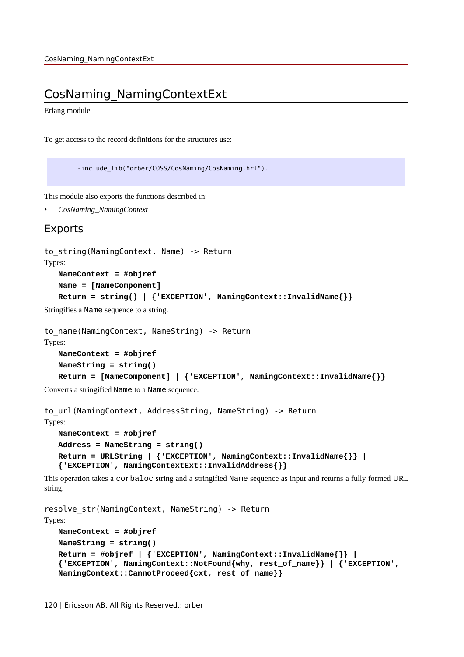# CosNaming\_NamingContextExt

Erlang module

To get access to the record definitions for the structures use:

```
-include lib("orber/COSS/CosNaming/CosNaming.hrl").
```
This module also exports the functions described in:

• *CosNaming\_NamingContext*

## Exports

```
to_string(NamingContext, Name) -> Return
Types:
   NameContext = #objref
   Name = [NameComponent]
   Return = string() | {'EXCEPTION', NamingContext::InvalidName{}}
Stringifies a Name sequence to a string.
to_name(NamingContext, NameString) -> Return
Types:
```

```
NameContext = #objref
NameString = string()
Return = [NameComponent] | {'EXCEPTION', NamingContext::InvalidName{}}
```
Converts a stringified Name to a Name sequence.

```
to_url(NamingContext, AddressString, NameString) -> Return
Types:
   NameContext = #objref
   Address = NameString = string()
   Return = URLString | {'EXCEPTION', NamingContext::InvalidName{}} |
   {'EXCEPTION', NamingContextExt::InvalidAddress{}}
```
This operation takes a corbaloc string and a stringified Name sequence as input and returns a fully formed URL string.

```
resolve str(NamingContext, NameString) -> Return
Types:
  NameContext = #objref
  NameString = string()
  Return = #objref | {'EXCEPTION', NamingContext::InvalidName{}} |
   {'EXCEPTION', NamingContext::NotFound{why, rest_of_name}} | {'EXCEPTION',
  NamingContext::CannotProceed{cxt, rest_of_name}}
```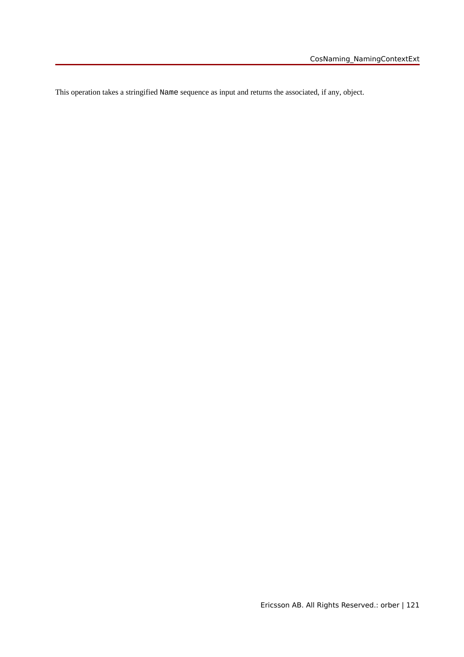This operation takes a stringified Name sequence as input and returns the associated, if any, object.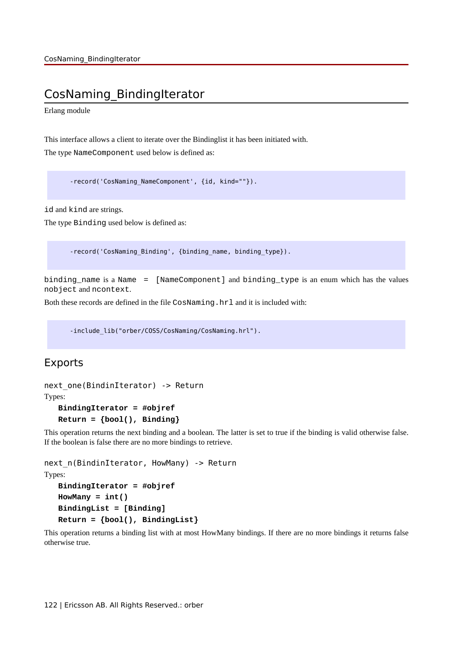## CosNaming\_BindingIterator

Erlang module

This interface allows a client to iterate over the Bindinglist it has been initiated with.

The type NameComponent used below is defined as:

```
-record('CosNaming NameComponent', {id, kind=""}).
```
id and kind are strings.

The type Binding used below is defined as:

-record('CosNaming\_Binding', {binding\_name, binding\_type}).

binding\_name is a Name = [NameComponent] and binding\_type is an enum which has the values nobject and ncontext.

Both these records are defined in the file CosNaming.hrl and it is included with:

-include\_lib("orber/COSS/CosNaming/CosNaming.hrl").

### Exports

```
next one(BindinIterator) -> Return
Types:
```

```
BindingIterator = #objref
Return = {bool(), Binding}
```
This operation returns the next binding and a boolean. The latter is set to true if the binding is valid otherwise false. If the boolean is false there are no more bindings to retrieve.

```
next n(BindinIterator, HowMany) -> Return
Types:
   BindingIterator = #objref
   HowMany = int()
   BindingList = [Binding]
   Return = {bool(), BindingList}
```
This operation returns a binding list with at most HowMany bindings. If there are no more bindings it returns false otherwise true.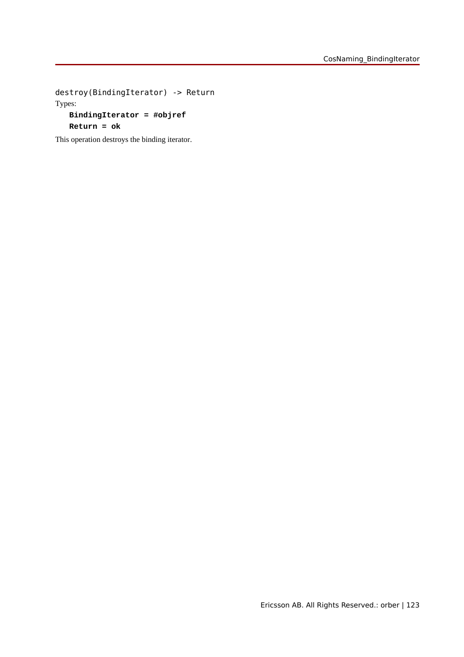destroy(BindingIterator) -> Return Types: **BindingIterator = #objref Return = ok**

This operation destroys the binding iterator.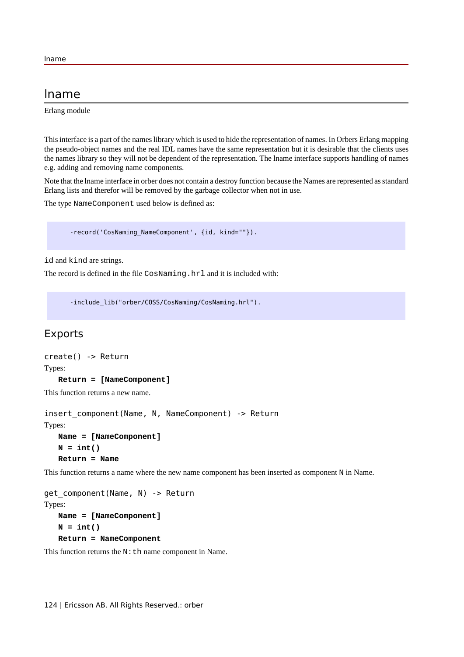## lname

Erlang module

This interface is a part of the names library which is used to hide the representation of names. In Orbers Erlang mapping the pseudo-object names and the real IDL names have the same representation but it is desirable that the clients uses the names library so they will not be dependent of the representation. The lname interface supports handling of names e.g. adding and removing name components.

Note that the lname interface in orber does not contain a destroy function because the Names are represented as standard Erlang lists and therefor will be removed by the garbage collector when not in use.

The type NameComponent used below is defined as:

-record('CosNaming\_NameComponent', {id, kind=""}).

id and kind are strings.

The record is defined in the file CosNaming.hrl and it is included with:

-include lib("orber/COSS/CosNaming/CosNaming.hrl").

### Exports

create() -> Return Types: **Return = [NameComponent]**

This function returns a new name.

```
insert component(Name, N, NameComponent) -> Return
Types:
   Name = [NameComponent]
   N = int()
   Return = Name
```
This function returns a name where the new name component has been inserted as component N in Name.

```
get component(Name, N) -> Return
Types:
   Name = [NameComponent]
   N = int()
   Return = NameComponent
```
This function returns the  $N:$  th name component in Name.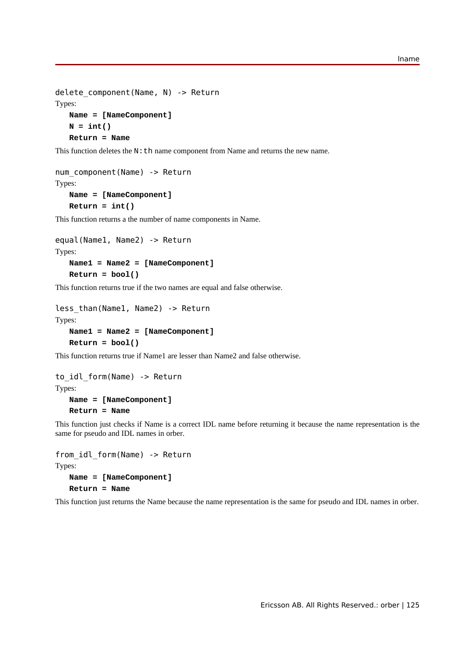```
delete component(Name, N) -> Return
Types:
   Name = [NameComponent]
   N = int()
   Return = Name
```
This function deletes the  $N:$  th name component from Name and returns the new name.

```
num component(Name) -> Return
Types:
   Name = [NameComponent]
```

```
Return = int()
```
This function returns a the number of name components in Name.

```
equal(Name1, Name2) -> Return
Types:
   Name1 = Name2 = [NameComponent]
   Return = bool()
```
This function returns true if the two names are equal and false otherwise.

```
less than(Name1, Name2) -> Return
Types:
```

```
Name1 = Name2 = [NameComponent]
Return = bool()
```
This function returns true if Name1 are lesser than Name2 and false otherwise.

```
to_idl_form(Name) -> Return
Types:
   Name = [NameComponent]
```
**Return = Name**

This function just checks if Name is a correct IDL name before returning it because the name representation is the same for pseudo and IDL names in orber.

```
from_idl_form(Name) -> Return
Types:
   Name = [NameComponent]
   Return = Name
```
This function just returns the Name because the name representation is the same for pseudo and IDL names in orber.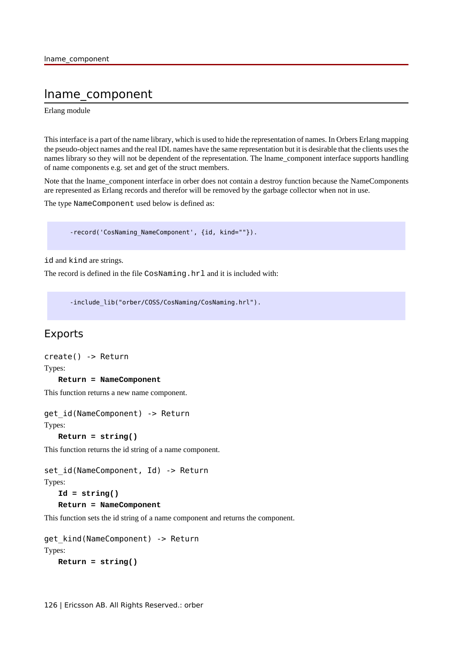## lname\_component

Erlang module

This interface is a part of the name library, which is used to hide the representation of names. In Orbers Erlang mapping the pseudo-object names and the real IDL names have the same representation but it is desirable that the clients uses the names library so they will not be dependent of the representation. The lname\_component interface supports handling of name components e.g. set and get of the struct members.

Note that the lname\_component interface in orber does not contain a destroy function because the NameComponents are represented as Erlang records and therefor will be removed by the garbage collector when not in use.

The type NameComponent used below is defined as:

-record('CosNaming\_NameComponent', {id, kind=""}).

id and kind are strings.

The record is defined in the file CosNaming.hrl and it is included with:

-include lib("orber/COSS/CosNaming/CosNaming.hrl").

### Exports

create() -> Return Types:

**Return = NameComponent**

This function returns a new name component.

```
get id(NameComponent) -> Return
Types:
```

```
Return = string()
```
This function returns the id string of a name component.

```
set id(NameComponent, Id) -> Return
Types:
```

```
Id = string()
Return = NameComponent
```
This function sets the id string of a name component and returns the component.

```
get kind(NameComponent) -> Return
Types:
   Return = string()
```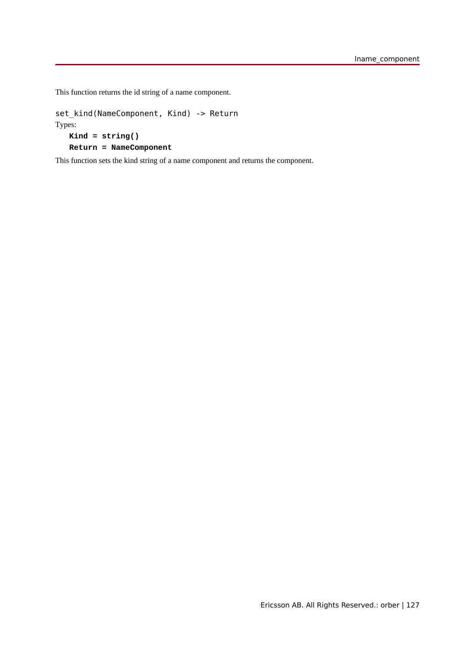This function returns the id string of a name component.

set\_kind(NameComponent, Kind) -> Return Types: **Kind = string() Return = NameComponent**

This function sets the kind string of a name component and returns the component.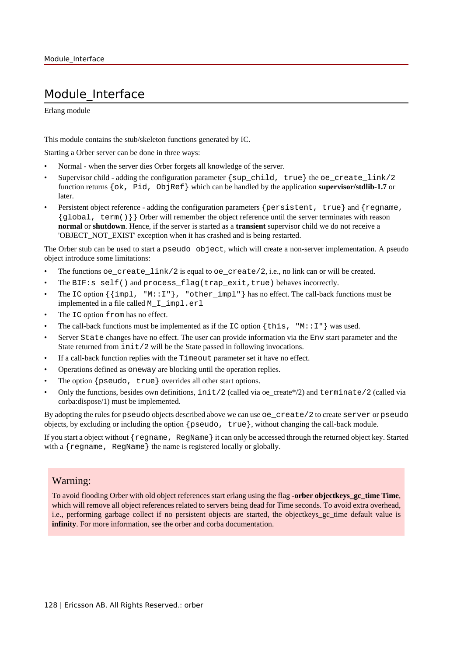# Module Interface

Erlang module

This module contains the stub/skeleton functions generated by IC.

Starting a Orber server can be done in three ways:

- Normal when the server dies Orber forgets all knowledge of the server.
- Supervisor child adding the configuration parameter {sup\_child, true} the oe\_create\_link/2 function returns {ok, Pid, ObjRef} which can be handled by the application **supervisor/stdlib-1.7** or later.
- Persistent object reference adding the configuration parameters {persistent, true} and {regname, {global, term()}} Orber will remember the object reference until the server terminates with reason **normal** or **shutdown**. Hence, if the server is started as a **transient** supervisor child we do not receive a 'OBJECT\_NOT\_EXIST' exception when it has crashed and is being restarted.

The Orber stub can be used to start a pseudo object, which will create a non-server implementation. A pseudo object introduce some limitations:

- The functions oe create  $link/2$  is equal to oe create/2, i.e., no link can or will be created.
- The BIF:s self() and process\_flag(trap\_exit,true) behaves incorrectly.
- The IC option  $\{\{\text{impl}, \text{ "M::I"\}}, \text{ "other\_impl"}\}$  has no effect. The call-back functions must be implemented in a file called M\_I\_impl.erl
- The IC option from has no effect.
- The call-back functions must be implemented as if the IC option  $\{\text{this}, \text{ "M::I"}\}$  was used.
- Server State changes have no effect. The user can provide information via the Env start parameter and the State returned from init/2 will be the State passed in following invocations.
- If a call-back function replies with the Timeout parameter set it have no effect.
- Operations defined as oneway are blocking until the operation replies.
- The option {pseudo, true} overrides all other start options.
- Only the functions, besides own definitions,  $init/2$  (called via oe\_create\*/2) and terminate/2 (called via corba:dispose/1) must be implemented.

By adopting the rules for pseudo objects described above we can use oe\_create/2 to create server or pseudo objects, by excluding or including the option  $\{pseudo, true\}$ , without changing the call-back module.

If you start a object without  $\{$  regname,  $\{$  RegName $\}$  it can only be accessed through the returned object key. Started with a  $\{$  regname,  $\{$  RegName $\}$  the name is registered locally or globally.

#### Warning:

To avoid flooding Orber with old object references start erlang using the flag **-orber objectkeys\_gc\_time Time**, which will remove all object references related to servers being dead for Time seconds. To avoid extra overhead, i.e., performing garbage collect if no persistent objects are started, the objectkeys\_gc\_time default value is **infinity**. For more information, see the orber and corba documentation.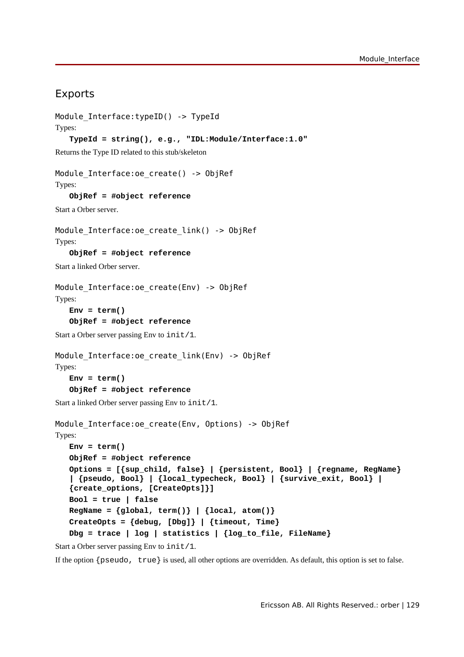## Exports

```
Module Interface: typeID() -> TypeId
Types:
   TypeId = string(), e.g., "IDL:Module/Interface:1.0"
Returns the Type ID related to this stub/skeleton
Module Interface: oe create() -> ObjRef
Types:
   ObjRef = #object reference
Start a Orber server.
Module Interface: oe create link() -> ObjRef
Types:
   ObjRef = #object reference
Start a linked Orber server.
Module Interface: oe create(Env) -> ObjRef
Types:
   Env = term()
   ObjRef = #object reference
Start a Orber server passing Env to init/1.
Module Interface: oe create link(Env) -> ObjRef
Types:
   Env = term()
   ObjRef = #object reference
Start a linked Orber server passing Env to init/1.
Module Interface: oe create(Env, Options) -> ObjRef
Types:
   Env = term()
   ObjRef = #object reference
   Options = [{sup_child, false} | {persistent, Bool} | {regname, RegName}
   | {pseudo, Bool} | {local_typecheck, Bool} | {survive_exit, Bool} |
   {create_options, [CreateOpts]}]
   Bool = true | false
   RegName = {global, term() } | {local, atom() }CreateOpts = {debug, [Dbg]} | {timeout, Time}
   Dbg = trace | log | statistics | {log_to_file, FileName}
Start a Orber server passing Env to init/1.
```
If the option {pseudo, true} is used, all other options are overridden. As default, this option is set to false.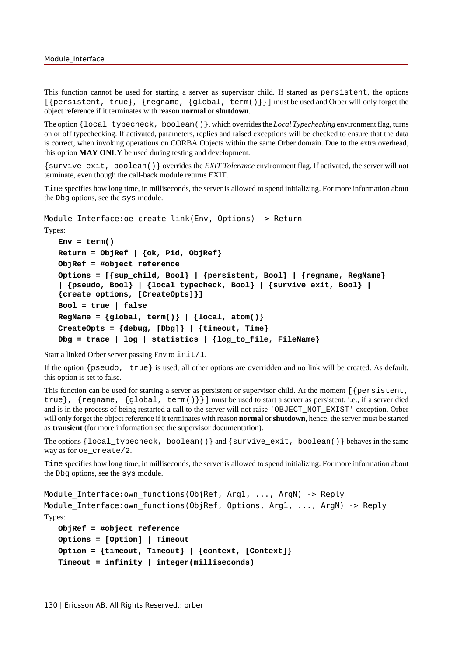This function cannot be used for starting a server as supervisor child. If started as persistent, the options [{persistent, true}, {regname, {global, term()}}] must be used and Orber will only forget the object reference if it terminates with reason **normal** or **shutdown**.

The option {local typecheck, boolean()}, which overrides the *Local Typechecking* environment flag, turns on or off typechecking. If activated, parameters, replies and raised exceptions will be checked to ensure that the data is correct, when invoking operations on CORBA Objects within the same Orber domain. Due to the extra overhead, this option **MAY ONLY** be used during testing and development.

{survive\_exit, boolean()} overrides the *EXIT Tolerance* environment flag. If activated, the server will not terminate, even though the call-back module returns EXIT.

Time specifies how long time, in milliseconds, the server is allowed to spend initializing. For more information about the Dbg options, see the sys module.

Module Interface: oe create link(Env, Options) -> Return

```
Types:
  Env = term()
  Return = ObjRef | {ok, Pid, ObjRef}
  ObjRef = #object reference
  Options = [{sup_child, Bool} | {persistent, Bool} | {regname, RegName}
   | {pseudo, Bool} | {local_typecheck, Bool} | {survive_exit, Bool} |
   {create_options, [CreateOpts]}]
  Bool = true | false
  RegName = {global, term() } | {local, atom() }CreateOpts = {debug, [Dbg]} | {timeout, Time}
  Dbg = trace | log | statistics | {log_to_file, FileName}
```
Start a linked Orber server passing Env to init/1.

If the option {pseudo, true} is used, all other options are overridden and no link will be created. As default, this option is set to false.

This function can be used for starting a server as persistent or supervisor child. At the moment [{persistent, true},  ${regname, {global, term()}}$  must be used to start a server as persistent, i.e., if a server died and is in the process of being restarted a call to the server will not raise 'OBJECT\_NOT\_EXIST' exception. Orber will only forget the object reference if it terminates with reason **normal** or **shutdown**, hence, the server must be started as **transient** (for more information see the supervisor documentation).

```
The options {local_typecheck, boolean()} and {survive.exit, boolean()} behaves in the same
way as for oe_create/2.
```
Time specifies how long time, in milliseconds, the server is allowed to spend initializing. For more information about the Dbg options, see the sys module.

```
Module Interface:own functions(ObjRef, Arg1, ..., ArgN) -> Reply
Module Interface:own functions(ObjRef, Options, Arg1, ..., ArgN) -> Reply
Types:
```

```
ObjRef = #object reference
Options = [Option] | Timeout
Option = {timeout, Timeout} | {context, [Context]}
Timeout = infinity | integer(milliseconds)
```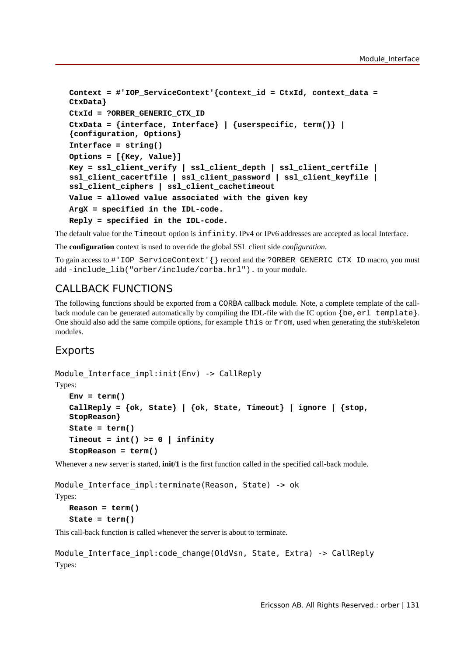```
Context = #'IOP_ServiceContext'{context_id = CtxId, context_data =
CtxData}
CtxId = ?ORBER_GENERIC_CTX_ID
CtxData = {interface, Interface} | {userspecific, term()} |
{configuration, Options}
Interface = string()
Options = [{Key, Value}]
Key = ssl_client_verify | ssl_client_depth | ssl_client_certfile |
ssl_client_cacertfile | ssl_client_password | ssl_client_keyfile |
ssl_client_ciphers | ssl_client_cachetimeout
Value = allowed value associated with the given key
ArgX = specified in the IDL-code.
Reply = specified in the IDL-code.
```
The default value for the Timeout option is infinity. IPv4 or IPv6 addresses are accepted as local Interface.

The **configuration** context is used to override the global SSL client side *configuration*.

To gain access to #'IOP\_ServiceContext'{} record and the ?ORBER\_GENERIC\_CTX\_ID macro, you must add-include\_lib("orber/include/corba.hrl"). to your module.

## CALLBACK FUNCTIONS

The following functions should be exported from a CORBA callback module. Note, a complete template of the callback module can be generated automatically by compiling the IDL-file with the IC option  $\{be, er1, template\}.$ One should also add the same compile options, for example this or from, used when generating the stub/skeleton modules.

## Exports

```
Module Interface impl:init(Env) -> CallReply
```
Types:

```
Env = term()
CallReply = {ok, State} | {ok, State, Timeout} | ignore | {stop,
StopReason}
State = term()
Timeout = int() >= 0 | infinity
StopReason = term()
```
Whenever a new server is started, **init/1** is the first function called in the specified call-back module.

```
Module Interface impl:terminate(Reason, State) -> ok
```
Types:

```
Reason = term()
State = term()
```
This call-back function is called whenever the server is about to terminate.

```
Module Interface impl:code change(OldVsn, State, Extra) -> CallReply
Types:
```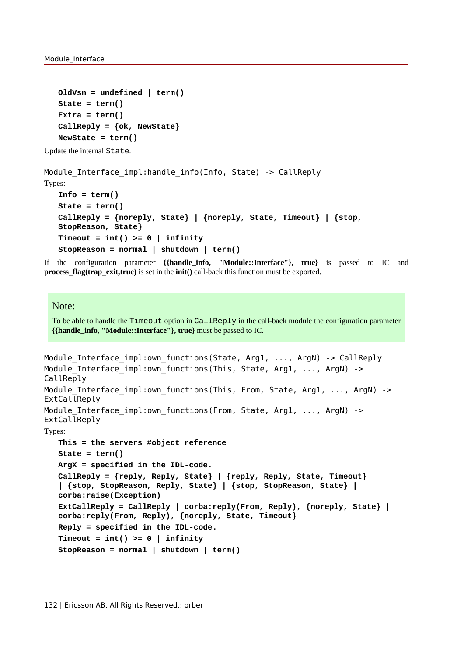```
OldVsn = undefined | term()
State = term()
Extra = term()
CallReply = {ok, NewState}
NewState = term()
```
Update the internal State.

```
Module Interface impl:handle info(Info, State) -> CallReply
Types:
   Info = term()
   State = term()
   CallReply = {noreply, State} | {noreply, State, Timeout} | {stop,
   StopReason, State}
   Timeout = int() >= 0 | infinity
   StopReason = normal | shutdown | term()
```
If the configuration parameter **{{handle\_info, "Module::Interface"}, true}** is passed to IC and **process\_flag(trap\_exit,true)** is set in the **init()** call-back this function must be exported.

#### Note:

To be able to handle the Timeout option in CallReply in the call-back module the configuration parameter **{{handle\_info, "Module::Interface"}, true}** must be passed to IC.

```
Module Interface impl:own functions(State, Arg1, ..., ArgN) -> CallReply
Module Interface impl:own functions(This, State, Arg1, ..., ArgN) ->
CallReply
Module Interface impl:own functions(This, From, State, Arg1, ..., ArgN) ->
ExtCallReply
Module Interface impl:own functions(From, State, Arg1, ..., ArgN) ->
ExtCallReply
Types:
   This = the servers #object reference
   State = term()
   ArgX = specified in the IDL-code.
   CallReply = {reply, Reply, State} | {reply, Reply, State, Timeout}
   | {stop, StopReason, Reply, State} | {stop, StopReason, State} |
   corba:raise(Exception)
   ExtCallReply = CallReply | corba:reply(From, Reply), {noreply, State} |
   corba:reply(From, Reply), {noreply, State, Timeout}
   Reply = specified in the IDL-code.
```
**Timeout = int() >= 0 | infinity**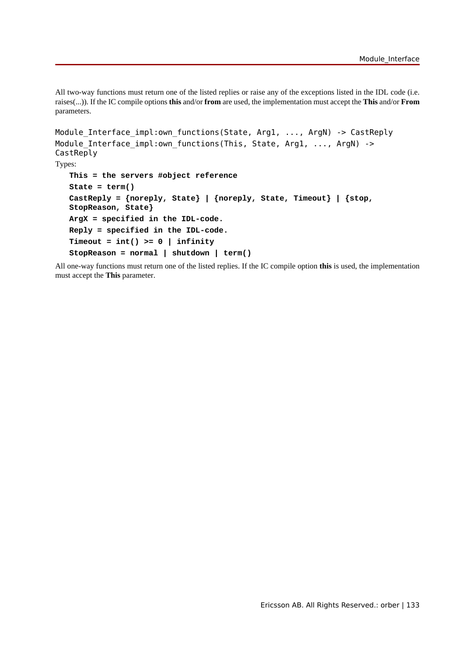All two-way functions must return one of the listed replies or raise any of the exceptions listed in the IDL code (i.e. raises(...)). If the IC compile options **this** and/or **from** are used, the implementation must accept the **This** and/or **From** parameters.

```
Module Interface impl:own functions(State, Arg1, ..., ArgN) -> CastReply
Module Interface impl:own functions(This, State, Arg1, ..., ArgN) ->
CastReply
Types:
   This = the servers #object reference
   State = term()
   CastReply = {noreply, State} | {noreply, State, Timeout} | {stop,
   StopReason, State}
   ArgX = specified in the IDL-code.
   Reply = specified in the IDL-code.
   Timeout = int() >= 0 | infinity
   StopReason = normal | shutdown | term()
```
All one-way functions must return one of the listed replies. If the IC compile option **this** is used, the implementation must accept the **This** parameter.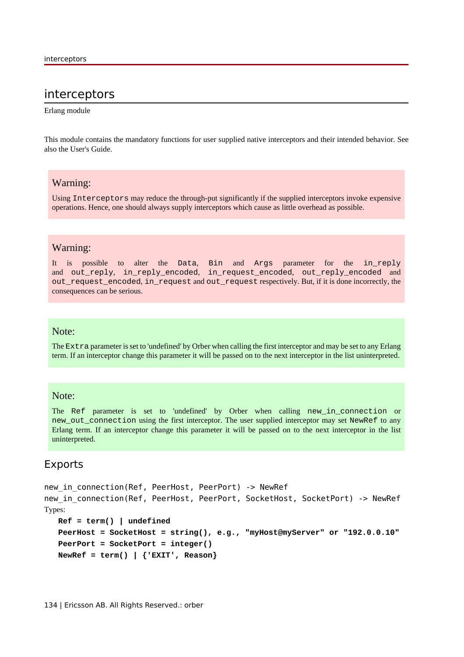## interceptors

Erlang module

This module contains the mandatory functions for user supplied native interceptors and their intended behavior. See also the User's Guide.

#### Warning:

Using Interceptors may reduce the through-put significantly if the supplied interceptors invoke expensive operations. Hence, one should always supply interceptors which cause as little overhead as possible.

#### Warning:

It is possible to alter the Data, Bin and Args parameter for the in\_reply and out\_reply, in\_reply\_encoded, in\_request\_encoded, out\_reply\_encoded and out\_request\_encoded, in\_request and out\_request respectively. But, if it is done incorrectly, the consequences can be serious.

#### Note:

The Extra parameter is set to 'undefined' by Orber when calling the first interceptor and may be set to any Erlang term. If an interceptor change this parameter it will be passed on to the next interceptor in the list uninterpreted.

#### Note:

The Ref parameter is set to 'undefined' by Orber when calling new\_in\_connection or new\_out\_connection using the first interceptor. The user supplied interceptor may set NewRef to any Erlang term. If an interceptor change this parameter it will be passed on to the next interceptor in the list uninterpreted.

#### Exports

```
new in connection(Ref, PeerHost, PeerPort) -> NewRef
new in connection(Ref, PeerHost, PeerPort, SocketHost, SocketPort) -> NewRef
Types:
   Ref = term() | undefined
   PeerHost = SocketHost = string(), e.g., "myHost@myServer" or "192.0.0.10"
```

```
PeerPort = SocketPort = integer()
NewRef = term() | {'EXIT', Reason}
```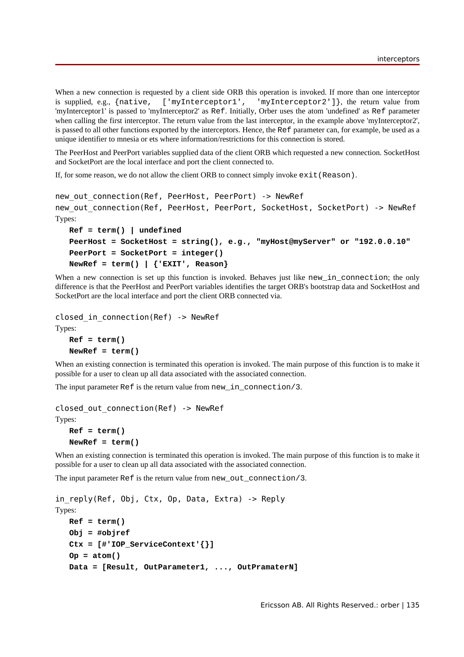When a new connection is requested by a client side ORB this operation is invoked. If more than one interceptor is supplied, e.g., {native, ['myInterceptor1', 'myInterceptor2']}, the return value from 'myInterceptor1' is passed to 'myInterceptor2' as Ref. Initially, Orber uses the atom 'undefined' as Ref parameter when calling the first interceptor. The return value from the last interceptor, in the example above 'myInterceptor2'. is passed to all other functions exported by the interceptors. Hence, the Ref parameter can, for example, be used as a unique identifier to mnesia or ets where information/restrictions for this connection is stored.

The PeerHost and PeerPort variables supplied data of the client ORB which requested a new connection. SocketHost and SocketPort are the local interface and port the client connected to.

If, for some reason, we do not allow the client ORB to connect simply invoke exit(Reason).

```
new out connection(Ref, PeerHost, PeerPort) -> NewRef
new out connection(Ref, PeerHost, PeerPort, SocketHost, SocketPort) -> NewRef
Types:
  Ref = term() | undefined
```

```
PeerHost = SocketHost = string(), e.g., "myHost@myServer" or "192.0.0.10"
PeerPort = SocketPort = integer()
NewRef = term() | {'EXIT', Reason}
```
When a new connection is set up this function is invoked. Behaves just like new in connection; the only difference is that the PeerHost and PeerPort variables identifies the target ORB's bootstrap data and SocketHost and SocketPort are the local interface and port the client ORB connected via.

```
closed_in_connection(Ref) -> NewRef
Types:
   Ref = term()
   NewRef = term()
```
When an existing connection is terminated this operation is invoked. The main purpose of this function is to make it possible for a user to clean up all data associated with the associated connection.

The input parameter Ref is the return value from new\_in\_connection/3.

```
closed_out_connection(Ref) -> NewRef
Types:
```

```
Ref = term()
NewRef = term()
```
When an existing connection is terminated this operation is invoked. The main purpose of this function is to make it possible for a user to clean up all data associated with the associated connection.

The input parameter Ref is the return value from new out connection/3.

```
in reply(Ref, Obj, Ctx, Op, Data, Extra) -> Reply
Types:
  Ref = term()
   Obj = #objref
   Ctx = [#'IOP_ServiceContext'{}]
   Op = atom()
   Data = [Result, OutParameter1, ..., OutPramaterN]
```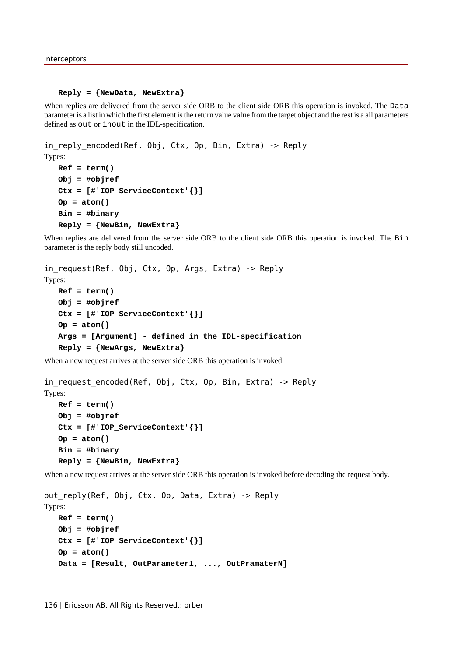#### **Reply = {NewData, NewExtra}**

When replies are delivered from the server side ORB to the client side ORB this operation is invoked. The Data parameter is a list in which the first element is the return value value from the target object and the rest is a all parameters defined as out or inout in the IDL-specification.

```
in reply encoded(Ref, Obj, Ctx, Op, Bin, Extra) -> Reply
Types:
   Ref = term()
```

```
Obj = #objref
Ctx = [#'IOP_ServiceContext'{}]
Op = atom()
Bin = #binary
Reply = {NewBin, NewExtra}
```
When replies are delivered from the server side ORB to the client side ORB this operation is invoked. The Bin parameter is the reply body still uncoded.

```
in request(Ref, Obj, Ctx, Op, Args, Extra) -> Reply
Types:
   Ref = term()
   Obj = #objref
   Ctx = [#'IOP_ServiceContext'{}]
   Op = atom()
   Args = [Argument] - defined in the IDL-specification
   Reply = {NewArgs, NewExtra}
```
When a new request arrives at the server side ORB this operation is invoked.

```
in request encoded(Ref, Obj, Ctx, Op, Bin, Extra) -> Reply
Types:
   Ref = term()
   Obj = #objref
   Ctx = [#'IOP_ServiceContext'{}]
   Op = atom()
   Bin = #binary
   Reply = {NewBin, NewExtra}
```
When a new request arrives at the server side ORB this operation is invoked before decoding the request body.

```
out reply(Ref, Obj, Ctx, Op, Data, Extra) -> Reply
Types:
  Ref = term()
   Obj = #objref
   Ctx = [#'IOP_ServiceContext'{}]
   Op = atom()
   Data = [Result, OutParameter1, ..., OutPramaterN]
```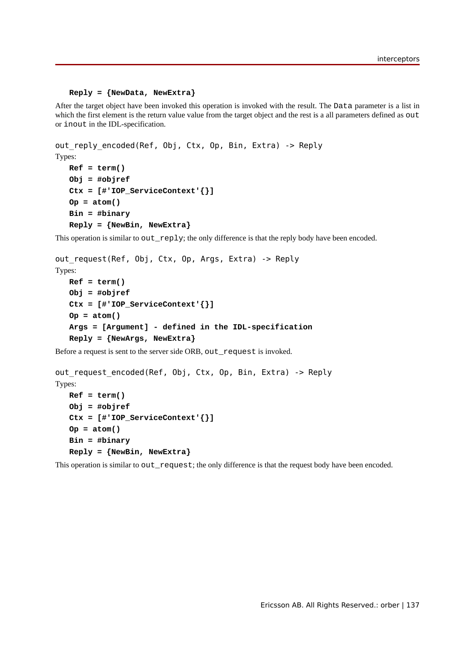#### **Reply = {NewData, NewExtra}**

After the target object have been invoked this operation is invoked with the result. The Data parameter is a list in which the first element is the return value value from the target object and the rest is a all parameters defined as out or inout in the IDL-specification.

```
out reply encoded(Ref, Obj, Ctx, Op, Bin, Extra) -> Reply
Types:
   Ref = term()
```

```
Obj = #objref
Ctx = [#'IOP_ServiceContext'{}]
Op = atom()
Bin = #binary
Reply = {NewBin, NewExtra}
```
This operation is similar to  $out\_reply$ ; the only difference is that the reply body have been encoded.

```
out request(Ref, Obj, Ctx, Op, Args, Extra) -> Reply
Types:
   Ref = term()
   Obj = #objref
   Ctx = [#'IOP_ServiceContext'{}]
   Op = atom()
   Args = [Argument] - defined in the IDL-specification
   Reply = {NewArgs, NewExtra}
```
Before a request is sent to the server side ORB, out\_request is invoked.

```
out request encoded(Ref, Obj, Ctx, Op, Bin, Extra) -> Reply
Types:
  Ref = term()
  Obj = #objref
   Ctx = [#'IOP_ServiceContext'{}]
   Op = atom()
  Bin = #binary
  Reply = {NewBin, NewExtra}
```
This operation is similar to out\_request; the only difference is that the request body have been encoded.